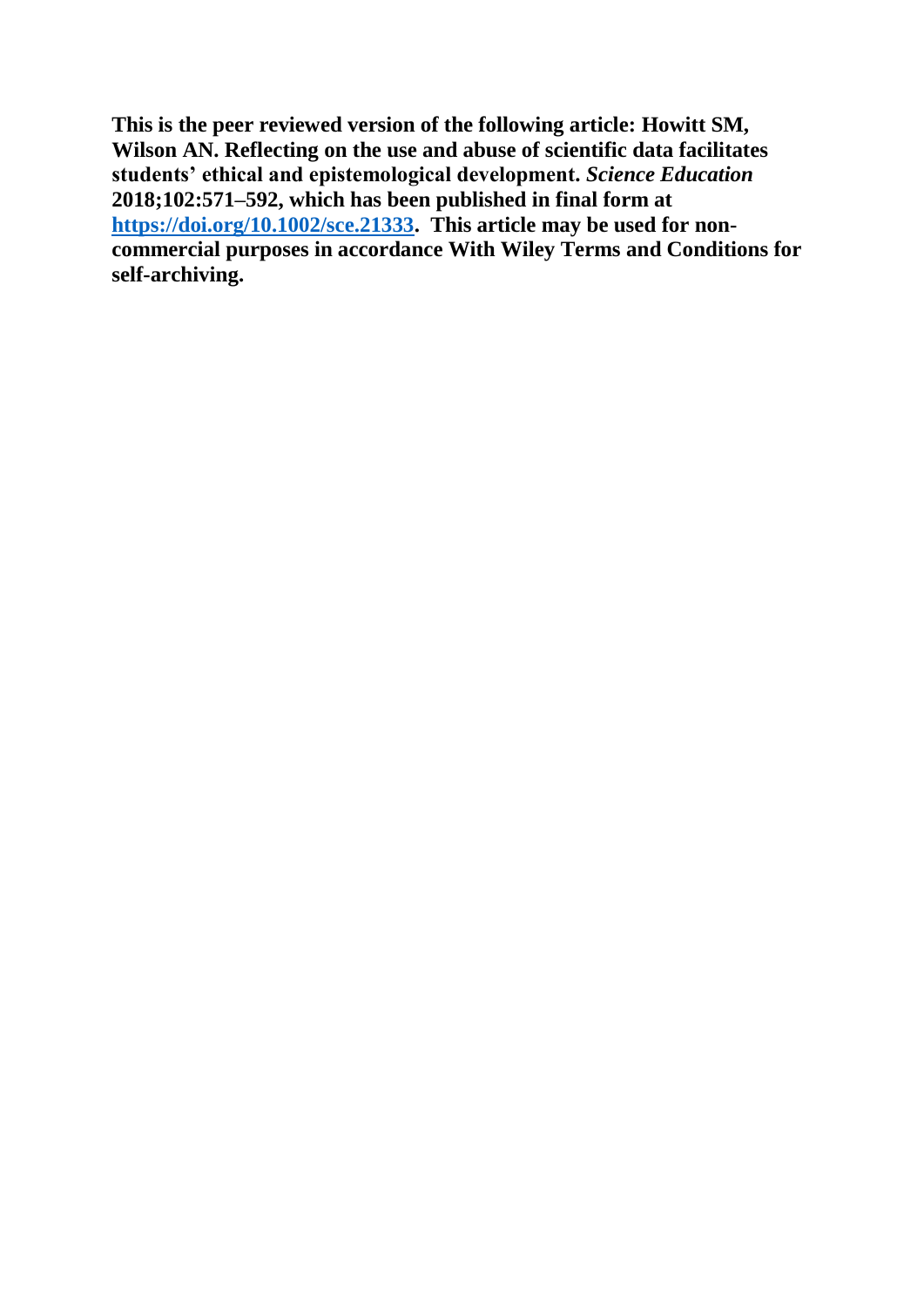**This is the peer reviewed version of the following article: Howitt SM, Wilson AN. Reflecting on the use and abuse of scientific data facilitates students' ethical and epistemological development.** *Science Education* **2018;102:571–592, which has been published in final form at [https://doi.org/10.1002/sce.21333.](https://doi.org/10.1002/sce.21333) This article may be used for noncommercial purposes in accordance With Wiley Terms and Conditions for self-archiving.**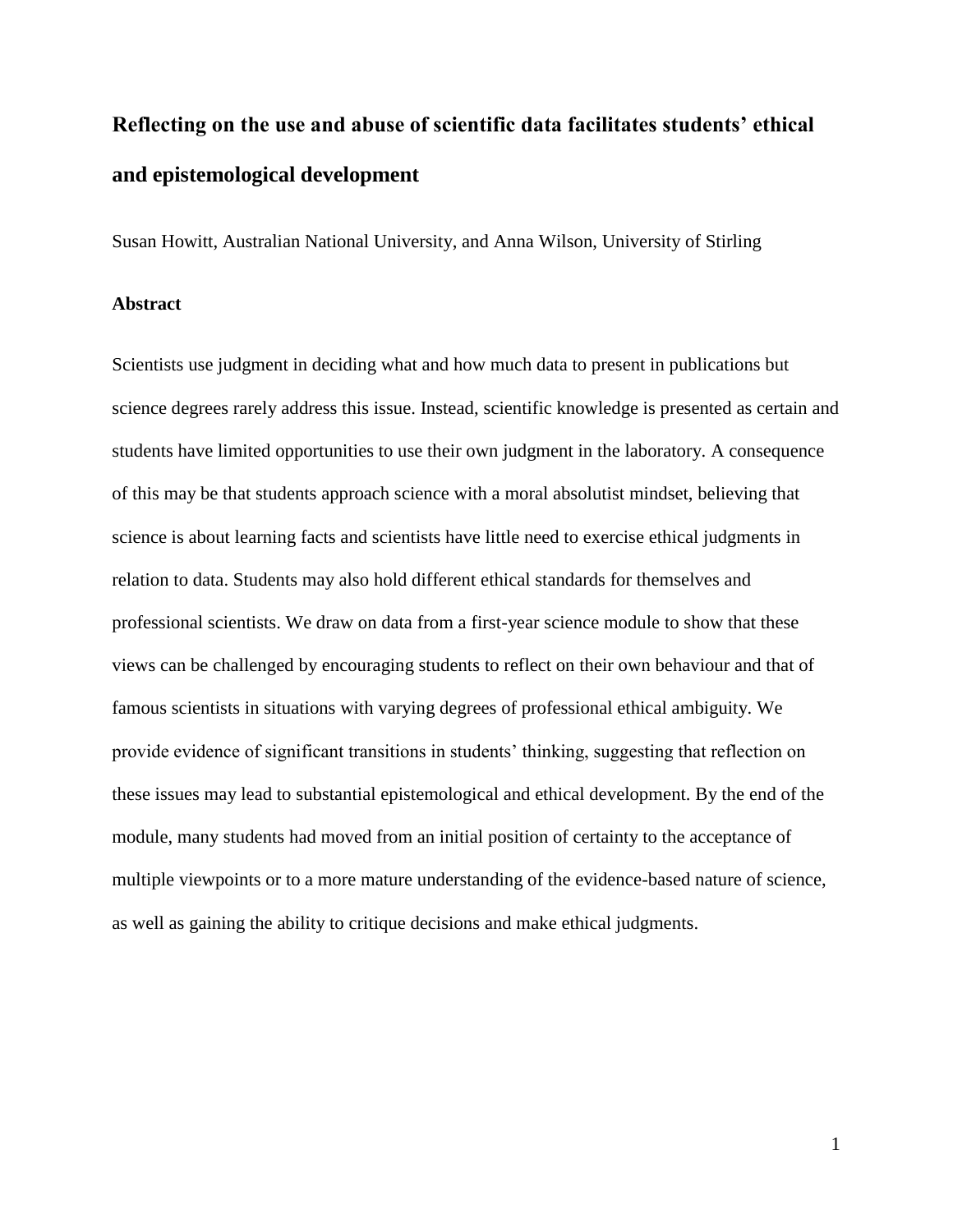# **Reflecting on the use and abuse of scientific data facilitates students' ethical and epistemological development**

Susan Howitt, Australian National University, and Anna Wilson, University of Stirling

## **Abstract**

Scientists use judgment in deciding what and how much data to present in publications but science degrees rarely address this issue. Instead, scientific knowledge is presented as certain and students have limited opportunities to use their own judgment in the laboratory. A consequence of this may be that students approach science with a moral absolutist mindset, believing that science is about learning facts and scientists have little need to exercise ethical judgments in relation to data. Students may also hold different ethical standards for themselves and professional scientists. We draw on data from a first-year science module to show that these views can be challenged by encouraging students to reflect on their own behaviour and that of famous scientists in situations with varying degrees of professional ethical ambiguity. We provide evidence of significant transitions in students' thinking, suggesting that reflection on these issues may lead to substantial epistemological and ethical development. By the end of the module, many students had moved from an initial position of certainty to the acceptance of multiple viewpoints or to a more mature understanding of the evidence-based nature of science, as well as gaining the ability to critique decisions and make ethical judgments.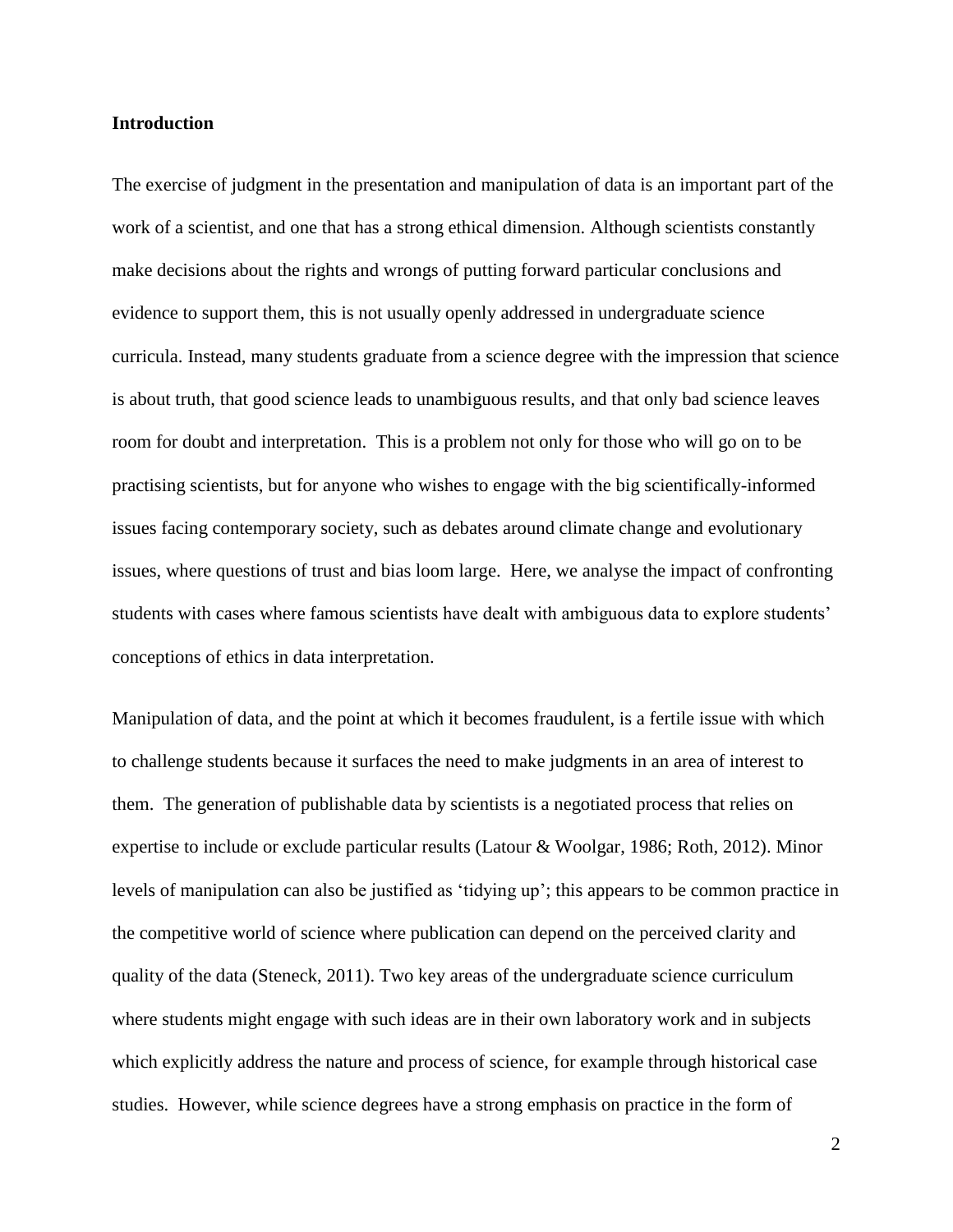## **Introduction**

The exercise of judgment in the presentation and manipulation of data is an important part of the work of a scientist, and one that has a strong ethical dimension. Although scientists constantly make decisions about the rights and wrongs of putting forward particular conclusions and evidence to support them, this is not usually openly addressed in undergraduate science curricula. Instead, many students graduate from a science degree with the impression that science is about truth, that good science leads to unambiguous results, and that only bad science leaves room for doubt and interpretation. This is a problem not only for those who will go on to be practising scientists, but for anyone who wishes to engage with the big scientifically-informed issues facing contemporary society, such as debates around climate change and evolutionary issues, where questions of trust and bias loom large. Here, we analyse the impact of confronting students with cases where famous scientists have dealt with ambiguous data to explore students' conceptions of ethics in data interpretation.

Manipulation of data, and the point at which it becomes fraudulent, is a fertile issue with which to challenge students because it surfaces the need to make judgments in an area of interest to them. The generation of publishable data by scientists is a negotiated process that relies on expertise to include or exclude particular results (Latour & Woolgar, 1986; Roth, 2012). Minor levels of manipulation can also be justified as 'tidying up'; this appears to be common practice in the competitive world of science where publication can depend on the perceived clarity and quality of the data (Steneck, 2011). Two key areas of the undergraduate science curriculum where students might engage with such ideas are in their own laboratory work and in subjects which explicitly address the nature and process of science, for example through historical case studies. However, while science degrees have a strong emphasis on practice in the form of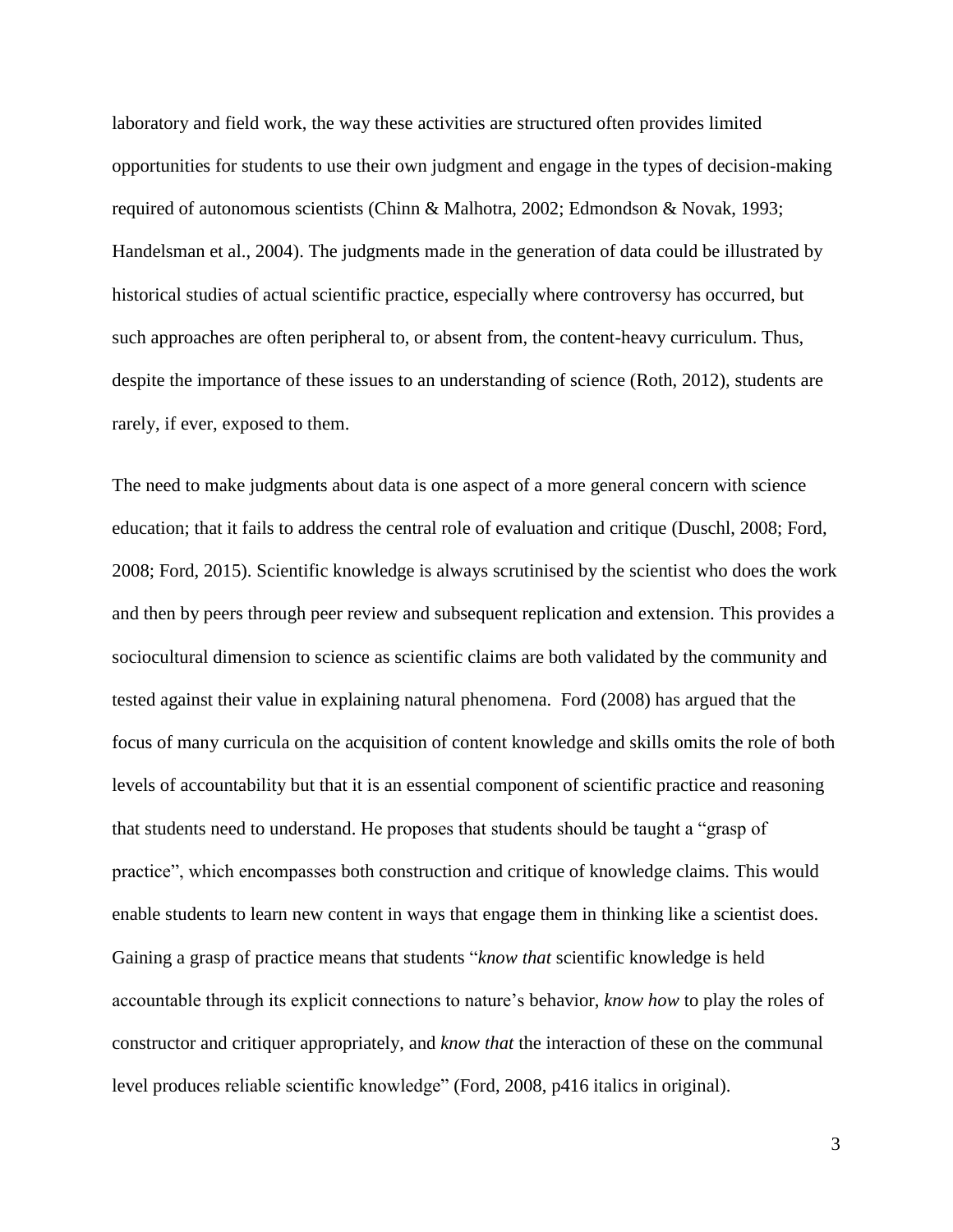laboratory and field work, the way these activities are structured often provides limited opportunities for students to use their own judgment and engage in the types of decision-making required of autonomous scientists (Chinn & Malhotra, 2002; Edmondson & Novak, 1993; Handelsman et al., 2004). The judgments made in the generation of data could be illustrated by historical studies of actual scientific practice, especially where controversy has occurred, but such approaches are often peripheral to, or absent from, the content-heavy curriculum. Thus, despite the importance of these issues to an understanding of science (Roth, 2012), students are rarely, if ever, exposed to them.

The need to make judgments about data is one aspect of a more general concern with science education; that it fails to address the central role of evaluation and critique (Duschl, 2008; Ford, 2008; Ford, 2015). Scientific knowledge is always scrutinised by the scientist who does the work and then by peers through peer review and subsequent replication and extension. This provides a sociocultural dimension to science as scientific claims are both validated by the community and tested against their value in explaining natural phenomena. Ford (2008) has argued that the focus of many curricula on the acquisition of content knowledge and skills omits the role of both levels of accountability but that it is an essential component of scientific practice and reasoning that students need to understand. He proposes that students should be taught a "grasp of practice", which encompasses both construction and critique of knowledge claims. This would enable students to learn new content in ways that engage them in thinking like a scientist does. Gaining a grasp of practice means that students "*know that* scientific knowledge is held accountable through its explicit connections to nature's behavior, *know how* to play the roles of constructor and critiquer appropriately, and *know that* the interaction of these on the communal level produces reliable scientific knowledge" (Ford, 2008, p416 italics in original).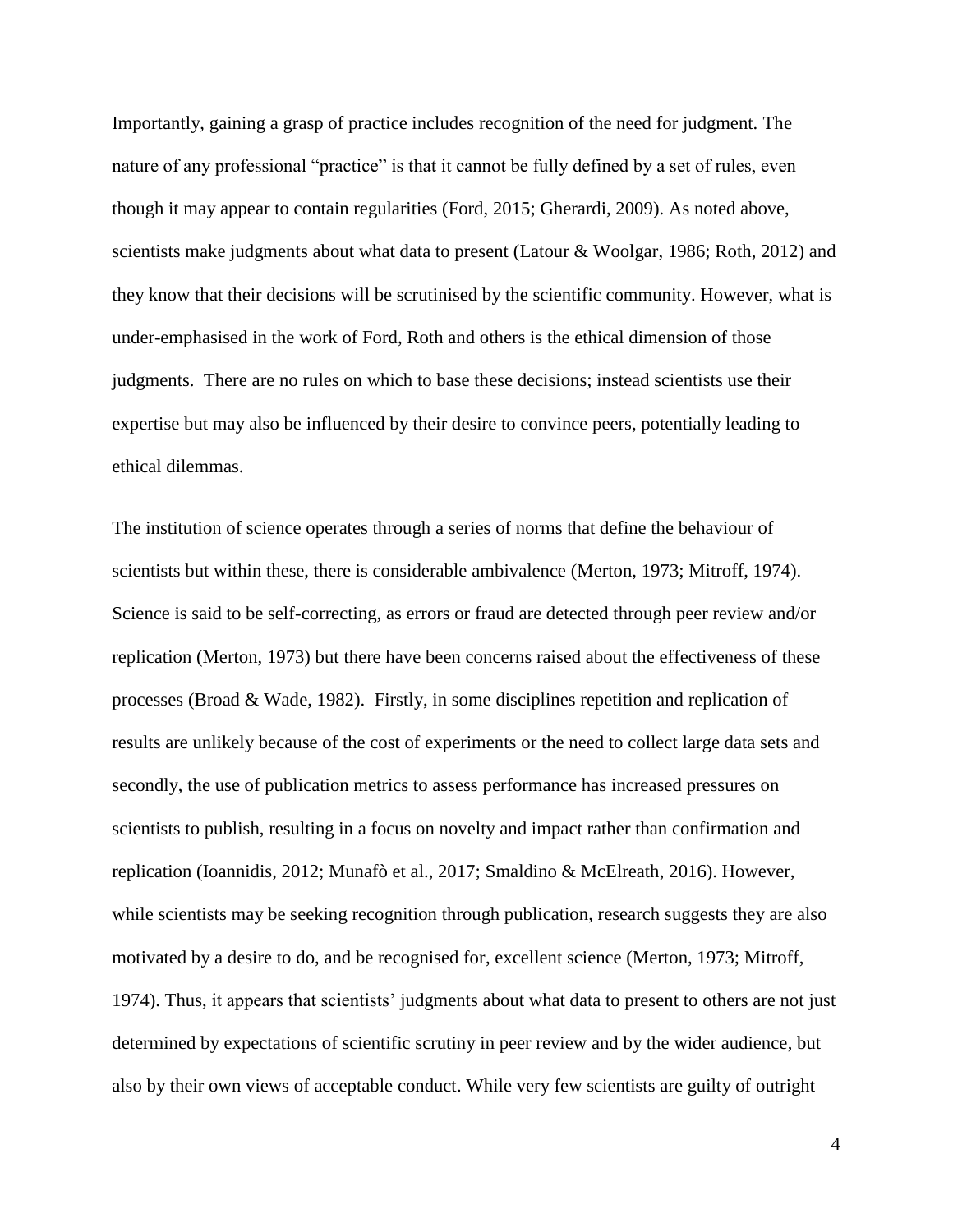Importantly, gaining a grasp of practice includes recognition of the need for judgment. The nature of any professional "practice" is that it cannot be fully defined by a set of rules, even though it may appear to contain regularities (Ford, 2015; Gherardi, 2009). As noted above, scientists make judgments about what data to present (Latour & Woolgar, 1986; Roth, 2012) and they know that their decisions will be scrutinised by the scientific community. However, what is under-emphasised in the work of Ford, Roth and others is the ethical dimension of those judgments. There are no rules on which to base these decisions; instead scientists use their expertise but may also be influenced by their desire to convince peers, potentially leading to ethical dilemmas.

The institution of science operates through a series of norms that define the behaviour of scientists but within these, there is considerable ambivalence (Merton, 1973; Mitroff, 1974). Science is said to be self-correcting, as errors or fraud are detected through peer review and/or replication (Merton, 1973) but there have been concerns raised about the effectiveness of these processes (Broad & Wade, 1982). Firstly, in some disciplines repetition and replication of results are unlikely because of the cost of experiments or the need to collect large data sets and secondly, the use of publication metrics to assess performance has increased pressures on scientists to publish, resulting in a focus on novelty and impact rather than confirmation and replication (Ioannidis, 2012; Munafò et al., 2017; Smaldino & McElreath, 2016). However, while scientists may be seeking recognition through publication, research suggests they are also motivated by a desire to do, and be recognised for, excellent science (Merton, 1973; Mitroff, 1974). Thus, it appears that scientists' judgments about what data to present to others are not just determined by expectations of scientific scrutiny in peer review and by the wider audience, but also by their own views of acceptable conduct. While very few scientists are guilty of outright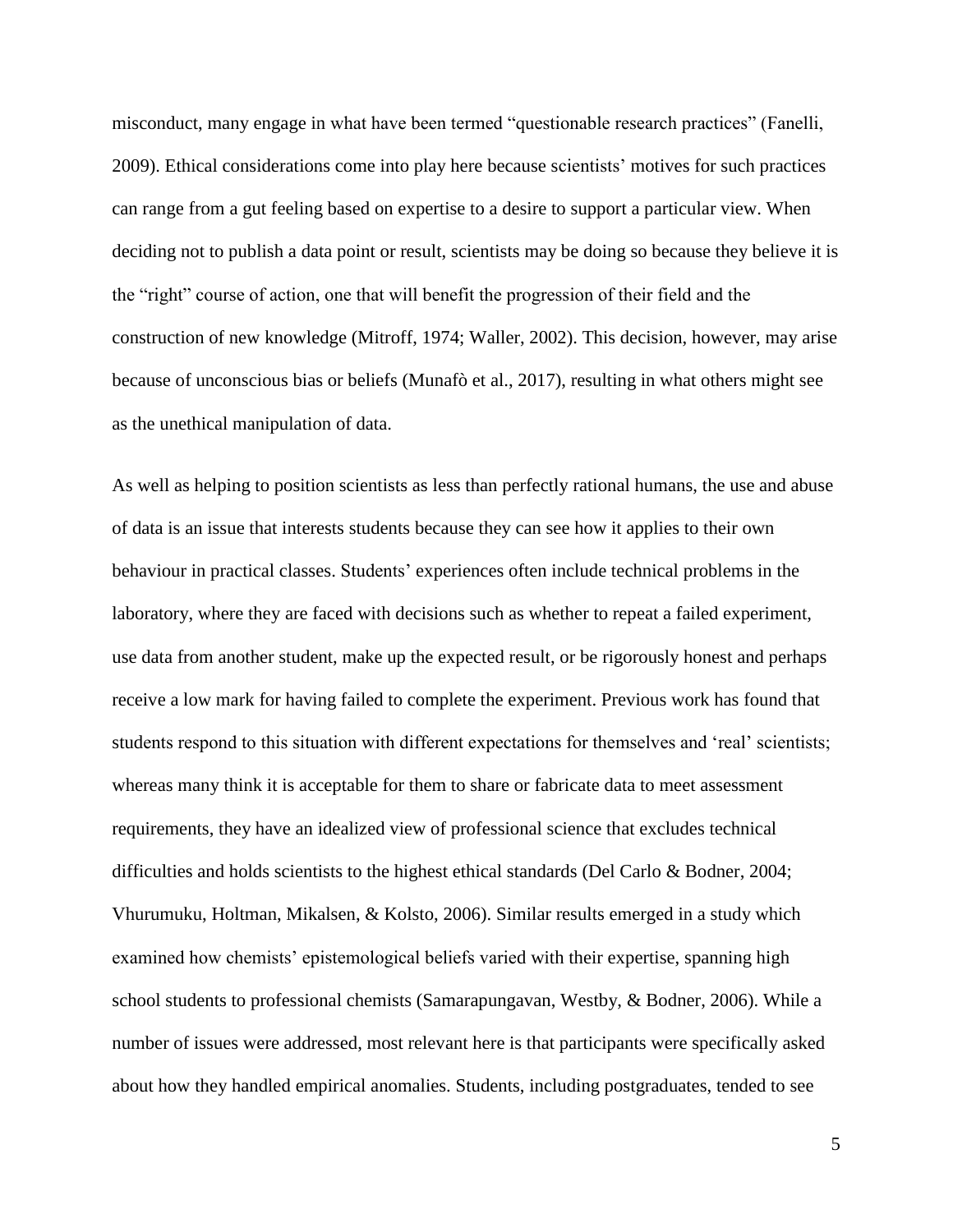misconduct, many engage in what have been termed "questionable research practices" (Fanelli, 2009). Ethical considerations come into play here because scientists' motives for such practices can range from a gut feeling based on expertise to a desire to support a particular view. When deciding not to publish a data point or result, scientists may be doing so because they believe it is the "right" course of action, one that will benefit the progression of their field and the construction of new knowledge (Mitroff, 1974; Waller, 2002). This decision, however, may arise because of unconscious bias or beliefs (Munafò et al., 2017), resulting in what others might see as the unethical manipulation of data.

As well as helping to position scientists as less than perfectly rational humans, the use and abuse of data is an issue that interests students because they can see how it applies to their own behaviour in practical classes. Students' experiences often include technical problems in the laboratory, where they are faced with decisions such as whether to repeat a failed experiment, use data from another student, make up the expected result, or be rigorously honest and perhaps receive a low mark for having failed to complete the experiment. Previous work has found that students respond to this situation with different expectations for themselves and 'real' scientists; whereas many think it is acceptable for them to share or fabricate data to meet assessment requirements, they have an idealized view of professional science that excludes technical difficulties and holds scientists to the highest ethical standards (Del Carlo & Bodner, 2004; Vhurumuku, Holtman, Mikalsen, & Kolsto, 2006). Similar results emerged in a study which examined how chemists' epistemological beliefs varied with their expertise, spanning high school students to professional chemists (Samarapungavan, Westby, & Bodner, 2006). While a number of issues were addressed, most relevant here is that participants were specifically asked about how they handled empirical anomalies. Students, including postgraduates, tended to see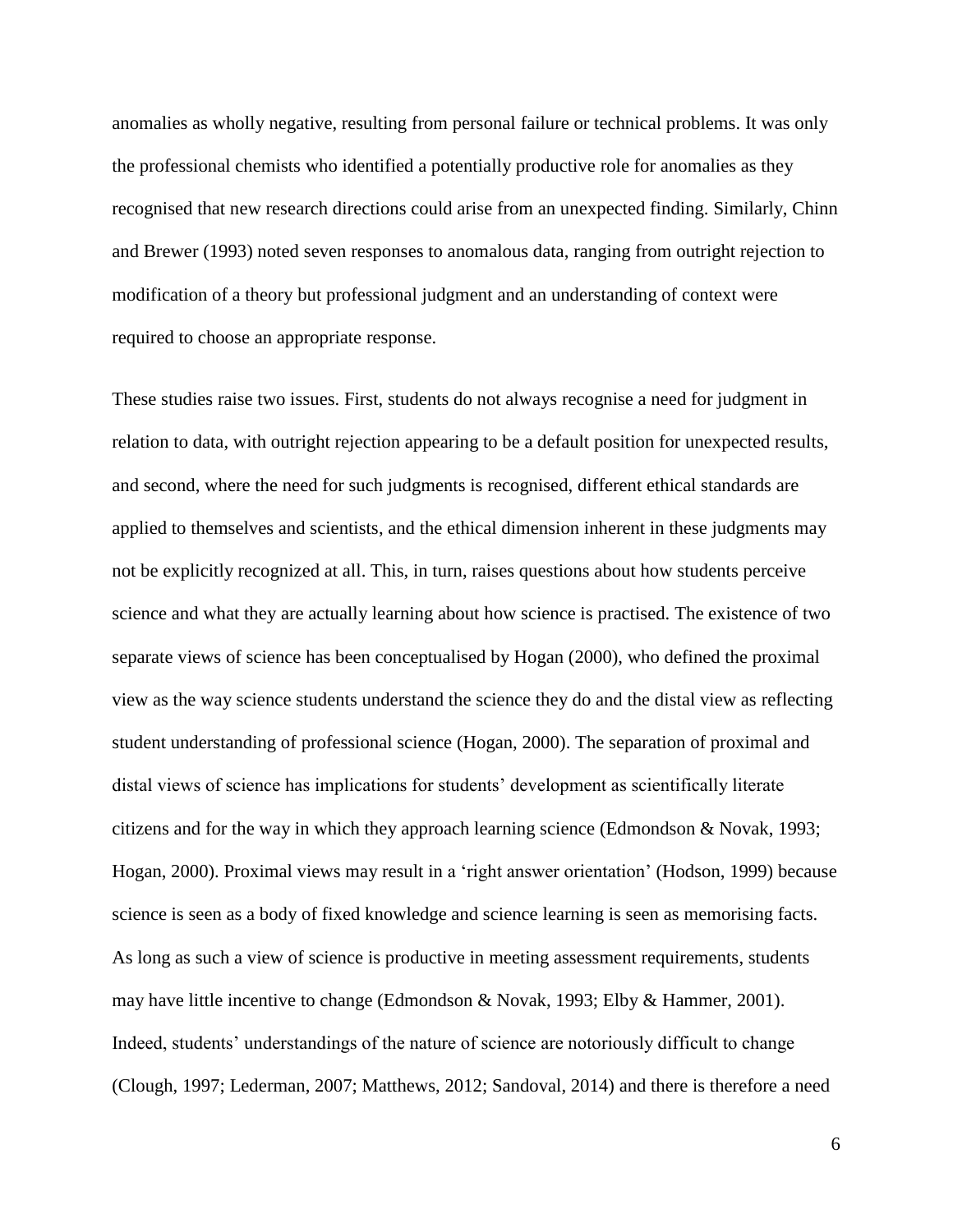anomalies as wholly negative, resulting from personal failure or technical problems. It was only the professional chemists who identified a potentially productive role for anomalies as they recognised that new research directions could arise from an unexpected finding. Similarly, Chinn and Brewer (1993) noted seven responses to anomalous data, ranging from outright rejection to modification of a theory but professional judgment and an understanding of context were required to choose an appropriate response.

These studies raise two issues. First, students do not always recognise a need for judgment in relation to data, with outright rejection appearing to be a default position for unexpected results, and second, where the need for such judgments is recognised, different ethical standards are applied to themselves and scientists, and the ethical dimension inherent in these judgments may not be explicitly recognized at all. This, in turn, raises questions about how students perceive science and what they are actually learning about how science is practised. The existence of two separate views of science has been conceptualised by Hogan (2000), who defined the proximal view as the way science students understand the science they do and the distal view as reflecting student understanding of professional science (Hogan, 2000). The separation of proximal and distal views of science has implications for students' development as scientifically literate citizens and for the way in which they approach learning science (Edmondson  $\&$  Novak, 1993; Hogan, 2000). Proximal views may result in a 'right answer orientation' (Hodson, 1999) because science is seen as a body of fixed knowledge and science learning is seen as memorising facts. As long as such a view of science is productive in meeting assessment requirements, students may have little incentive to change (Edmondson & Novak, 1993; Elby & Hammer, 2001). Indeed, students' understandings of the nature of science are notoriously difficult to change (Clough, 1997; Lederman, 2007; Matthews, 2012; Sandoval, 2014) and there is therefore a need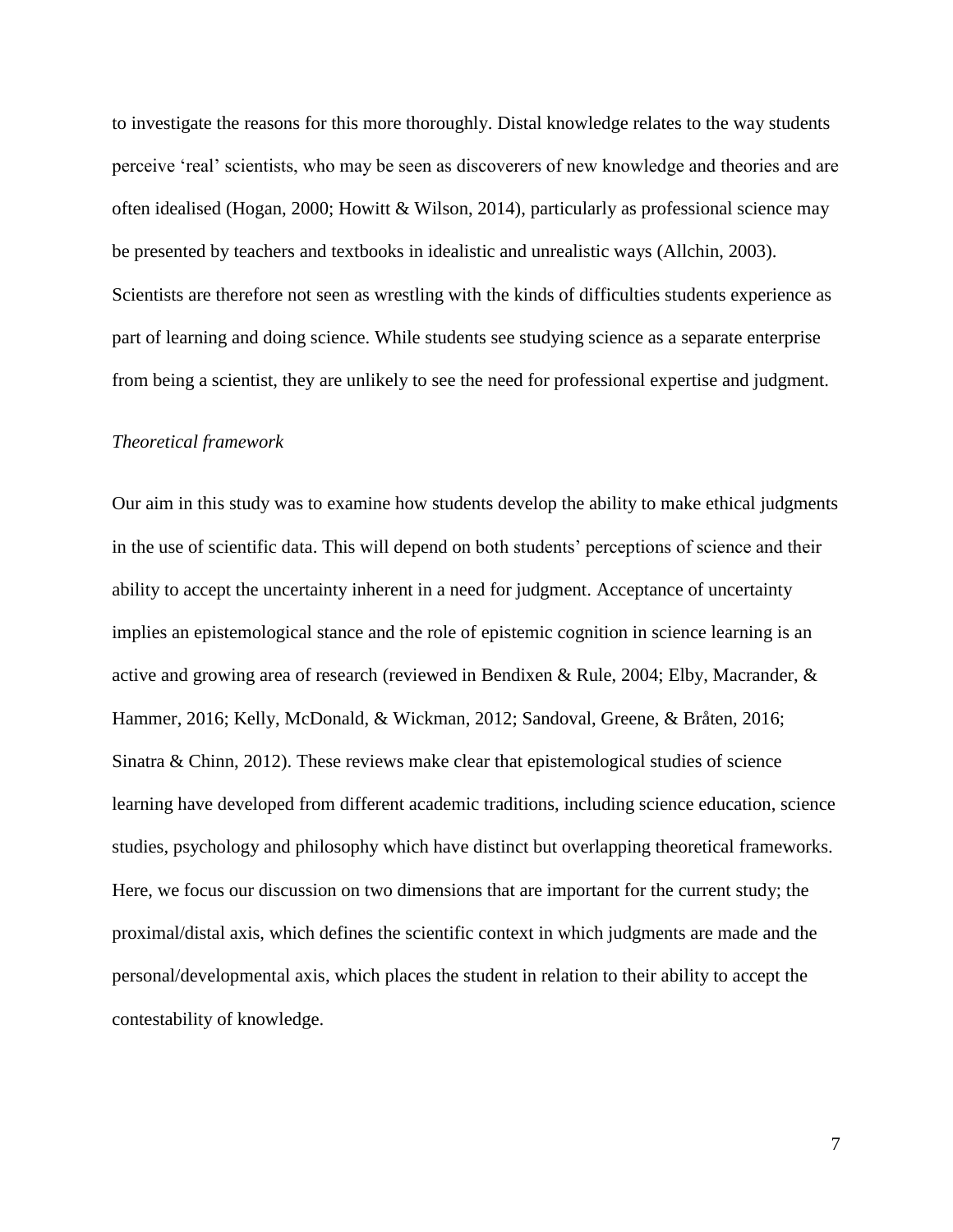to investigate the reasons for this more thoroughly. Distal knowledge relates to the way students perceive 'real' scientists, who may be seen as discoverers of new knowledge and theories and are often idealised (Hogan, 2000; Howitt & Wilson, 2014), particularly as professional science may be presented by teachers and textbooks in idealistic and unrealistic ways (Allchin, 2003). Scientists are therefore not seen as wrestling with the kinds of difficulties students experience as part of learning and doing science. While students see studying science as a separate enterprise from being a scientist, they are unlikely to see the need for professional expertise and judgment.

### *Theoretical framework*

Our aim in this study was to examine how students develop the ability to make ethical judgments in the use of scientific data. This will depend on both students' perceptions of science and their ability to accept the uncertainty inherent in a need for judgment. Acceptance of uncertainty implies an epistemological stance and the role of epistemic cognition in science learning is an active and growing area of research (reviewed in Bendixen & Rule, 2004; Elby, Macrander, & Hammer, 2016; Kelly, McDonald, & Wickman, 2012; Sandoval, Greene, & Bråten, 2016; Sinatra & Chinn, 2012). These reviews make clear that epistemological studies of science learning have developed from different academic traditions, including science education, science studies, psychology and philosophy which have distinct but overlapping theoretical frameworks. Here, we focus our discussion on two dimensions that are important for the current study; the proximal/distal axis, which defines the scientific context in which judgments are made and the personal/developmental axis, which places the student in relation to their ability to accept the contestability of knowledge.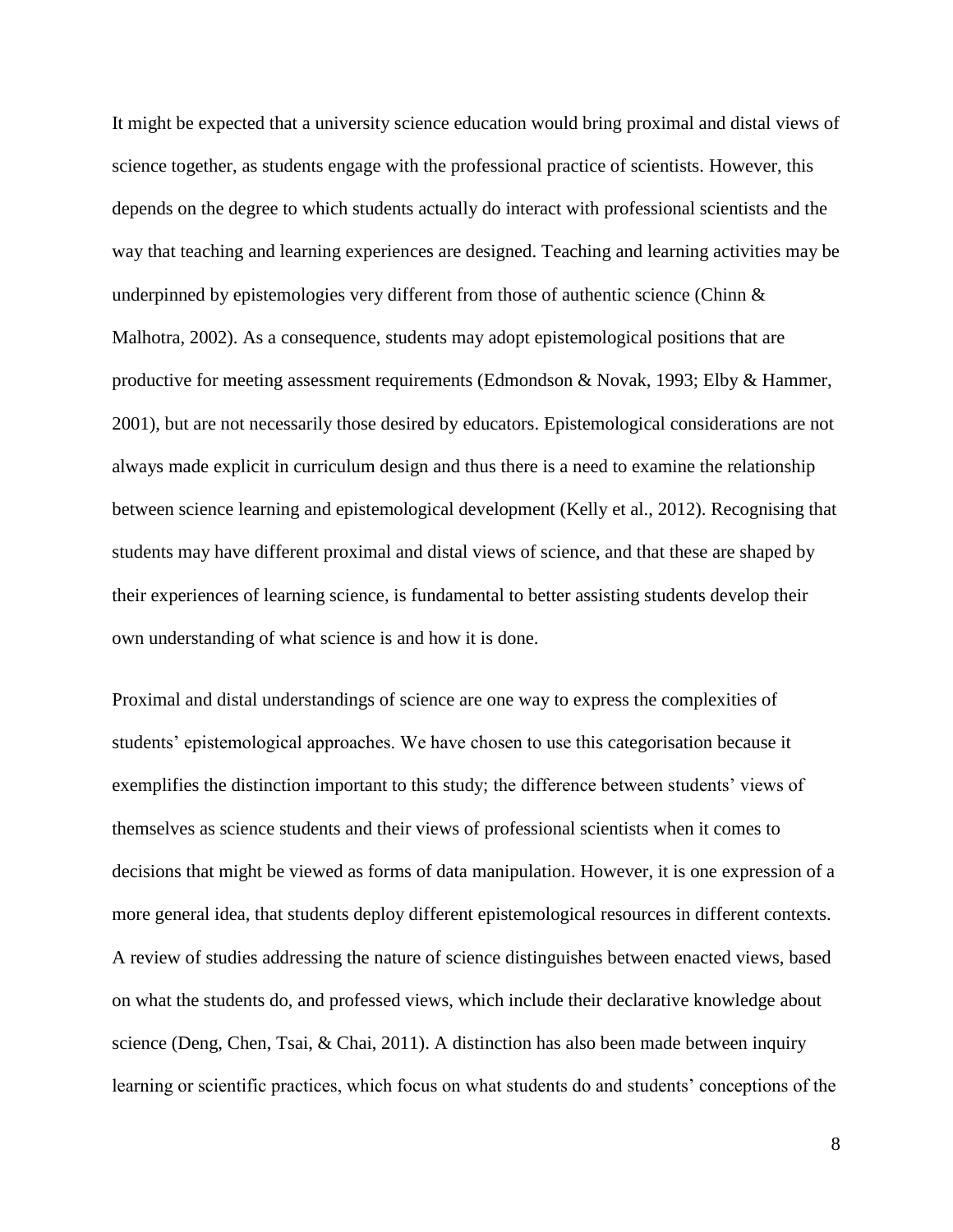It might be expected that a university science education would bring proximal and distal views of science together, as students engage with the professional practice of scientists. However, this depends on the degree to which students actually do interact with professional scientists and the way that teaching and learning experiences are designed. Teaching and learning activities may be underpinned by epistemologies very different from those of authentic science (Chinn  $\&$ Malhotra, 2002). As a consequence, students may adopt epistemological positions that are productive for meeting assessment requirements (Edmondson & Novak, 1993; Elby & Hammer, 2001), but are not necessarily those desired by educators. Epistemological considerations are not always made explicit in curriculum design and thus there is a need to examine the relationship between science learning and epistemological development (Kelly et al., 2012). Recognising that students may have different proximal and distal views of science, and that these are shaped by their experiences of learning science, is fundamental to better assisting students develop their own understanding of what science is and how it is done.

Proximal and distal understandings of science are one way to express the complexities of students' epistemological approaches. We have chosen to use this categorisation because it exemplifies the distinction important to this study; the difference between students' views of themselves as science students and their views of professional scientists when it comes to decisions that might be viewed as forms of data manipulation. However, it is one expression of a more general idea, that students deploy different epistemological resources in different contexts. A review of studies addressing the nature of science distinguishes between enacted views, based on what the students do, and professed views, which include their declarative knowledge about science (Deng, Chen, Tsai, & Chai, 2011). A distinction has also been made between inquiry learning or scientific practices, which focus on what students do and students' conceptions of the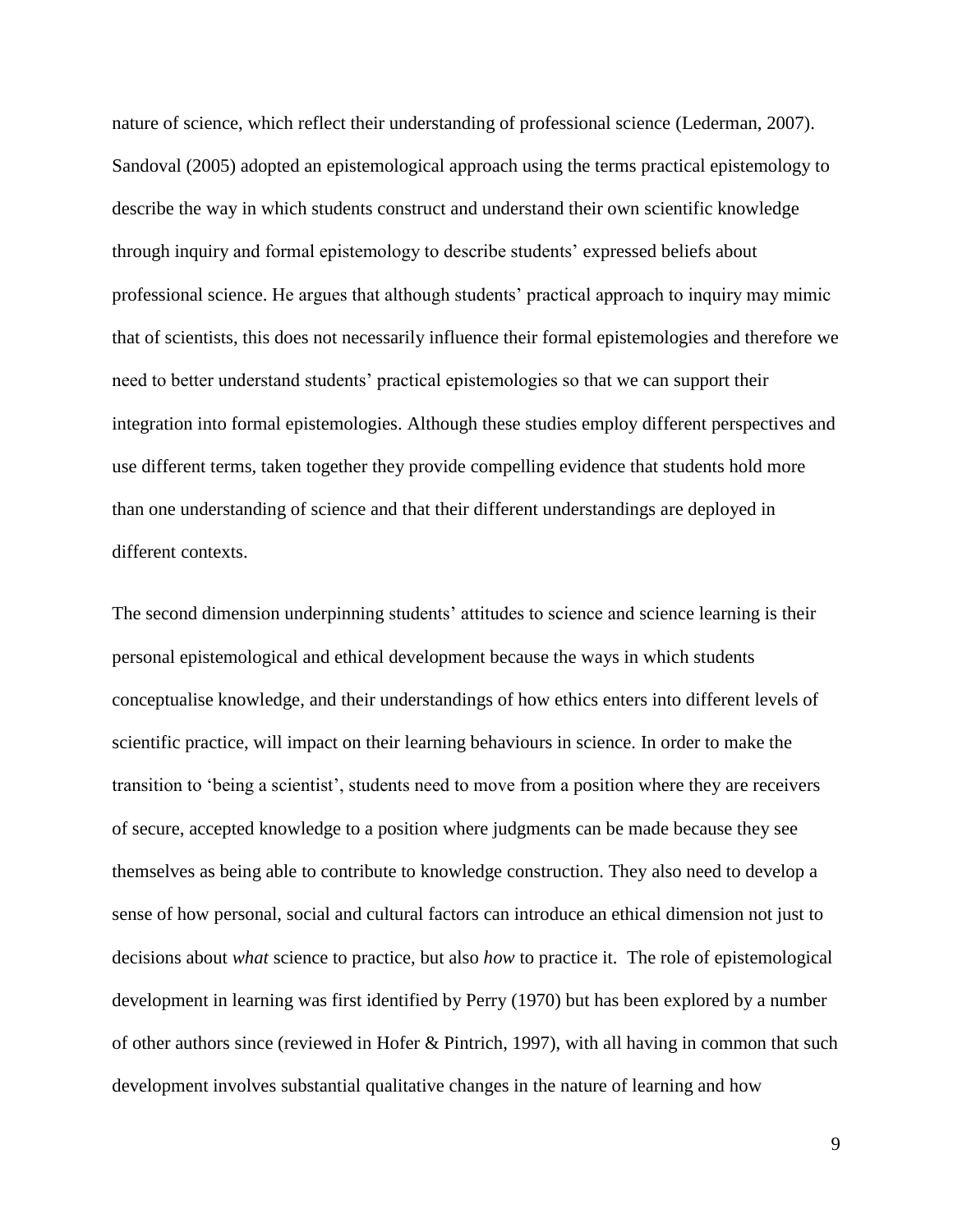nature of science, which reflect their understanding of professional science (Lederman, 2007). Sandoval (2005) adopted an epistemological approach using the terms practical epistemology to describe the way in which students construct and understand their own scientific knowledge through inquiry and formal epistemology to describe students' expressed beliefs about professional science. He argues that although students' practical approach to inquiry may mimic that of scientists, this does not necessarily influence their formal epistemologies and therefore we need to better understand students' practical epistemologies so that we can support their integration into formal epistemologies. Although these studies employ different perspectives and use different terms, taken together they provide compelling evidence that students hold more than one understanding of science and that their different understandings are deployed in different contexts.

The second dimension underpinning students' attitudes to science and science learning is their personal epistemological and ethical development because the ways in which students conceptualise knowledge, and their understandings of how ethics enters into different levels of scientific practice, will impact on their learning behaviours in science. In order to make the transition to 'being a scientist', students need to move from a position where they are receivers of secure, accepted knowledge to a position where judgments can be made because they see themselves as being able to contribute to knowledge construction. They also need to develop a sense of how personal, social and cultural factors can introduce an ethical dimension not just to decisions about *what* science to practice, but also *how* to practice it. The role of epistemological development in learning was first identified by Perry (1970) but has been explored by a number of other authors since (reviewed in Hofer & Pintrich, 1997), with all having in common that such development involves substantial qualitative changes in the nature of learning and how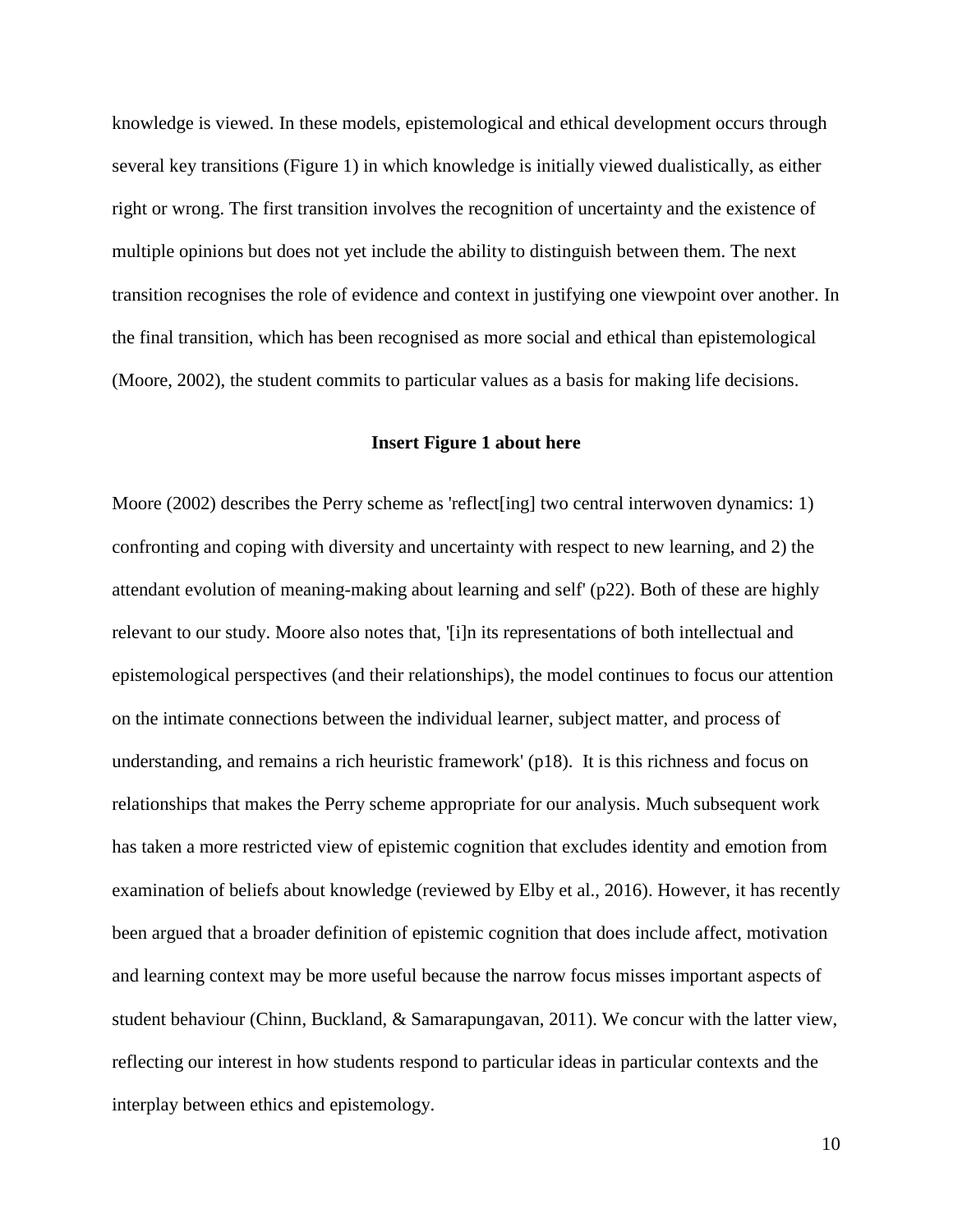knowledge is viewed. In these models, epistemological and ethical development occurs through several key transitions (Figure 1) in which knowledge is initially viewed dualistically, as either right or wrong. The first transition involves the recognition of uncertainty and the existence of multiple opinions but does not yet include the ability to distinguish between them. The next transition recognises the role of evidence and context in justifying one viewpoint over another. In the final transition, which has been recognised as more social and ethical than epistemological (Moore, 2002), the student commits to particular values as a basis for making life decisions.

### **Insert Figure 1 about here**

Moore (2002) describes the Perry scheme as 'reflect [ing] two central interwoven dynamics: 1) confronting and coping with diversity and uncertainty with respect to new learning, and 2) the attendant evolution of meaning-making about learning and self' (p22). Both of these are highly relevant to our study. Moore also notes that, '[i]n its representations of both intellectual and epistemological perspectives (and their relationships), the model continues to focus our attention on the intimate connections between the individual learner, subject matter, and process of understanding, and remains a rich heuristic framework' (p18). It is this richness and focus on relationships that makes the Perry scheme appropriate for our analysis. Much subsequent work has taken a more restricted view of epistemic cognition that excludes identity and emotion from examination of beliefs about knowledge (reviewed by Elby et al., 2016). However, it has recently been argued that a broader definition of epistemic cognition that does include affect, motivation and learning context may be more useful because the narrow focus misses important aspects of student behaviour (Chinn, Buckland, & Samarapungavan, 2011). We concur with the latter view, reflecting our interest in how students respond to particular ideas in particular contexts and the interplay between ethics and epistemology.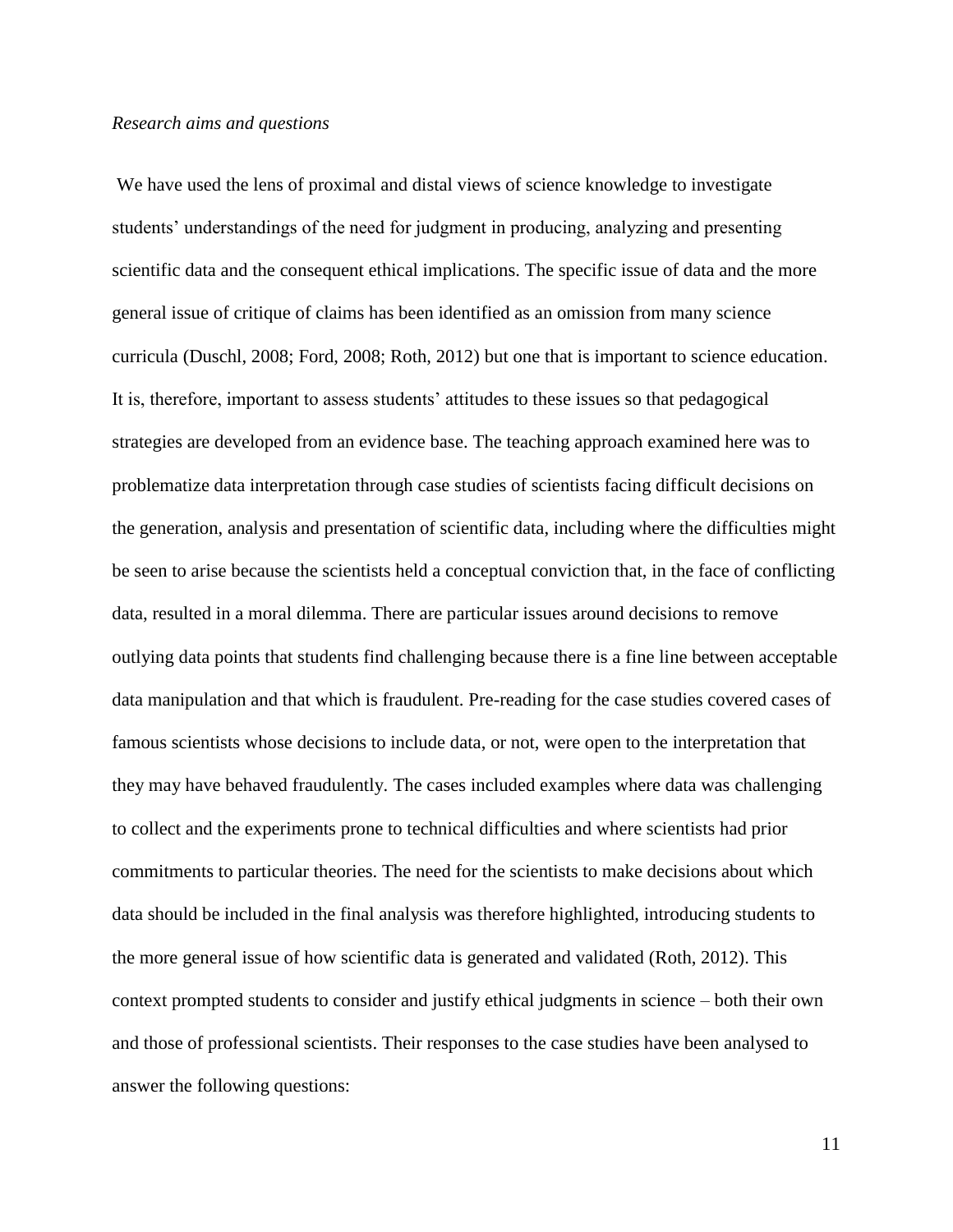#### *Research aims and questions*

We have used the lens of proximal and distal views of science knowledge to investigate students' understandings of the need for judgment in producing, analyzing and presenting scientific data and the consequent ethical implications. The specific issue of data and the more general issue of critique of claims has been identified as an omission from many science curricula (Duschl, 2008; Ford, 2008; Roth, 2012) but one that is important to science education. It is, therefore, important to assess students' attitudes to these issues so that pedagogical strategies are developed from an evidence base. The teaching approach examined here was to problematize data interpretation through case studies of scientists facing difficult decisions on the generation, analysis and presentation of scientific data, including where the difficulties might be seen to arise because the scientists held a conceptual conviction that, in the face of conflicting data, resulted in a moral dilemma. There are particular issues around decisions to remove outlying data points that students find challenging because there is a fine line between acceptable data manipulation and that which is fraudulent. Pre-reading for the case studies covered cases of famous scientists whose decisions to include data, or not, were open to the interpretation that they may have behaved fraudulently. The cases included examples where data was challenging to collect and the experiments prone to technical difficulties and where scientists had prior commitments to particular theories. The need for the scientists to make decisions about which data should be included in the final analysis was therefore highlighted, introducing students to the more general issue of how scientific data is generated and validated (Roth, 2012). This context prompted students to consider and justify ethical judgments in science – both their own and those of professional scientists. Their responses to the case studies have been analysed to answer the following questions: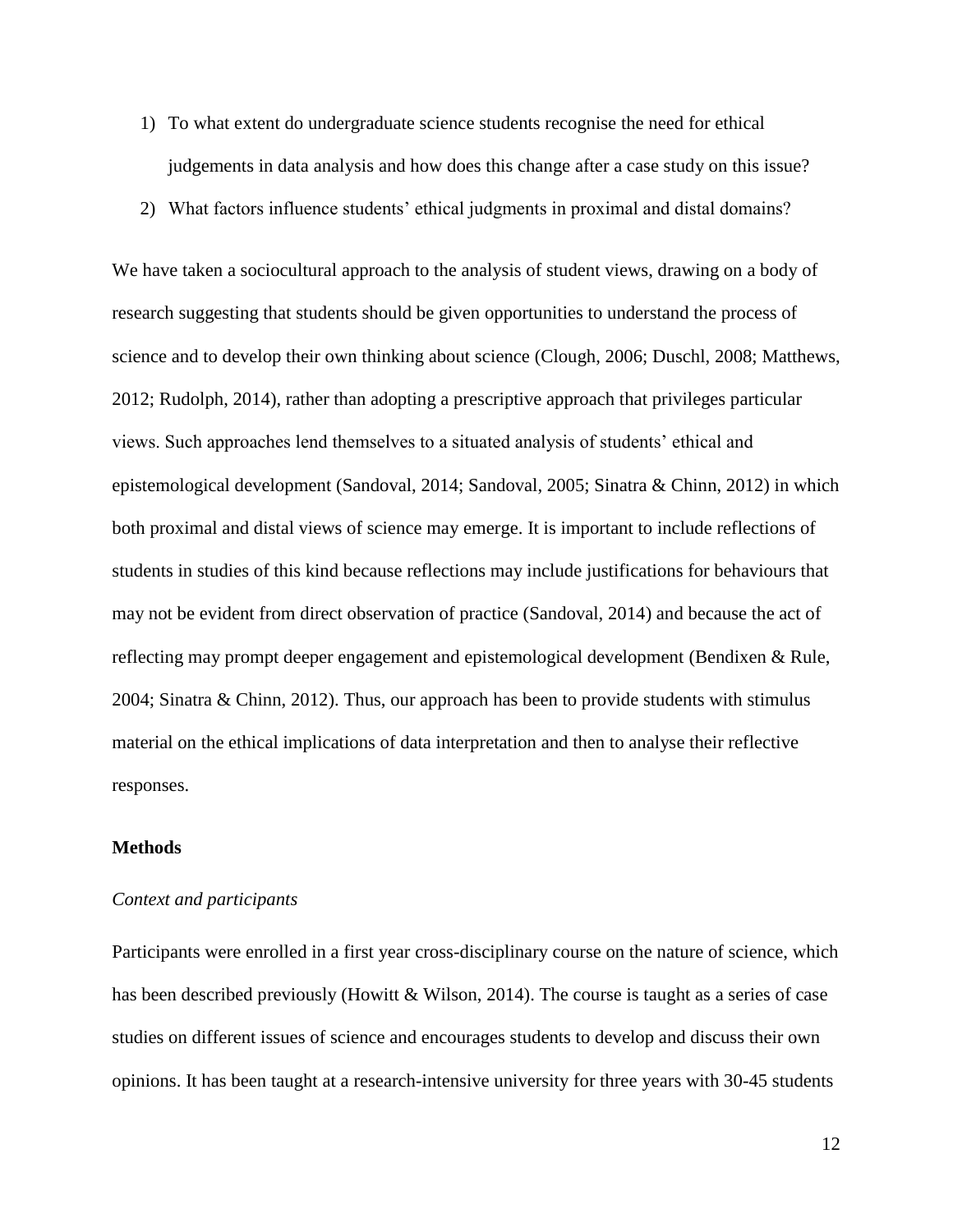- 1) To what extent do undergraduate science students recognise the need for ethical judgements in data analysis and how does this change after a case study on this issue?
- 2) What factors influence students' ethical judgments in proximal and distal domains?

We have taken a sociocultural approach to the analysis of student views, drawing on a body of research suggesting that students should be given opportunities to understand the process of science and to develop their own thinking about science (Clough, 2006; Duschl, 2008; Matthews, 2012; Rudolph, 2014), rather than adopting a prescriptive approach that privileges particular views. Such approaches lend themselves to a situated analysis of students' ethical and epistemological development (Sandoval, 2014; Sandoval, 2005; Sinatra & Chinn, 2012) in which both proximal and distal views of science may emerge. It is important to include reflections of students in studies of this kind because reflections may include justifications for behaviours that may not be evident from direct observation of practice (Sandoval, 2014) and because the act of reflecting may prompt deeper engagement and epistemological development (Bendixen & Rule, 2004; Sinatra & Chinn, 2012). Thus, our approach has been to provide students with stimulus material on the ethical implications of data interpretation and then to analyse their reflective responses.

## **Methods**

## *Context and participants*

Participants were enrolled in a first year cross-disciplinary course on the nature of science, which has been described previously (Howitt & Wilson, 2014). The course is taught as a series of case studies on different issues of science and encourages students to develop and discuss their own opinions. It has been taught at a research-intensive university for three years with 30-45 students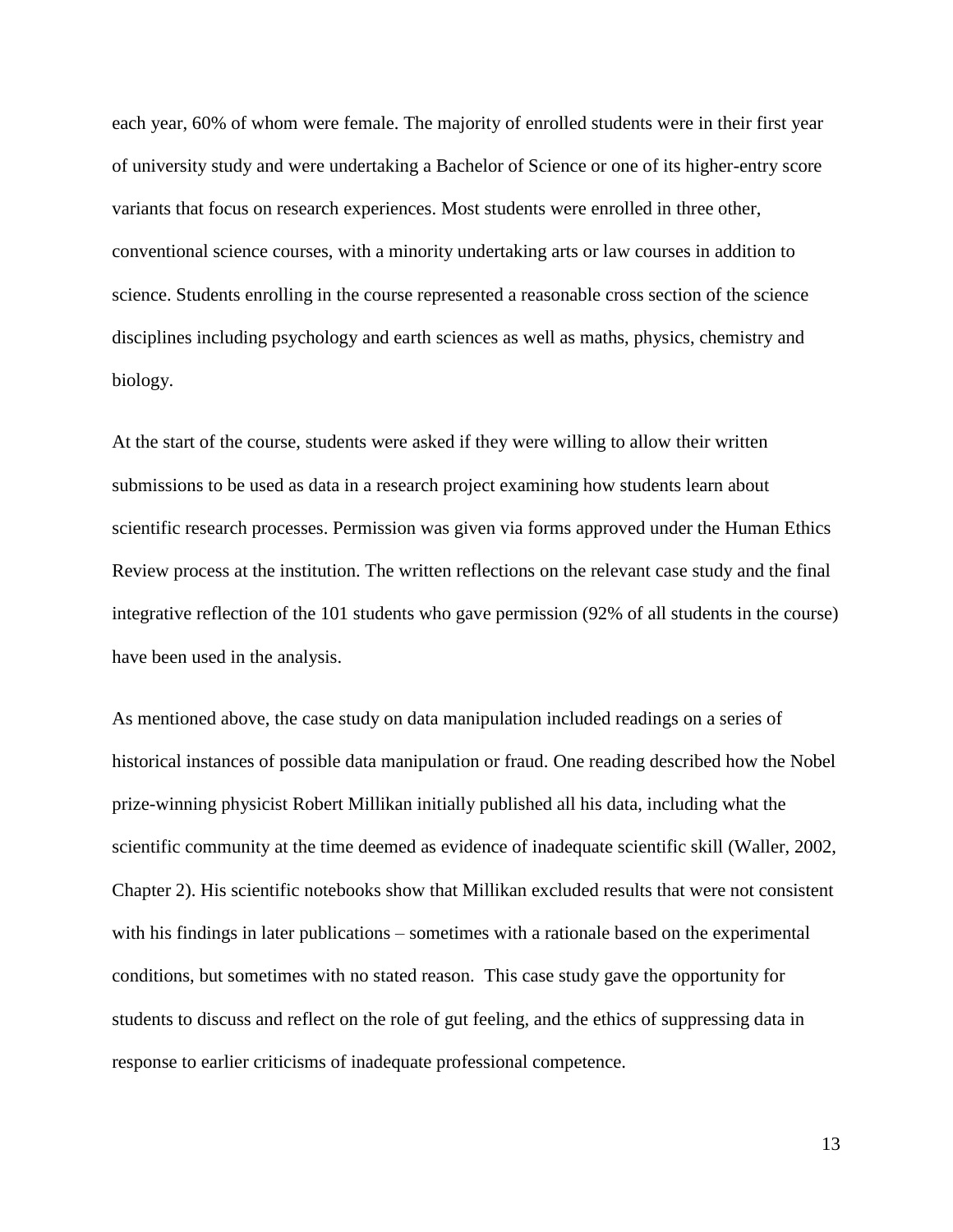each year, 60% of whom were female. The majority of enrolled students were in their first year of university study and were undertaking a Bachelor of Science or one of its higher-entry score variants that focus on research experiences. Most students were enrolled in three other, conventional science courses, with a minority undertaking arts or law courses in addition to science. Students enrolling in the course represented a reasonable cross section of the science disciplines including psychology and earth sciences as well as maths, physics, chemistry and biology.

At the start of the course, students were asked if they were willing to allow their written submissions to be used as data in a research project examining how students learn about scientific research processes. Permission was given via forms approved under the Human Ethics Review process at the institution. The written reflections on the relevant case study and the final integrative reflection of the 101 students who gave permission (92% of all students in the course) have been used in the analysis.

As mentioned above, the case study on data manipulation included readings on a series of historical instances of possible data manipulation or fraud. One reading described how the Nobel prize-winning physicist Robert Millikan initially published all his data, including what the scientific community at the time deemed as evidence of inadequate scientific skill (Waller, 2002, Chapter 2). His scientific notebooks show that Millikan excluded results that were not consistent with his findings in later publications – sometimes with a rationale based on the experimental conditions, but sometimes with no stated reason. This case study gave the opportunity for students to discuss and reflect on the role of gut feeling, and the ethics of suppressing data in response to earlier criticisms of inadequate professional competence.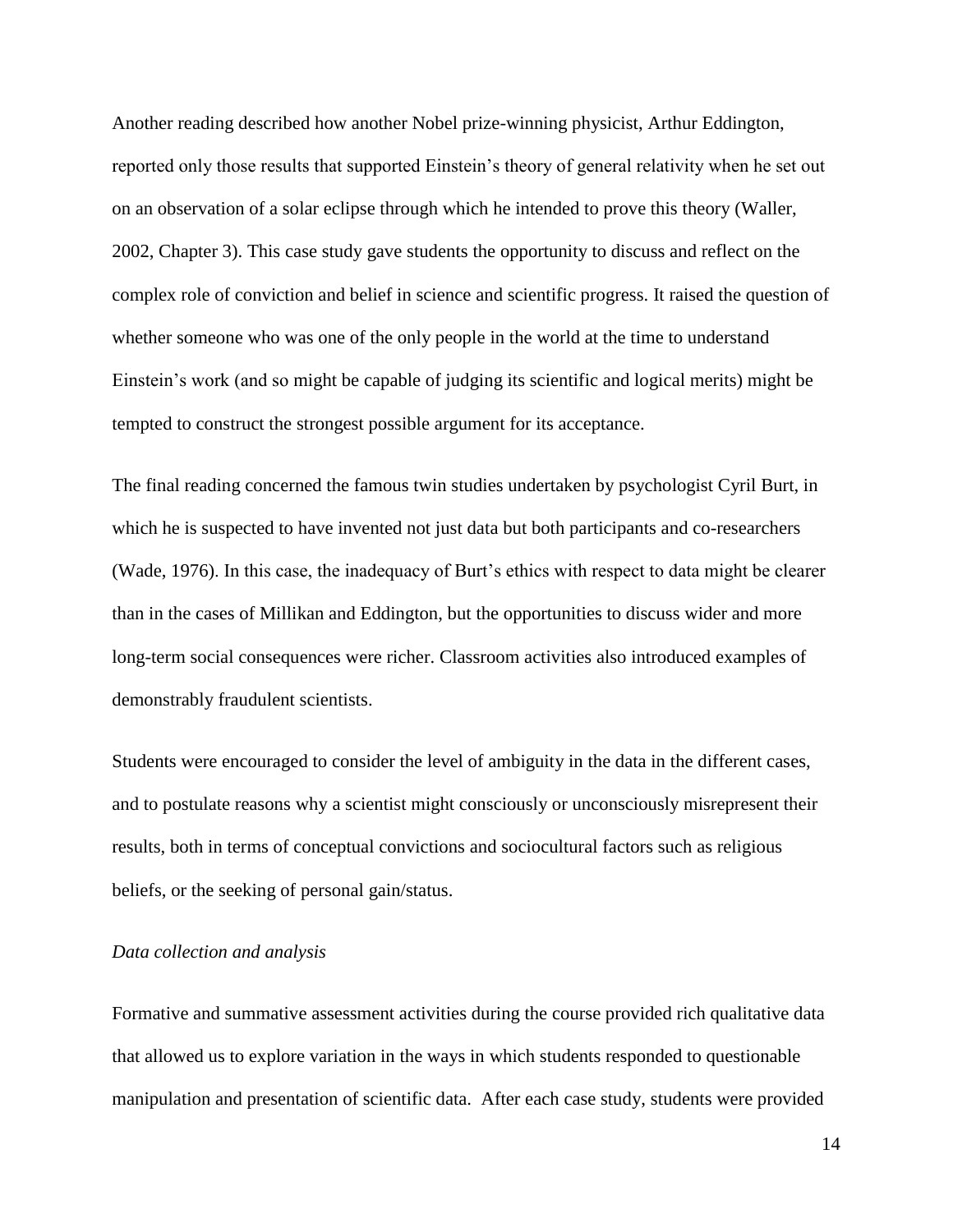Another reading described how another Nobel prize-winning physicist, Arthur Eddington, reported only those results that supported Einstein's theory of general relativity when he set out on an observation of a solar eclipse through which he intended to prove this theory (Waller, 2002, Chapter 3). This case study gave students the opportunity to discuss and reflect on the complex role of conviction and belief in science and scientific progress. It raised the question of whether someone who was one of the only people in the world at the time to understand Einstein's work (and so might be capable of judging its scientific and logical merits) might be tempted to construct the strongest possible argument for its acceptance.

The final reading concerned the famous twin studies undertaken by psychologist Cyril Burt, in which he is suspected to have invented not just data but both participants and co-researchers (Wade, 1976). In this case, the inadequacy of Burt's ethics with respect to data might be clearer than in the cases of Millikan and Eddington, but the opportunities to discuss wider and more long-term social consequences were richer. Classroom activities also introduced examples of demonstrably fraudulent scientists.

Students were encouraged to consider the level of ambiguity in the data in the different cases, and to postulate reasons why a scientist might consciously or unconsciously misrepresent their results, both in terms of conceptual convictions and sociocultural factors such as religious beliefs, or the seeking of personal gain/status.

## *Data collection and analysis*

Formative and summative assessment activities during the course provided rich qualitative data that allowed us to explore variation in the ways in which students responded to questionable manipulation and presentation of scientific data. After each case study, students were provided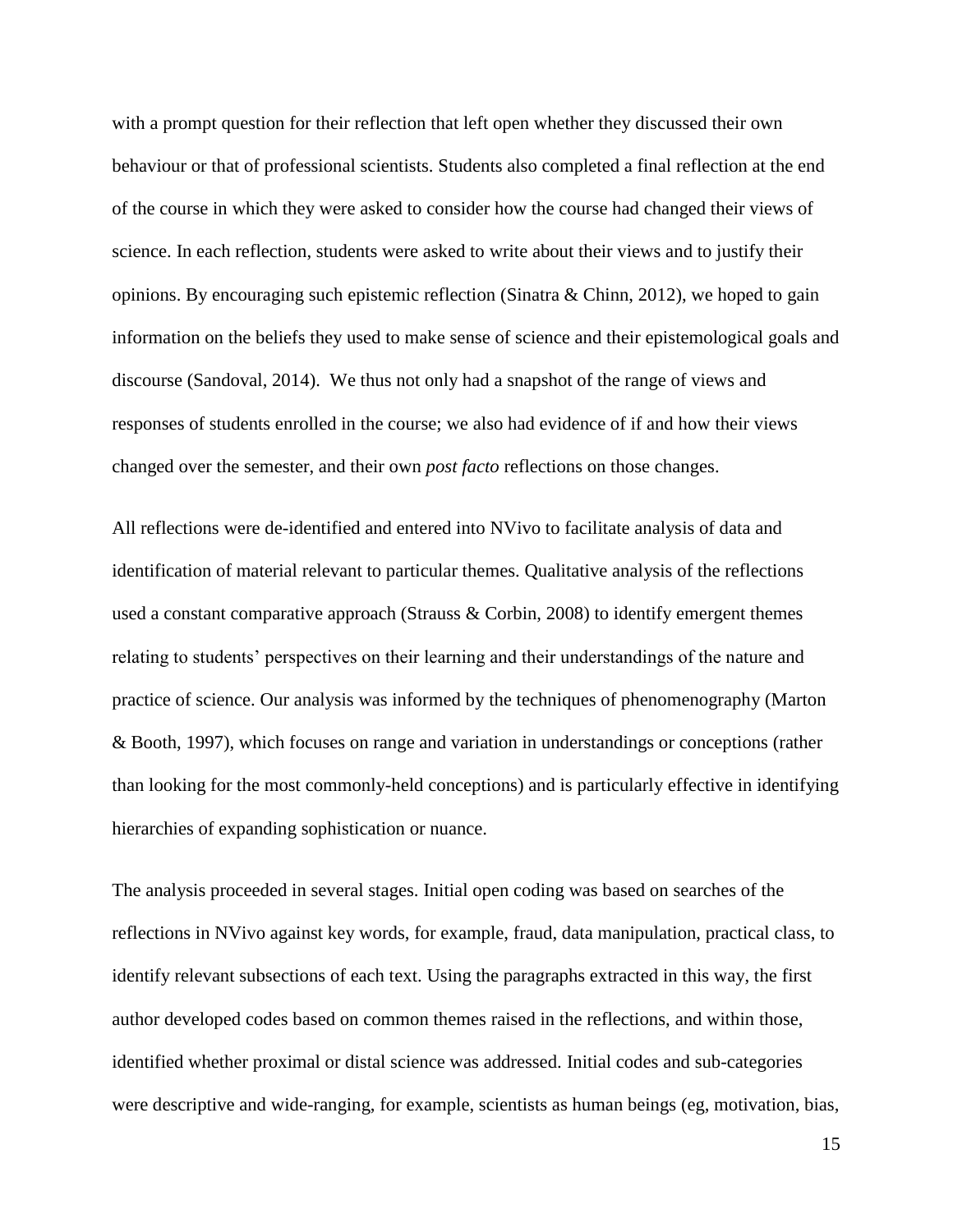with a prompt question for their reflection that left open whether they discussed their own behaviour or that of professional scientists. Students also completed a final reflection at the end of the course in which they were asked to consider how the course had changed their views of science. In each reflection, students were asked to write about their views and to justify their opinions. By encouraging such epistemic reflection (Sinatra & Chinn, 2012), we hoped to gain information on the beliefs they used to make sense of science and their epistemological goals and discourse (Sandoval, 2014). We thus not only had a snapshot of the range of views and responses of students enrolled in the course; we also had evidence of if and how their views changed over the semester, and their own *post facto* reflections on those changes.

All reflections were de-identified and entered into NVivo to facilitate analysis of data and identification of material relevant to particular themes. Qualitative analysis of the reflections used a constant comparative approach (Strauss & Corbin, 2008) to identify emergent themes relating to students' perspectives on their learning and their understandings of the nature and practice of science. Our analysis was informed by the techniques of phenomenography (Marton & Booth, 1997), which focuses on range and variation in understandings or conceptions (rather than looking for the most commonly-held conceptions) and is particularly effective in identifying hierarchies of expanding sophistication or nuance.

The analysis proceeded in several stages. Initial open coding was based on searches of the reflections in NVivo against key words, for example, fraud, data manipulation, practical class, to identify relevant subsections of each text. Using the paragraphs extracted in this way, the first author developed codes based on common themes raised in the reflections, and within those, identified whether proximal or distal science was addressed. Initial codes and sub-categories were descriptive and wide-ranging, for example, scientists as human beings (eg, motivation, bias,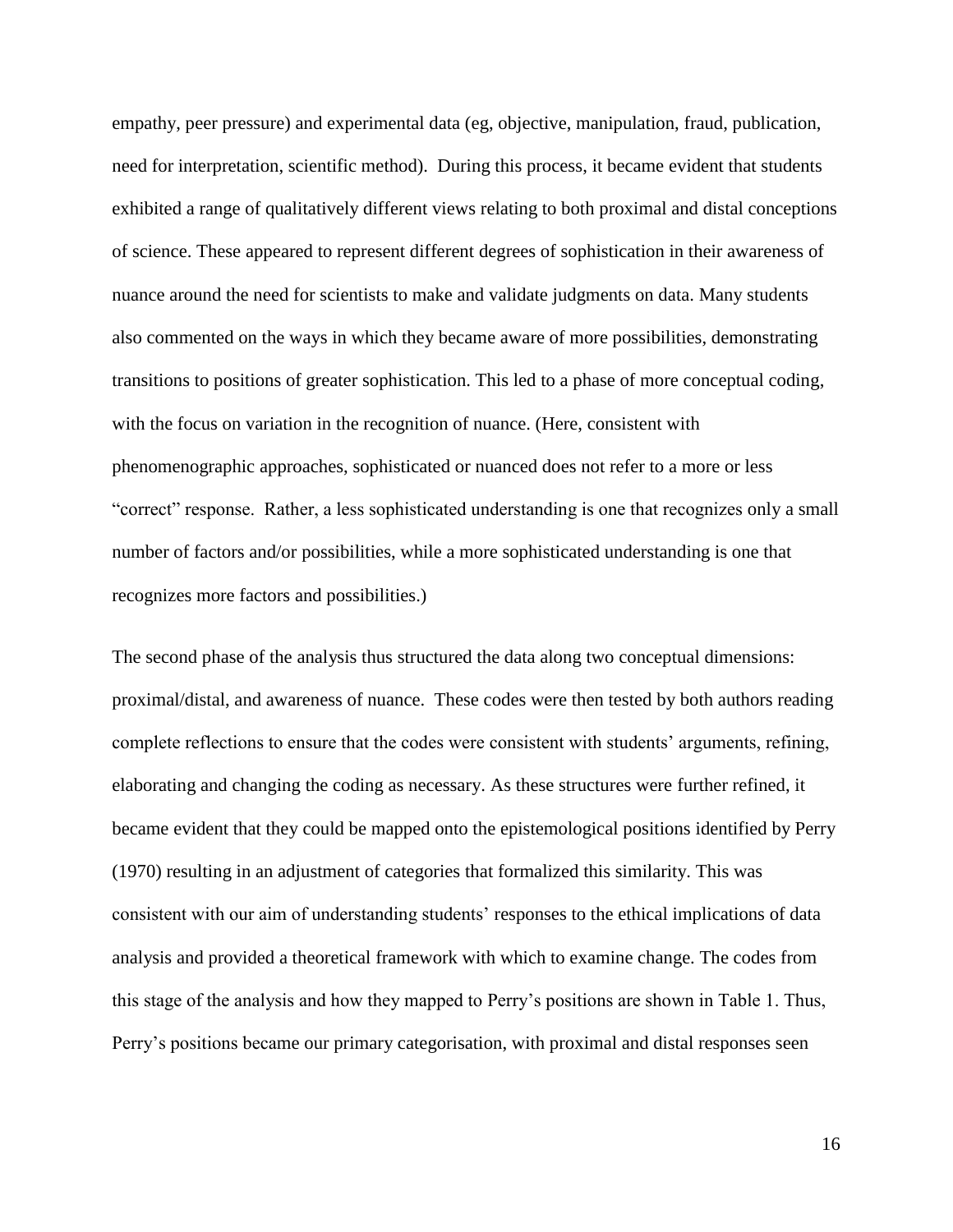empathy, peer pressure) and experimental data (eg, objective, manipulation, fraud, publication, need for interpretation, scientific method). During this process, it became evident that students exhibited a range of qualitatively different views relating to both proximal and distal conceptions of science. These appeared to represent different degrees of sophistication in their awareness of nuance around the need for scientists to make and validate judgments on data. Many students also commented on the ways in which they became aware of more possibilities, demonstrating transitions to positions of greater sophistication. This led to a phase of more conceptual coding, with the focus on variation in the recognition of nuance. (Here, consistent with phenomenographic approaches, sophisticated or nuanced does not refer to a more or less "correct" response. Rather, a less sophisticated understanding is one that recognizes only a small number of factors and/or possibilities, while a more sophisticated understanding is one that recognizes more factors and possibilities.)

The second phase of the analysis thus structured the data along two conceptual dimensions: proximal/distal, and awareness of nuance. These codes were then tested by both authors reading complete reflections to ensure that the codes were consistent with students' arguments, refining, elaborating and changing the coding as necessary. As these structures were further refined, it became evident that they could be mapped onto the epistemological positions identified by Perry (1970) resulting in an adjustment of categories that formalized this similarity. This was consistent with our aim of understanding students' responses to the ethical implications of data analysis and provided a theoretical framework with which to examine change. The codes from this stage of the analysis and how they mapped to Perry's positions are shown in Table 1. Thus, Perry's positions became our primary categorisation, with proximal and distal responses seen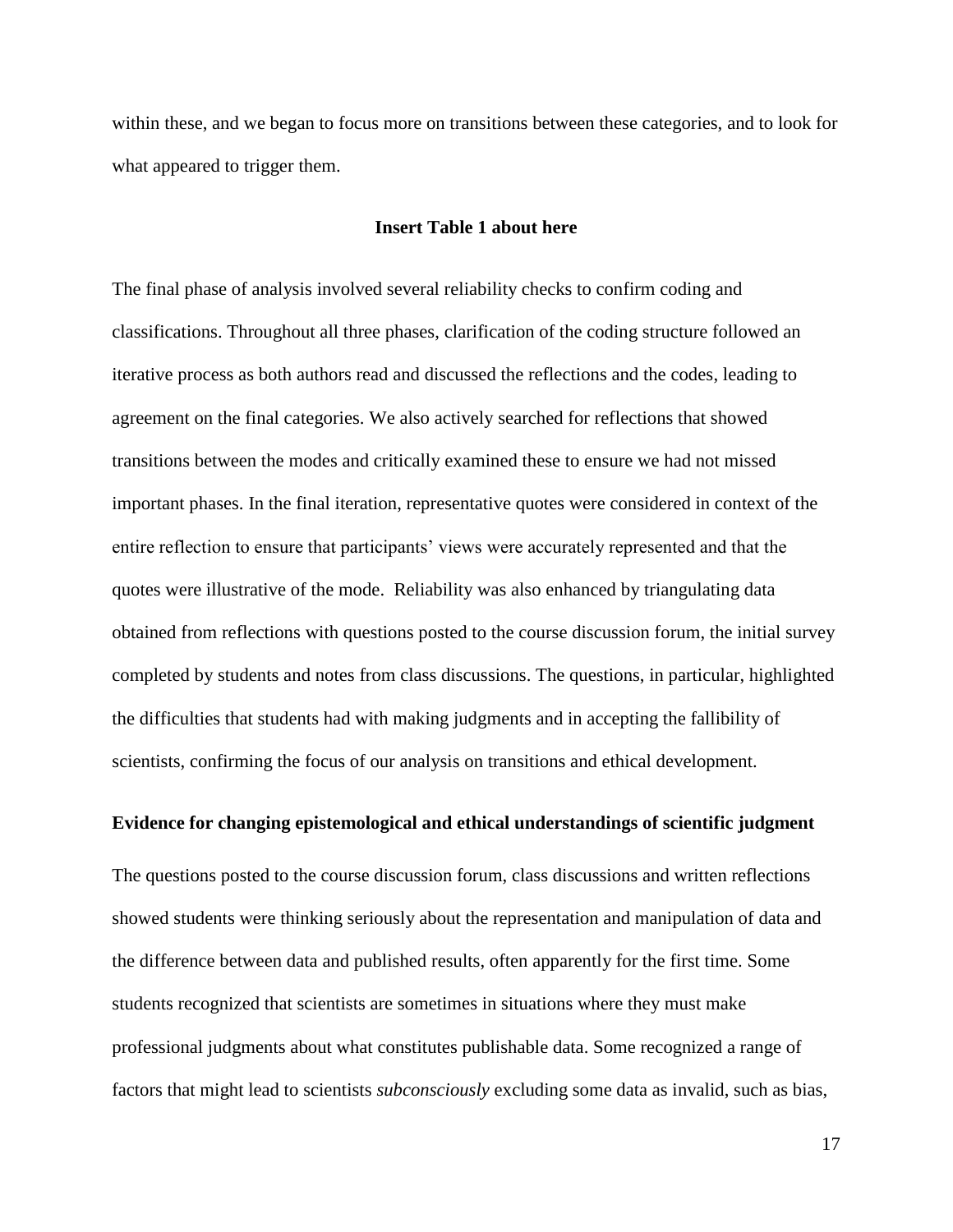within these, and we began to focus more on transitions between these categories, and to look for what appeared to trigger them.

#### **Insert Table 1 about here**

The final phase of analysis involved several reliability checks to confirm coding and classifications. Throughout all three phases, clarification of the coding structure followed an iterative process as both authors read and discussed the reflections and the codes, leading to agreement on the final categories. We also actively searched for reflections that showed transitions between the modes and critically examined these to ensure we had not missed important phases. In the final iteration, representative quotes were considered in context of the entire reflection to ensure that participants' views were accurately represented and that the quotes were illustrative of the mode. Reliability was also enhanced by triangulating data obtained from reflections with questions posted to the course discussion forum, the initial survey completed by students and notes from class discussions. The questions, in particular, highlighted the difficulties that students had with making judgments and in accepting the fallibility of scientists, confirming the focus of our analysis on transitions and ethical development.

## **Evidence for changing epistemological and ethical understandings of scientific judgment**

The questions posted to the course discussion forum, class discussions and written reflections showed students were thinking seriously about the representation and manipulation of data and the difference between data and published results, often apparently for the first time. Some students recognized that scientists are sometimes in situations where they must make professional judgments about what constitutes publishable data. Some recognized a range of factors that might lead to scientists *subconsciously* excluding some data as invalid, such as bias,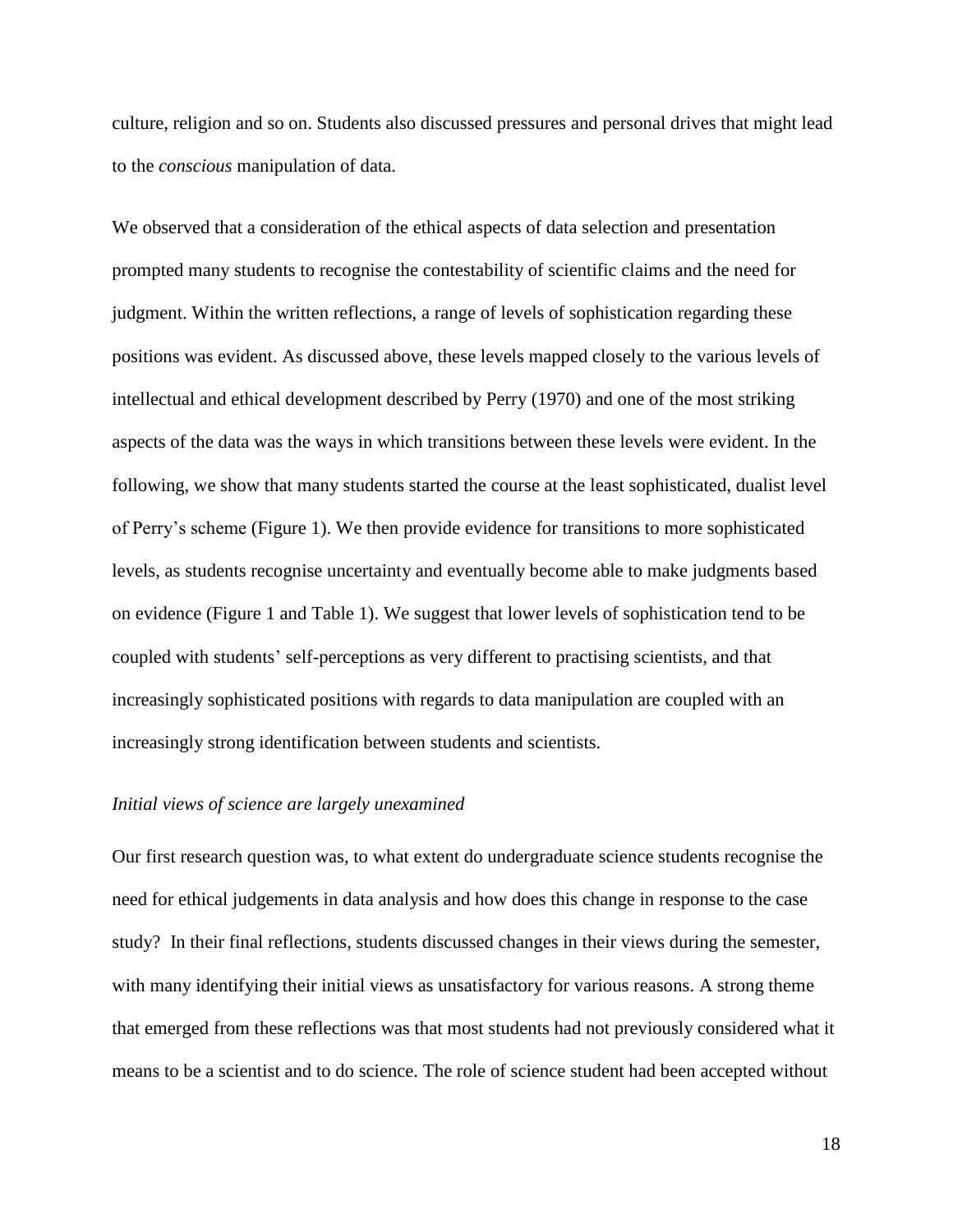culture, religion and so on. Students also discussed pressures and personal drives that might lead to the *conscious* manipulation of data.

We observed that a consideration of the ethical aspects of data selection and presentation prompted many students to recognise the contestability of scientific claims and the need for judgment. Within the written reflections, a range of levels of sophistication regarding these positions was evident. As discussed above, these levels mapped closely to the various levels of intellectual and ethical development described by Perry (1970) and one of the most striking aspects of the data was the ways in which transitions between these levels were evident. In the following, we show that many students started the course at the least sophisticated, dualist level of Perry's scheme (Figure 1). We then provide evidence for transitions to more sophisticated levels, as students recognise uncertainty and eventually become able to make judgments based on evidence (Figure 1 and Table 1). We suggest that lower levels of sophistication tend to be coupled with students' self-perceptions as very different to practising scientists, and that increasingly sophisticated positions with regards to data manipulation are coupled with an increasingly strong identification between students and scientists.

## *Initial views of science are largely unexamined*

Our first research question was, to what extent do undergraduate science students recognise the need for ethical judgements in data analysis and how does this change in response to the case study? In their final reflections, students discussed changes in their views during the semester, with many identifying their initial views as unsatisfactory for various reasons. A strong theme that emerged from these reflections was that most students had not previously considered what it means to be a scientist and to do science. The role of science student had been accepted without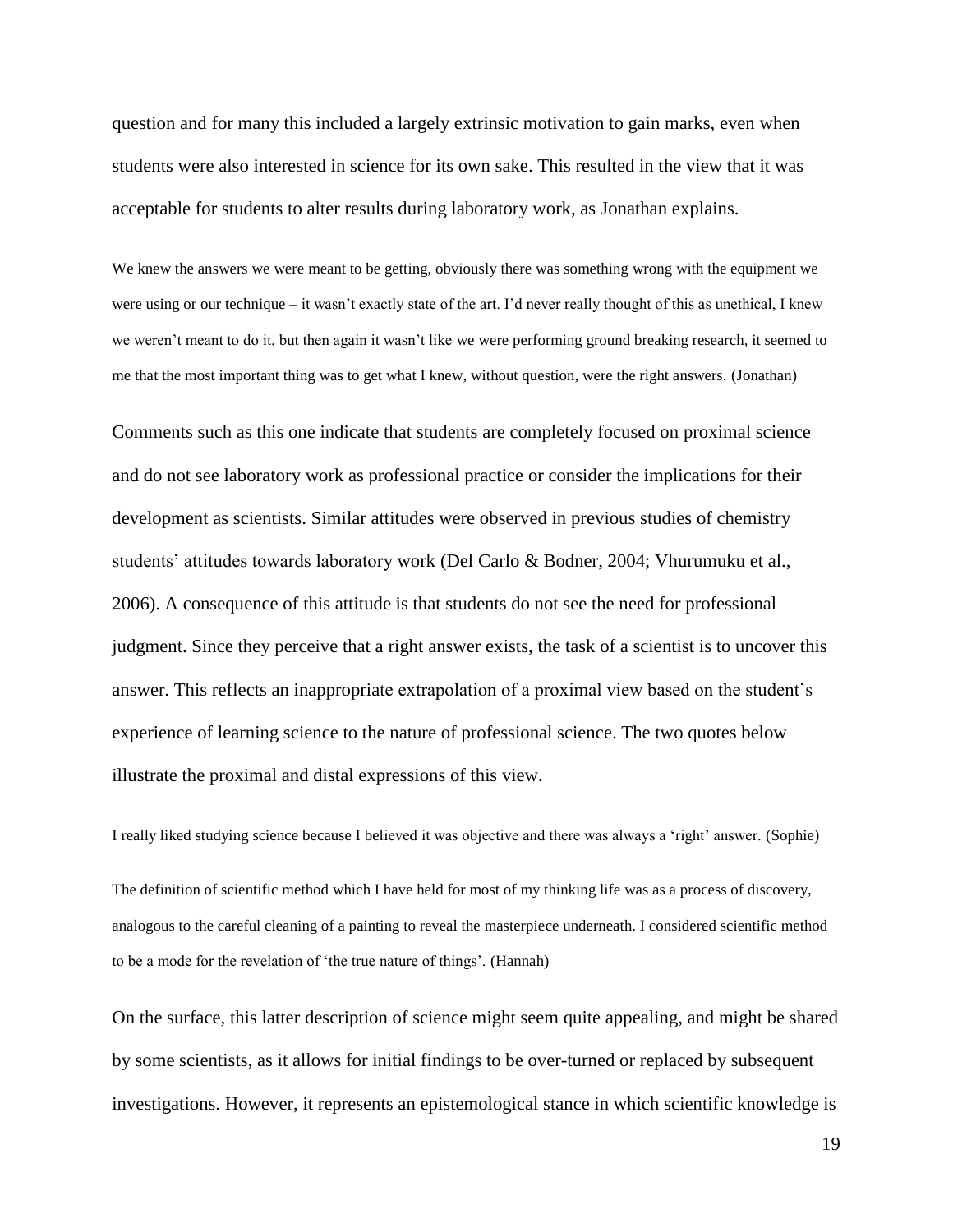question and for many this included a largely extrinsic motivation to gain marks, even when students were also interested in science for its own sake. This resulted in the view that it was acceptable for students to alter results during laboratory work, as Jonathan explains.

We knew the answers we were meant to be getting, obviously there was something wrong with the equipment we were using or our technique – it wasn't exactly state of the art. I'd never really thought of this as unethical, I knew we weren't meant to do it, but then again it wasn't like we were performing ground breaking research, it seemed to me that the most important thing was to get what I knew, without question, were the right answers. (Jonathan)

Comments such as this one indicate that students are completely focused on proximal science and do not see laboratory work as professional practice or consider the implications for their development as scientists. Similar attitudes were observed in previous studies of chemistry students' attitudes towards laboratory work (Del Carlo & Bodner, 2004; Vhurumuku et al., 2006). A consequence of this attitude is that students do not see the need for professional judgment. Since they perceive that a right answer exists, the task of a scientist is to uncover this answer. This reflects an inappropriate extrapolation of a proximal view based on the student's experience of learning science to the nature of professional science. The two quotes below illustrate the proximal and distal expressions of this view.

I really liked studying science because I believed it was objective and there was always a 'right' answer. (Sophie)

The definition of scientific method which I have held for most of my thinking life was as a process of discovery, analogous to the careful cleaning of a painting to reveal the masterpiece underneath. I considered scientific method to be a mode for the revelation of 'the true nature of things'. (Hannah)

On the surface, this latter description of science might seem quite appealing, and might be shared by some scientists, as it allows for initial findings to be over-turned or replaced by subsequent investigations. However, it represents an epistemological stance in which scientific knowledge is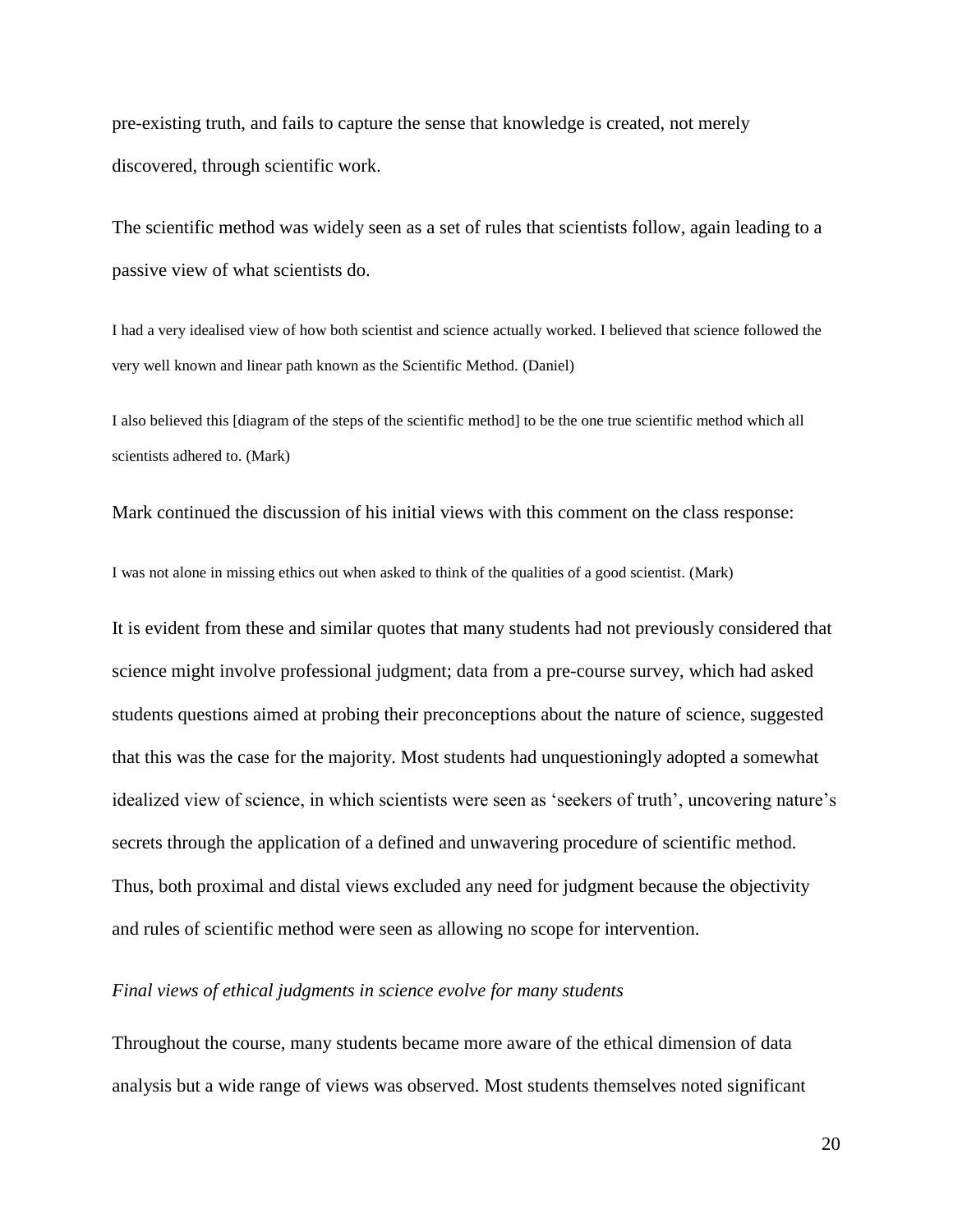pre-existing truth, and fails to capture the sense that knowledge is created, not merely discovered, through scientific work.

The scientific method was widely seen as a set of rules that scientists follow, again leading to a passive view of what scientists do.

I had a very idealised view of how both scientist and science actually worked. I believed that science followed the very well known and linear path known as the Scientific Method. (Daniel)

I also believed this [diagram of the steps of the scientific method] to be the one true scientific method which all scientists adhered to. (Mark)

Mark continued the discussion of his initial views with this comment on the class response:

I was not alone in missing ethics out when asked to think of the qualities of a good scientist. (Mark)

It is evident from these and similar quotes that many students had not previously considered that science might involve professional judgment; data from a pre-course survey, which had asked students questions aimed at probing their preconceptions about the nature of science, suggested that this was the case for the majority. Most students had unquestioningly adopted a somewhat idealized view of science, in which scientists were seen as 'seekers of truth', uncovering nature's secrets through the application of a defined and unwavering procedure of scientific method. Thus, both proximal and distal views excluded any need for judgment because the objectivity and rules of scientific method were seen as allowing no scope for intervention.

### *Final views of ethical judgments in science evolve for many students*

Throughout the course, many students became more aware of the ethical dimension of data analysis but a wide range of views was observed. Most students themselves noted significant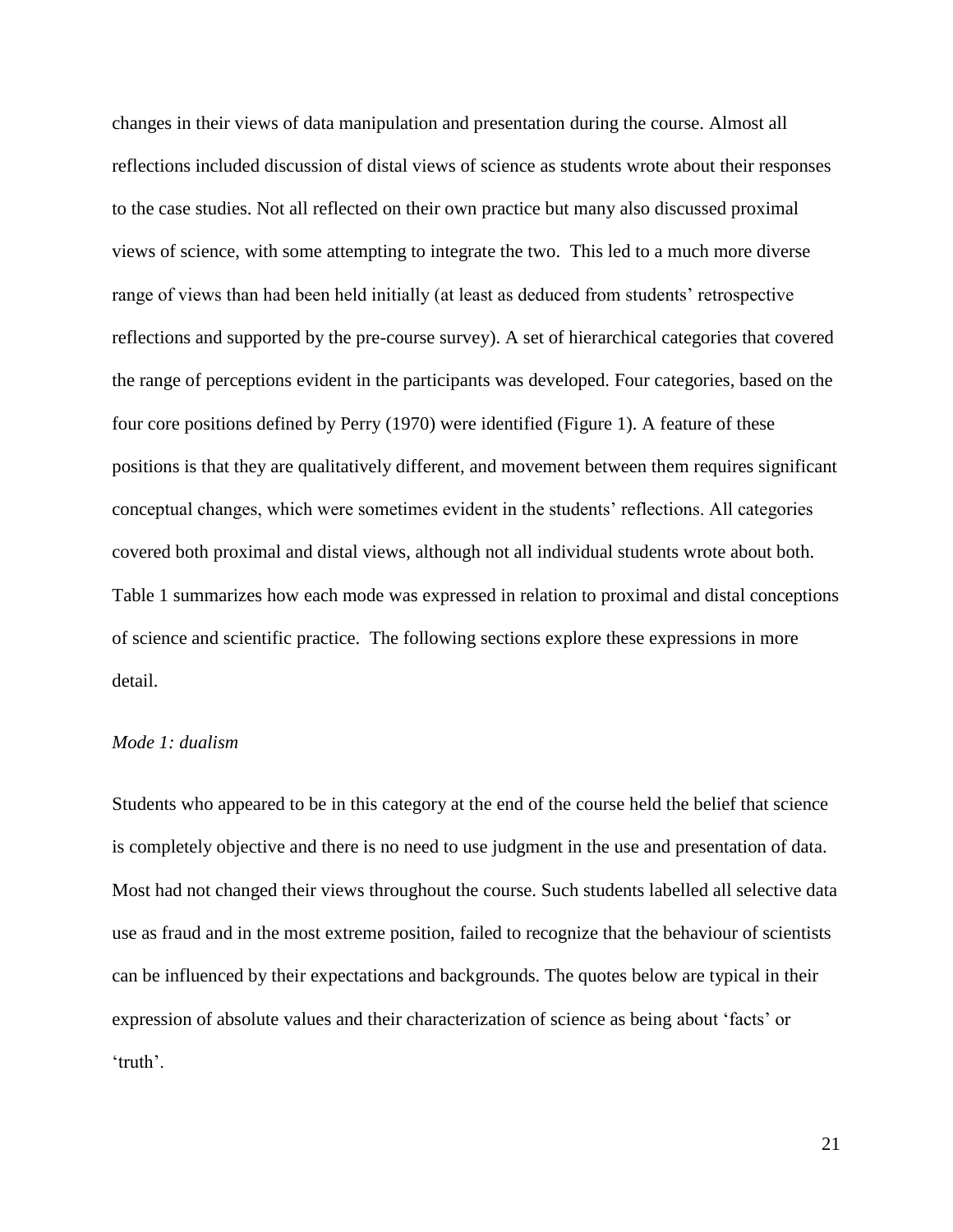changes in their views of data manipulation and presentation during the course. Almost all reflections included discussion of distal views of science as students wrote about their responses to the case studies. Not all reflected on their own practice but many also discussed proximal views of science, with some attempting to integrate the two. This led to a much more diverse range of views than had been held initially (at least as deduced from students' retrospective reflections and supported by the pre-course survey). A set of hierarchical categories that covered the range of perceptions evident in the participants was developed. Four categories, based on the four core positions defined by Perry (1970) were identified (Figure 1). A feature of these positions is that they are qualitatively different, and movement between them requires significant conceptual changes, which were sometimes evident in the students' reflections. All categories covered both proximal and distal views, although not all individual students wrote about both. Table 1 summarizes how each mode was expressed in relation to proximal and distal conceptions of science and scientific practice. The following sections explore these expressions in more detail.

## *Mode 1: dualism*

Students who appeared to be in this category at the end of the course held the belief that science is completely objective and there is no need to use judgment in the use and presentation of data. Most had not changed their views throughout the course. Such students labelled all selective data use as fraud and in the most extreme position, failed to recognize that the behaviour of scientists can be influenced by their expectations and backgrounds. The quotes below are typical in their expression of absolute values and their characterization of science as being about 'facts' or 'truth'.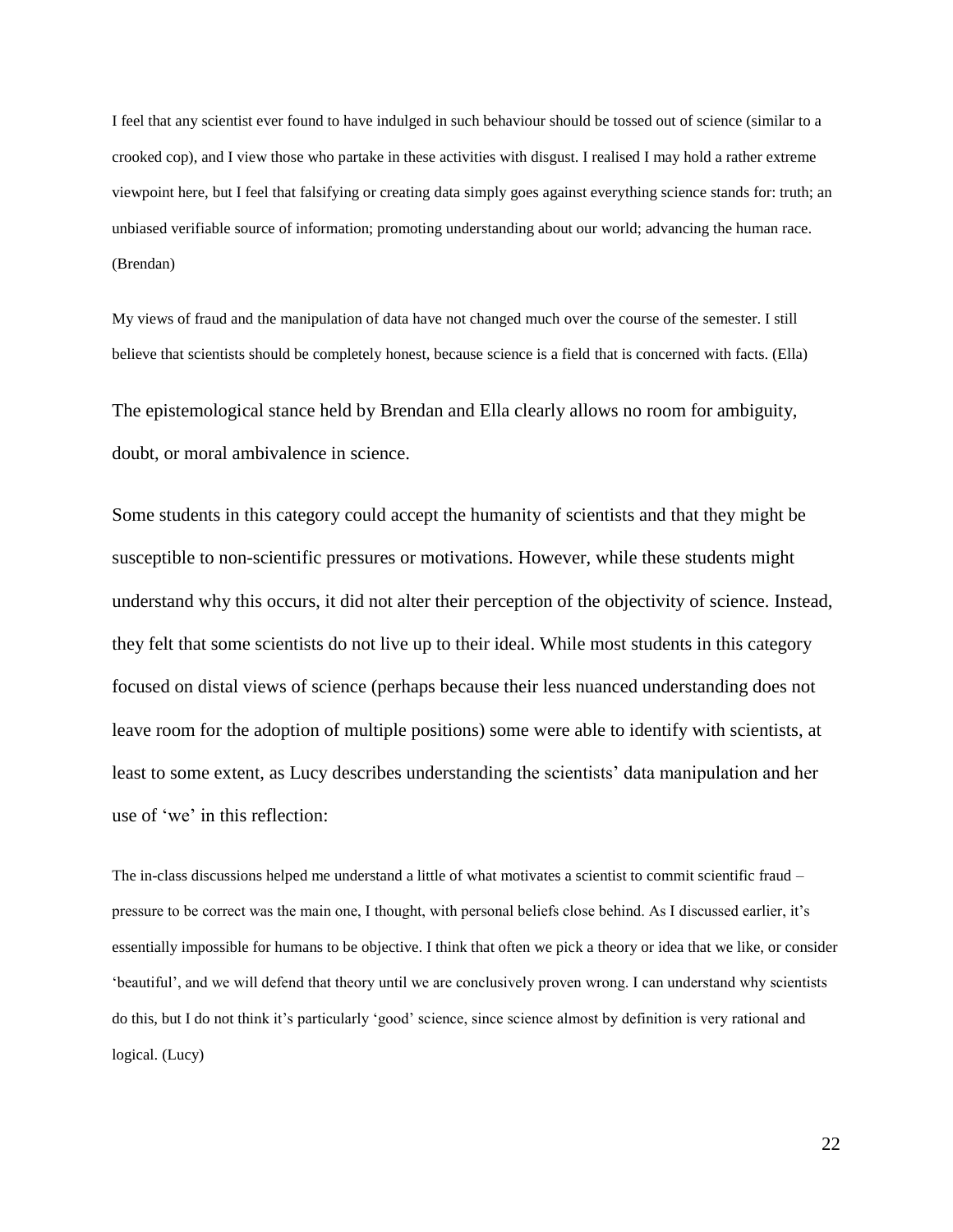I feel that any scientist ever found to have indulged in such behaviour should be tossed out of science (similar to a crooked cop), and I view those who partake in these activities with disgust. I realised I may hold a rather extreme viewpoint here, but I feel that falsifying or creating data simply goes against everything science stands for: truth; an unbiased verifiable source of information; promoting understanding about our world; advancing the human race. (Brendan)

My views of fraud and the manipulation of data have not changed much over the course of the semester. I still believe that scientists should be completely honest, because science is a field that is concerned with facts. (Ella)

The epistemological stance held by Brendan and Ella clearly allows no room for ambiguity, doubt, or moral ambivalence in science.

Some students in this category could accept the humanity of scientists and that they might be susceptible to non-scientific pressures or motivations. However, while these students might understand why this occurs, it did not alter their perception of the objectivity of science. Instead, they felt that some scientists do not live up to their ideal. While most students in this category focused on distal views of science (perhaps because their less nuanced understanding does not leave room for the adoption of multiple positions) some were able to identify with scientists, at least to some extent, as Lucy describes understanding the scientists' data manipulation and her use of 'we' in this reflection:

The in-class discussions helped me understand a little of what motivates a scientist to commit scientific fraud – pressure to be correct was the main one, I thought, with personal beliefs close behind. As I discussed earlier, it's essentially impossible for humans to be objective. I think that often we pick a theory or idea that we like, or consider 'beautiful', and we will defend that theory until we are conclusively proven wrong. I can understand why scientists do this, but I do not think it's particularly 'good' science, since science almost by definition is very rational and logical. (Lucy)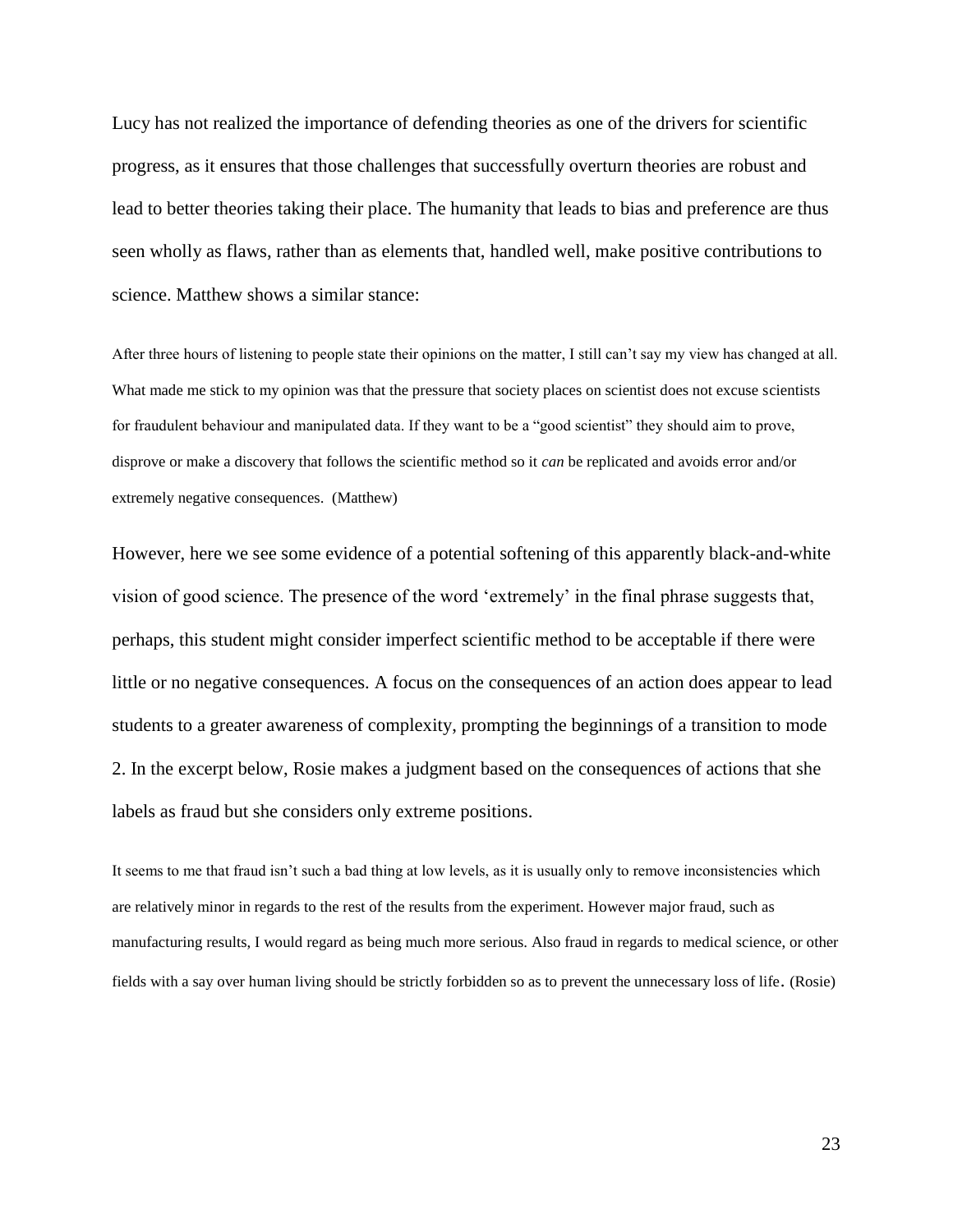Lucy has not realized the importance of defending theories as one of the drivers for scientific progress, as it ensures that those challenges that successfully overturn theories are robust and lead to better theories taking their place. The humanity that leads to bias and preference are thus seen wholly as flaws, rather than as elements that, handled well, make positive contributions to science. Matthew shows a similar stance:

After three hours of listening to people state their opinions on the matter, I still can't say my view has changed at all. What made me stick to my opinion was that the pressure that society places on scientist does not excuse scientists for fraudulent behaviour and manipulated data. If they want to be a "good scientist" they should aim to prove, disprove or make a discovery that follows the scientific method so it *can* be replicated and avoids error and/or extremely negative consequences. (Matthew)

However, here we see some evidence of a potential softening of this apparently black-and-white vision of good science. The presence of the word 'extremely' in the final phrase suggests that, perhaps, this student might consider imperfect scientific method to be acceptable if there were little or no negative consequences. A focus on the consequences of an action does appear to lead students to a greater awareness of complexity, prompting the beginnings of a transition to mode 2. In the excerpt below, Rosie makes a judgment based on the consequences of actions that she labels as fraud but she considers only extreme positions.

It seems to me that fraud isn't such a bad thing at low levels, as it is usually only to remove inconsistencies which are relatively minor in regards to the rest of the results from the experiment. However major fraud, such as manufacturing results, I would regard as being much more serious. Also fraud in regards to medical science, or other fields with a say over human living should be strictly forbidden so as to prevent the unnecessary loss of life. (Rosie)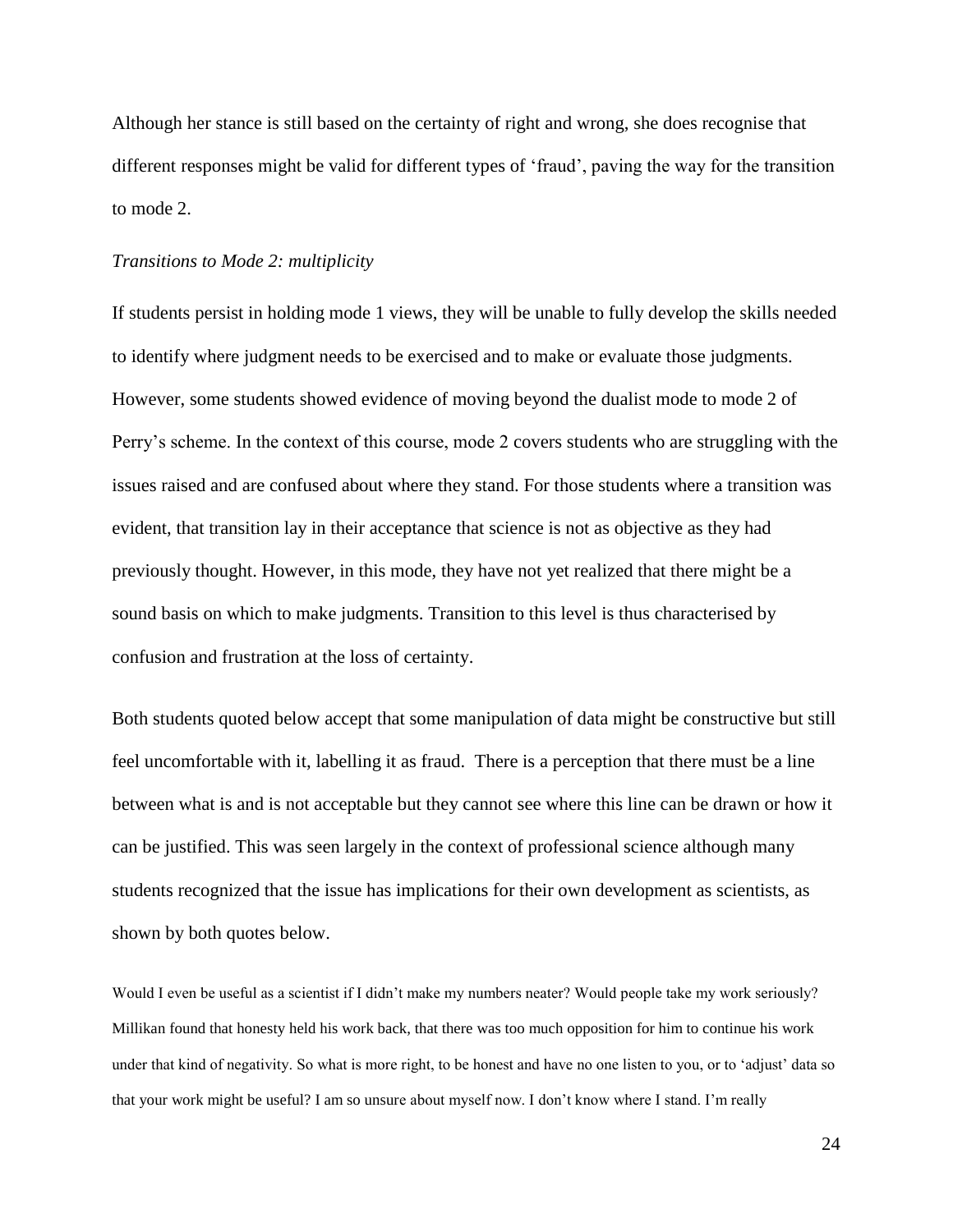Although her stance is still based on the certainty of right and wrong, she does recognise that different responses might be valid for different types of 'fraud', paving the way for the transition to mode 2.

#### *Transitions to Mode 2: multiplicity*

If students persist in holding mode 1 views, they will be unable to fully develop the skills needed to identify where judgment needs to be exercised and to make or evaluate those judgments. However, some students showed evidence of moving beyond the dualist mode to mode 2 of Perry's scheme. In the context of this course, mode 2 covers students who are struggling with the issues raised and are confused about where they stand. For those students where a transition was evident, that transition lay in their acceptance that science is not as objective as they had previously thought. However, in this mode, they have not yet realized that there might be a sound basis on which to make judgments. Transition to this level is thus characterised by confusion and frustration at the loss of certainty.

Both students quoted below accept that some manipulation of data might be constructive but still feel uncomfortable with it, labelling it as fraud. There is a perception that there must be a line between what is and is not acceptable but they cannot see where this line can be drawn or how it can be justified. This was seen largely in the context of professional science although many students recognized that the issue has implications for their own development as scientists, as shown by both quotes below.

Would I even be useful as a scientist if I didn't make my numbers neater? Would people take my work seriously? Millikan found that honesty held his work back, that there was too much opposition for him to continue his work under that kind of negativity. So what is more right, to be honest and have no one listen to you, or to 'adjust' data so that your work might be useful? I am so unsure about myself now. I don't know where I stand. I'm really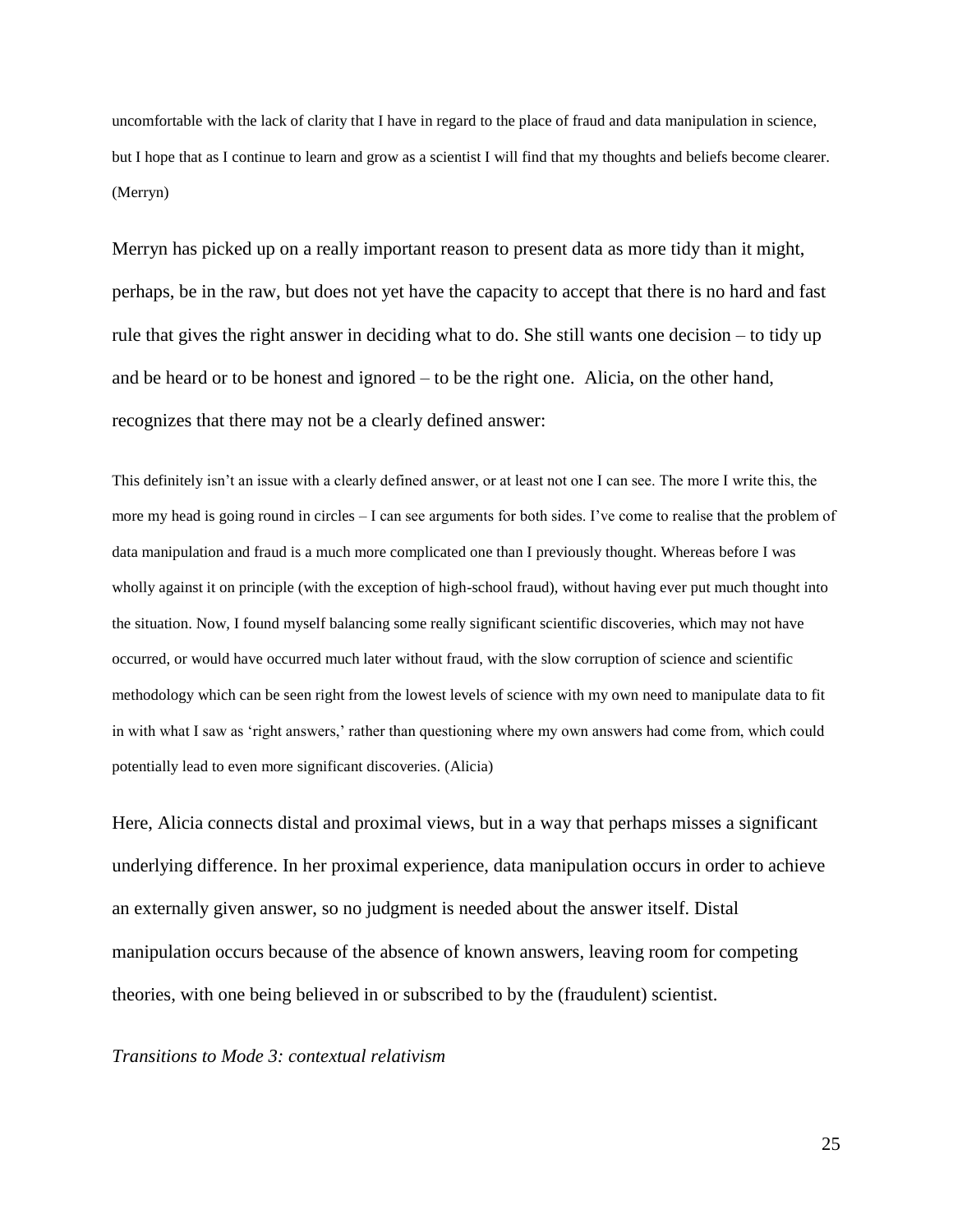uncomfortable with the lack of clarity that I have in regard to the place of fraud and data manipulation in science, but I hope that as I continue to learn and grow as a scientist I will find that my thoughts and beliefs become clearer. (Merryn)

Merryn has picked up on a really important reason to present data as more tidy than it might, perhaps, be in the raw, but does not yet have the capacity to accept that there is no hard and fast rule that gives the right answer in deciding what to do. She still wants one decision – to tidy up and be heard or to be honest and ignored – to be the right one. Alicia, on the other hand, recognizes that there may not be a clearly defined answer:

This definitely isn't an issue with a clearly defined answer, or at least not one I can see. The more I write this, the more my head is going round in circles – I can see arguments for both sides. I've come to realise that the problem of data manipulation and fraud is a much more complicated one than I previously thought. Whereas before I was wholly against it on principle (with the exception of high-school fraud), without having ever put much thought into the situation. Now, I found myself balancing some really significant scientific discoveries, which may not have occurred, or would have occurred much later without fraud, with the slow corruption of science and scientific methodology which can be seen right from the lowest levels of science with my own need to manipulate data to fit in with what I saw as 'right answers,' rather than questioning where my own answers had come from, which could potentially lead to even more significant discoveries. (Alicia)

Here, Alicia connects distal and proximal views, but in a way that perhaps misses a significant underlying difference. In her proximal experience, data manipulation occurs in order to achieve an externally given answer, so no judgment is needed about the answer itself. Distal manipulation occurs because of the absence of known answers, leaving room for competing theories, with one being believed in or subscribed to by the (fraudulent) scientist.

#### *Transitions to Mode 3: contextual relativism*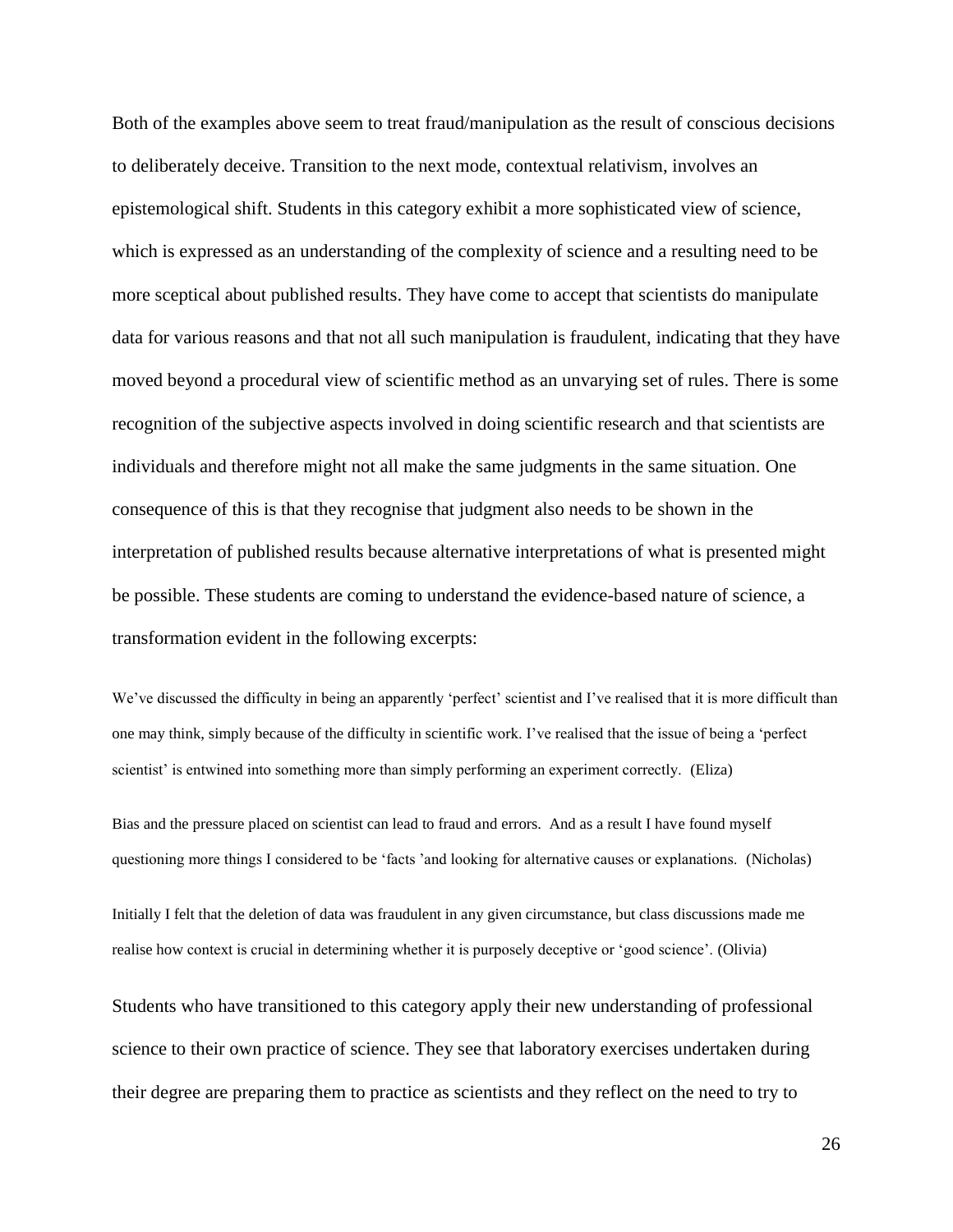Both of the examples above seem to treat fraud/manipulation as the result of conscious decisions to deliberately deceive. Transition to the next mode, contextual relativism, involves an epistemological shift. Students in this category exhibit a more sophisticated view of science, which is expressed as an understanding of the complexity of science and a resulting need to be more sceptical about published results. They have come to accept that scientists do manipulate data for various reasons and that not all such manipulation is fraudulent, indicating that they have moved beyond a procedural view of scientific method as an unvarying set of rules. There is some recognition of the subjective aspects involved in doing scientific research and that scientists are individuals and therefore might not all make the same judgments in the same situation. One consequence of this is that they recognise that judgment also needs to be shown in the interpretation of published results because alternative interpretations of what is presented might be possible. These students are coming to understand the evidence-based nature of science, a transformation evident in the following excerpts:

We've discussed the difficulty in being an apparently 'perfect' scientist and I've realised that it is more difficult than one may think, simply because of the difficulty in scientific work. I've realised that the issue of being a 'perfect scientist' is entwined into something more than simply performing an experiment correctly. (Eliza)

Bias and the pressure placed on scientist can lead to fraud and errors. And as a result I have found myself questioning more things I considered to be 'facts 'and looking for alternative causes or explanations. (Nicholas)

Initially I felt that the deletion of data was fraudulent in any given circumstance, but class discussions made me realise how context is crucial in determining whether it is purposely deceptive or 'good science'. (Olivia)

Students who have transitioned to this category apply their new understanding of professional science to their own practice of science. They see that laboratory exercises undertaken during their degree are preparing them to practice as scientists and they reflect on the need to try to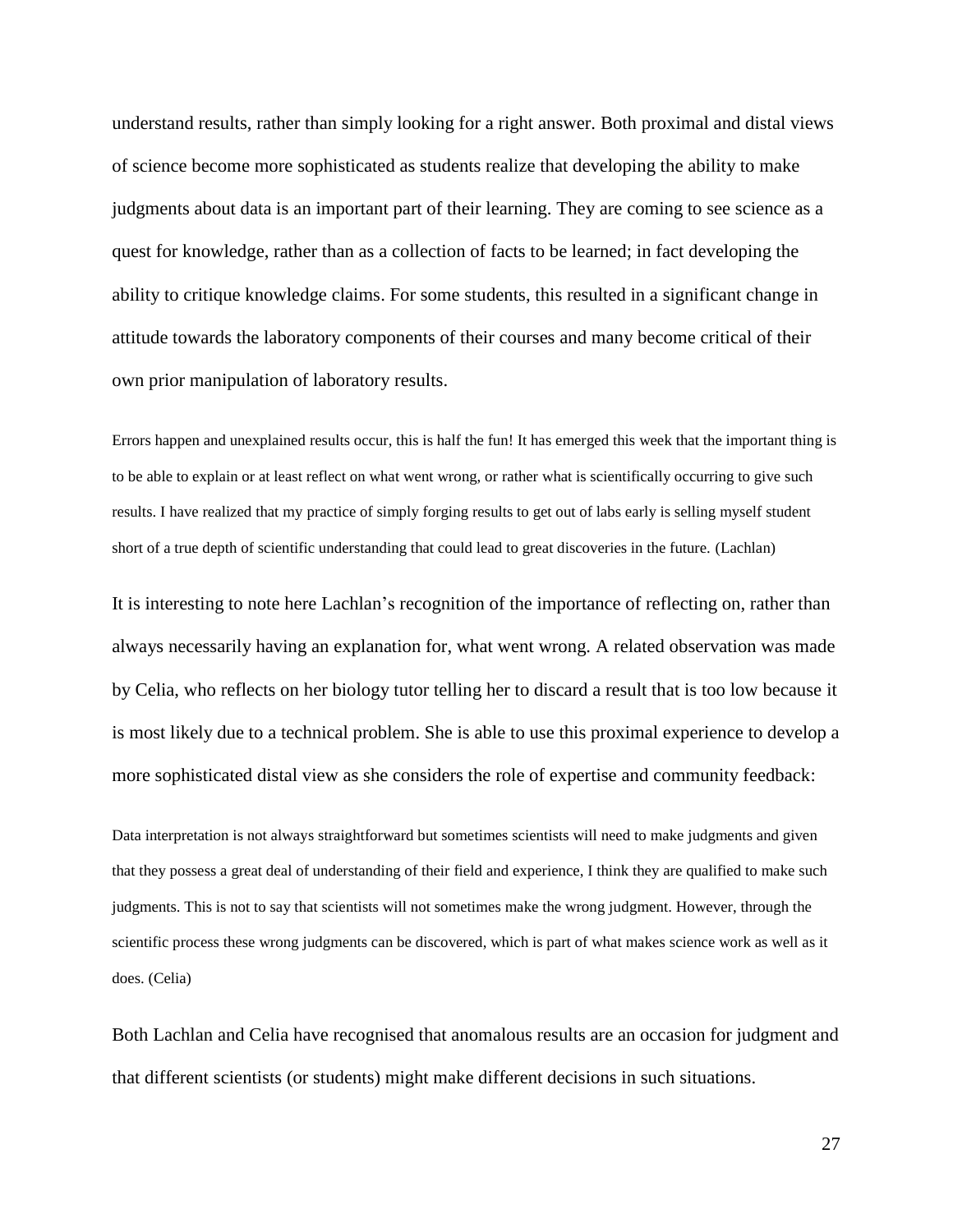understand results, rather than simply looking for a right answer. Both proximal and distal views of science become more sophisticated as students realize that developing the ability to make judgments about data is an important part of their learning. They are coming to see science as a quest for knowledge, rather than as a collection of facts to be learned; in fact developing the ability to critique knowledge claims. For some students, this resulted in a significant change in attitude towards the laboratory components of their courses and many become critical of their own prior manipulation of laboratory results.

Errors happen and unexplained results occur, this is half the fun! It has emerged this week that the important thing is to be able to explain or at least reflect on what went wrong, or rather what is scientifically occurring to give such results. I have realized that my practice of simply forging results to get out of labs early is selling myself student short of a true depth of scientific understanding that could lead to great discoveries in the future. (Lachlan)

It is interesting to note here Lachlan's recognition of the importance of reflecting on, rather than always necessarily having an explanation for, what went wrong. A related observation was made by Celia, who reflects on her biology tutor telling her to discard a result that is too low because it is most likely due to a technical problem. She is able to use this proximal experience to develop a more sophisticated distal view as she considers the role of expertise and community feedback:

Data interpretation is not always straightforward but sometimes scientists will need to make judgments and given that they possess a great deal of understanding of their field and experience, I think they are qualified to make such judgments. This is not to say that scientists will not sometimes make the wrong judgment. However, through the scientific process these wrong judgments can be discovered, which is part of what makes science work as well as it does. (Celia)

Both Lachlan and Celia have recognised that anomalous results are an occasion for judgment and that different scientists (or students) might make different decisions in such situations.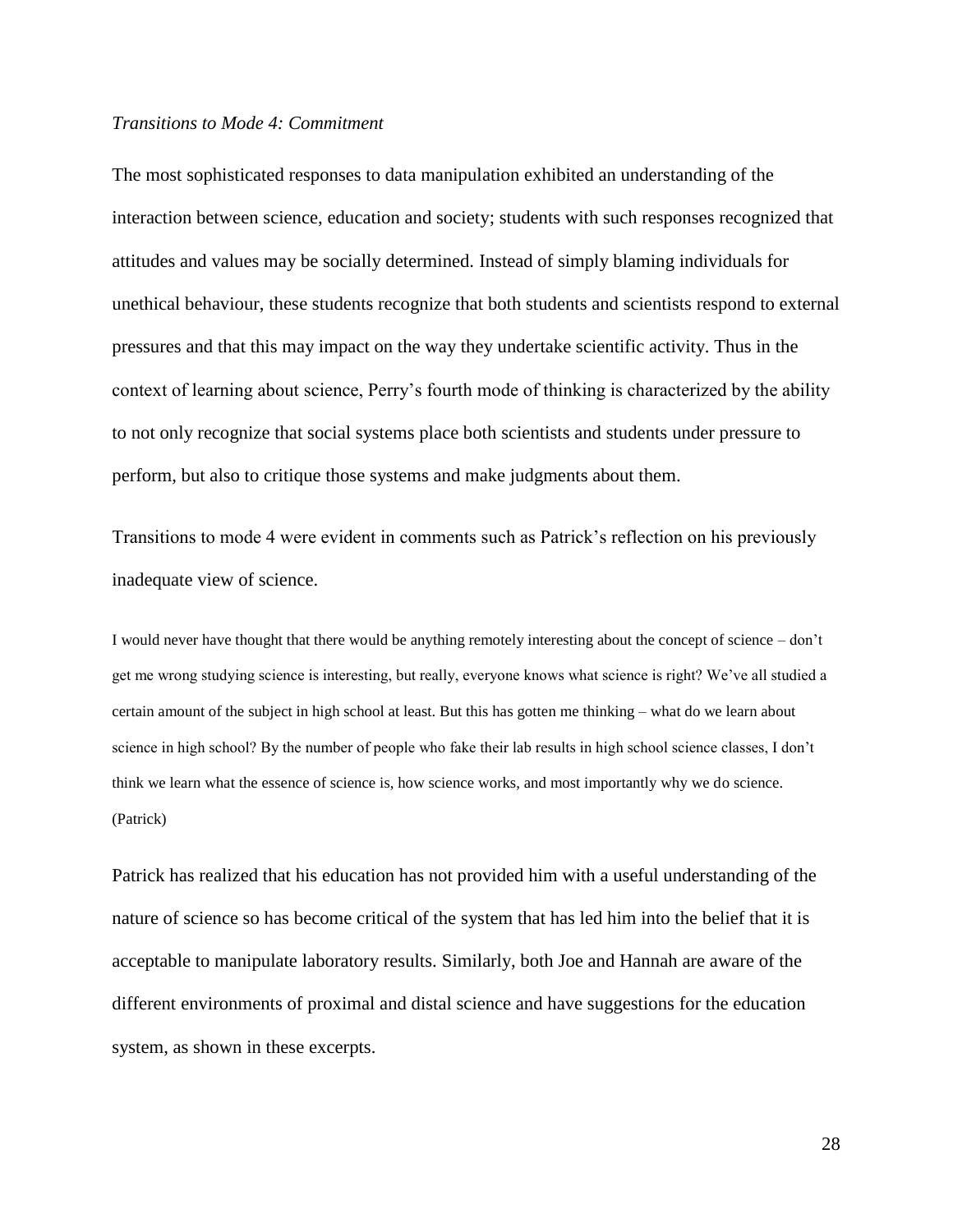## *Transitions to Mode 4: Commitment*

The most sophisticated responses to data manipulation exhibited an understanding of the interaction between science, education and society; students with such responses recognized that attitudes and values may be socially determined. Instead of simply blaming individuals for unethical behaviour, these students recognize that both students and scientists respond to external pressures and that this may impact on the way they undertake scientific activity. Thus in the context of learning about science, Perry's fourth mode of thinking is characterized by the ability to not only recognize that social systems place both scientists and students under pressure to perform, but also to critique those systems and make judgments about them.

Transitions to mode 4 were evident in comments such as Patrick's reflection on his previously inadequate view of science.

I would never have thought that there would be anything remotely interesting about the concept of science – don't get me wrong studying science is interesting, but really, everyone knows what science is right? We've all studied a certain amount of the subject in high school at least. But this has gotten me thinking – what do we learn about science in high school? By the number of people who fake their lab results in high school science classes, I don't think we learn what the essence of science is, how science works, and most importantly why we do science. (Patrick)

Patrick has realized that his education has not provided him with a useful understanding of the nature of science so has become critical of the system that has led him into the belief that it is acceptable to manipulate laboratory results. Similarly, both Joe and Hannah are aware of the different environments of proximal and distal science and have suggestions for the education system, as shown in these excerpts.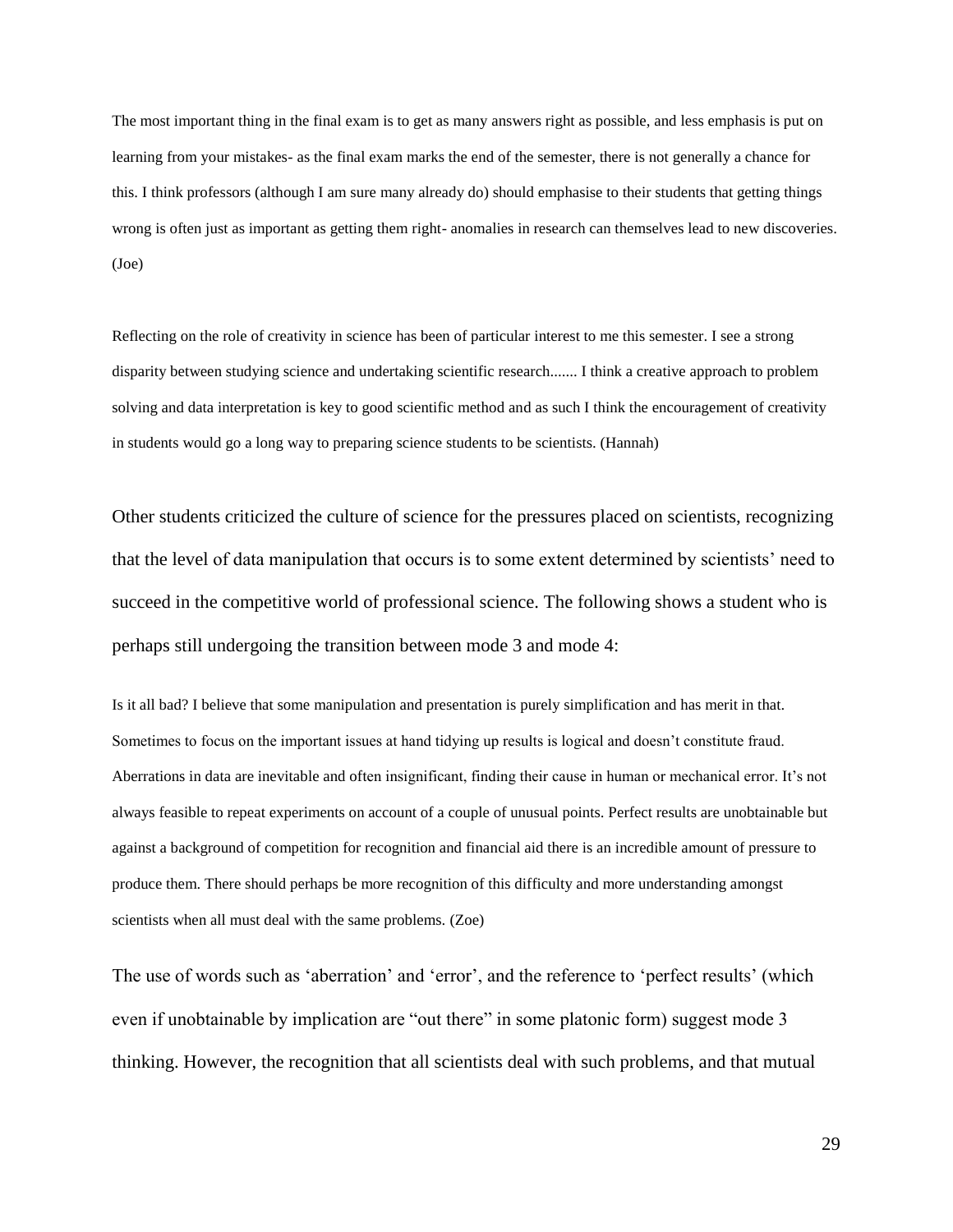The most important thing in the final exam is to get as many answers right as possible, and less emphasis is put on learning from your mistakes- as the final exam marks the end of the semester, there is not generally a chance for this. I think professors (although I am sure many already do) should emphasise to their students that getting things wrong is often just as important as getting them right- anomalies in research can themselves lead to new discoveries. (Joe)

Reflecting on the role of creativity in science has been of particular interest to me this semester. I see a strong disparity between studying science and undertaking scientific research....... I think a creative approach to problem solving and data interpretation is key to good scientific method and as such I think the encouragement of creativity in students would go a long way to preparing science students to be scientists. (Hannah)

Other students criticized the culture of science for the pressures placed on scientists, recognizing that the level of data manipulation that occurs is to some extent determined by scientists' need to succeed in the competitive world of professional science. The following shows a student who is perhaps still undergoing the transition between mode 3 and mode 4:

Is it all bad? I believe that some manipulation and presentation is purely simplification and has merit in that. Sometimes to focus on the important issues at hand tidying up results is logical and doesn't constitute fraud. Aberrations in data are inevitable and often insignificant, finding their cause in human or mechanical error. It's not always feasible to repeat experiments on account of a couple of unusual points. Perfect results are unobtainable but against a background of competition for recognition and financial aid there is an incredible amount of pressure to produce them. There should perhaps be more recognition of this difficulty and more understanding amongst scientists when all must deal with the same problems. (Zoe)

The use of words such as 'aberration' and 'error', and the reference to 'perfect results' (which even if unobtainable by implication are "out there" in some platonic form) suggest mode 3 thinking. However, the recognition that all scientists deal with such problems, and that mutual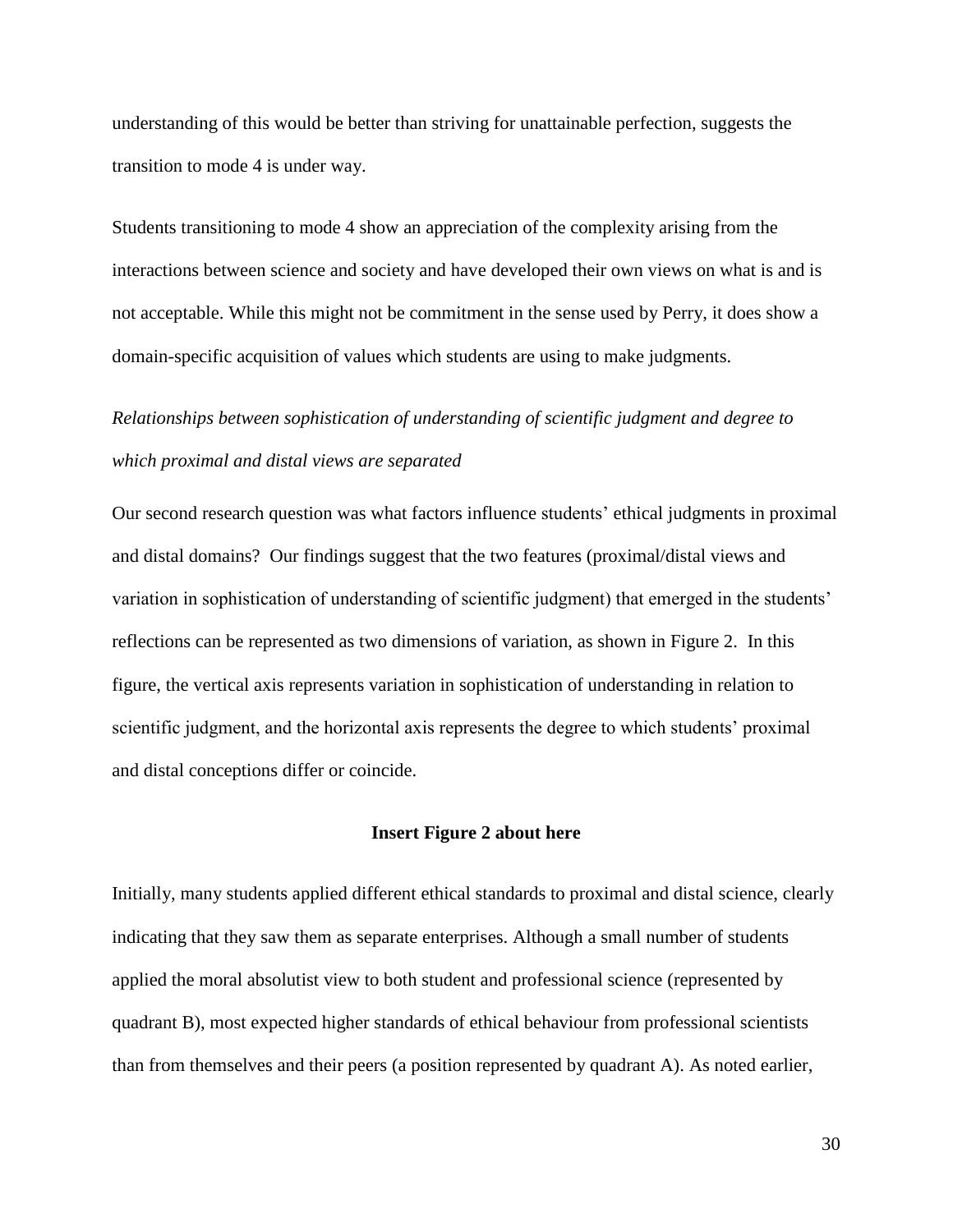understanding of this would be better than striving for unattainable perfection, suggests the transition to mode 4 is under way.

Students transitioning to mode 4 show an appreciation of the complexity arising from the interactions between science and society and have developed their own views on what is and is not acceptable. While this might not be commitment in the sense used by Perry, it does show a domain-specific acquisition of values which students are using to make judgments.

## *Relationships between sophistication of understanding of scientific judgment and degree to which proximal and distal views are separated*

Our second research question was what factors influence students' ethical judgments in proximal and distal domains? Our findings suggest that the two features (proximal/distal views and variation in sophistication of understanding of scientific judgment) that emerged in the students' reflections can be represented as two dimensions of variation, as shown in Figure 2. In this figure, the vertical axis represents variation in sophistication of understanding in relation to scientific judgment, and the horizontal axis represents the degree to which students' proximal and distal conceptions differ or coincide.

## **Insert Figure 2 about here**

Initially, many students applied different ethical standards to proximal and distal science, clearly indicating that they saw them as separate enterprises. Although a small number of students applied the moral absolutist view to both student and professional science (represented by quadrant B), most expected higher standards of ethical behaviour from professional scientists than from themselves and their peers (a position represented by quadrant A). As noted earlier,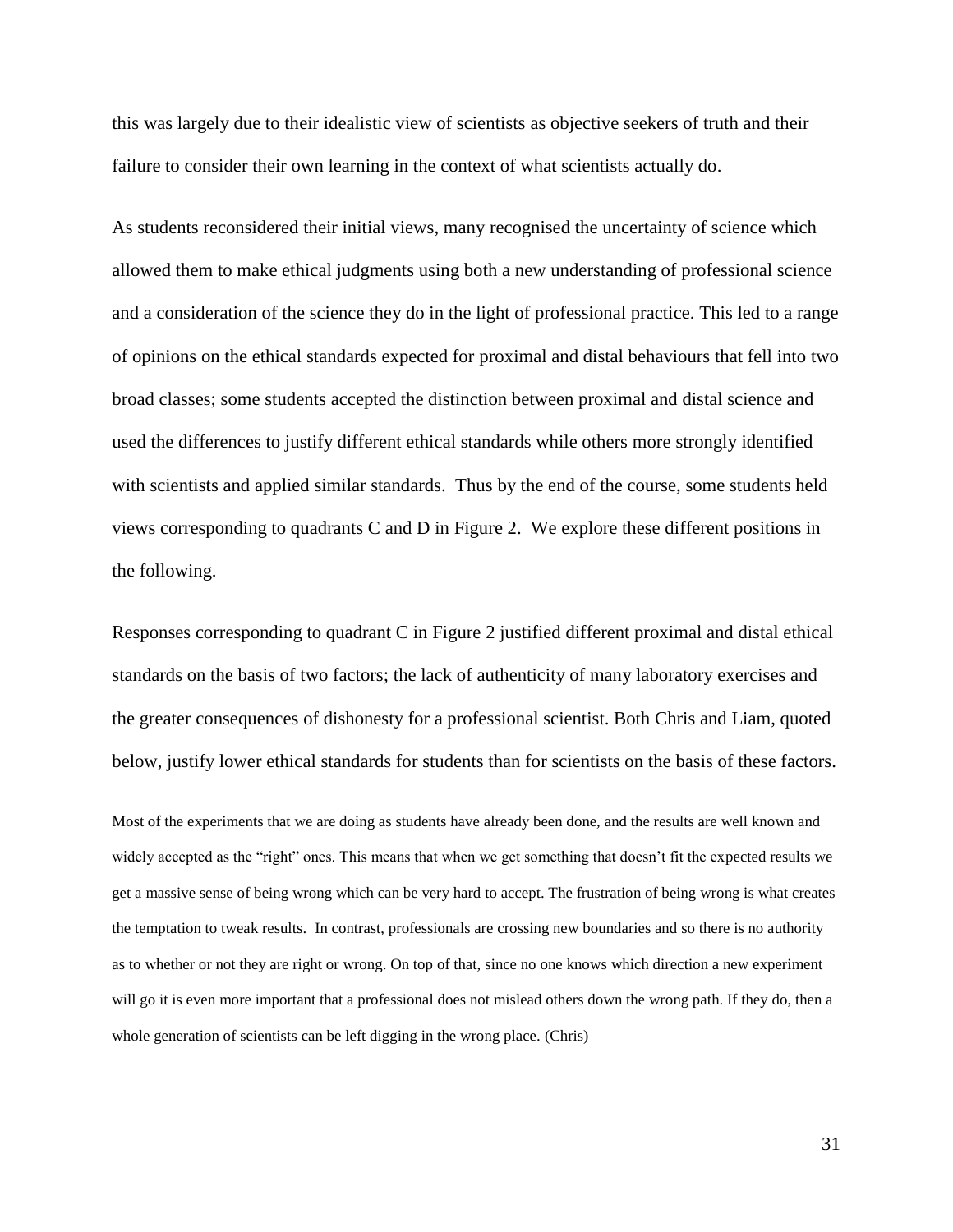this was largely due to their idealistic view of scientists as objective seekers of truth and their failure to consider their own learning in the context of what scientists actually do.

As students reconsidered their initial views, many recognised the uncertainty of science which allowed them to make ethical judgments using both a new understanding of professional science and a consideration of the science they do in the light of professional practice. This led to a range of opinions on the ethical standards expected for proximal and distal behaviours that fell into two broad classes; some students accepted the distinction between proximal and distal science and used the differences to justify different ethical standards while others more strongly identified with scientists and applied similar standards. Thus by the end of the course, some students held views corresponding to quadrants C and D in Figure 2. We explore these different positions in the following.

Responses corresponding to quadrant C in Figure 2 justified different proximal and distal ethical standards on the basis of two factors; the lack of authenticity of many laboratory exercises and the greater consequences of dishonesty for a professional scientist. Both Chris and Liam, quoted below, justify lower ethical standards for students than for scientists on the basis of these factors.

Most of the experiments that we are doing as students have already been done, and the results are well known and widely accepted as the "right" ones. This means that when we get something that doesn't fit the expected results we get a massive sense of being wrong which can be very hard to accept. The frustration of being wrong is what creates the temptation to tweak results. In contrast, professionals are crossing new boundaries and so there is no authority as to whether or not they are right or wrong. On top of that, since no one knows which direction a new experiment will go it is even more important that a professional does not mislead others down the wrong path. If they do, then a whole generation of scientists can be left digging in the wrong place. (Chris)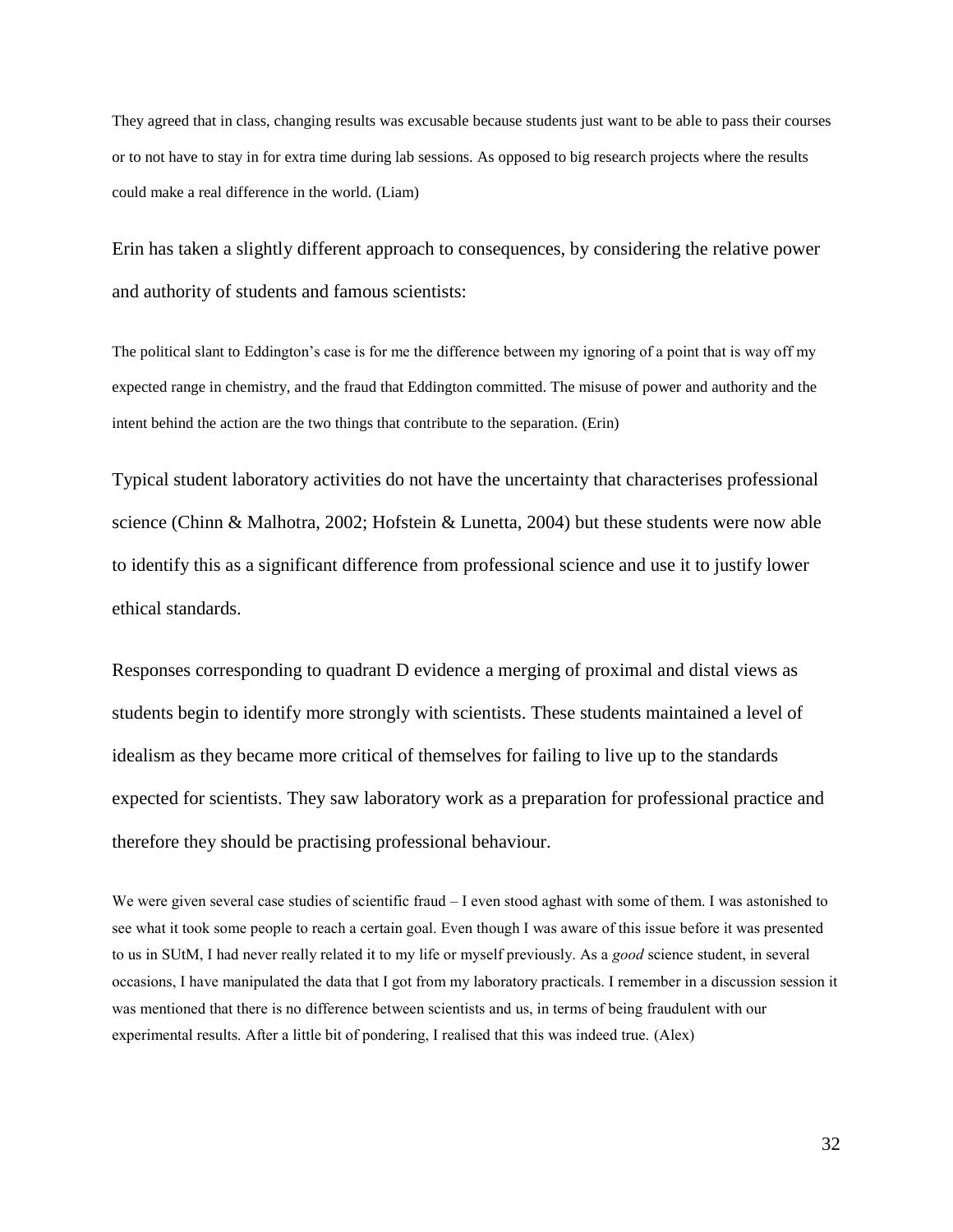They agreed that in class, changing results was excusable because students just want to be able to pass their courses or to not have to stay in for extra time during lab sessions. As opposed to big research projects where the results could make a real difference in the world. (Liam)

Erin has taken a slightly different approach to consequences, by considering the relative power and authority of students and famous scientists:

The political slant to Eddington's case is for me the difference between my ignoring of a point that is way off my expected range in chemistry, and the fraud that Eddington committed. The misuse of power and authority and the intent behind the action are the two things that contribute to the separation. (Erin)

Typical student laboratory activities do not have the uncertainty that characterises professional science (Chinn & Malhotra, 2002; Hofstein & Lunetta, 2004) but these students were now able to identify this as a significant difference from professional science and use it to justify lower ethical standards.

Responses corresponding to quadrant D evidence a merging of proximal and distal views as students begin to identify more strongly with scientists. These students maintained a level of idealism as they became more critical of themselves for failing to live up to the standards expected for scientists. They saw laboratory work as a preparation for professional practice and therefore they should be practising professional behaviour.

We were given several case studies of scientific fraud – I even stood aghast with some of them. I was astonished to see what it took some people to reach a certain goal. Even though I was aware of this issue before it was presented to us in SUtM, I had never really related it to my life or myself previously. As a *good* science student, in several occasions, I have manipulated the data that I got from my laboratory practicals. I remember in a discussion session it was mentioned that there is no difference between scientists and us, in terms of being fraudulent with our experimental results. After a little bit of pondering, I realised that this was indeed true. (Alex)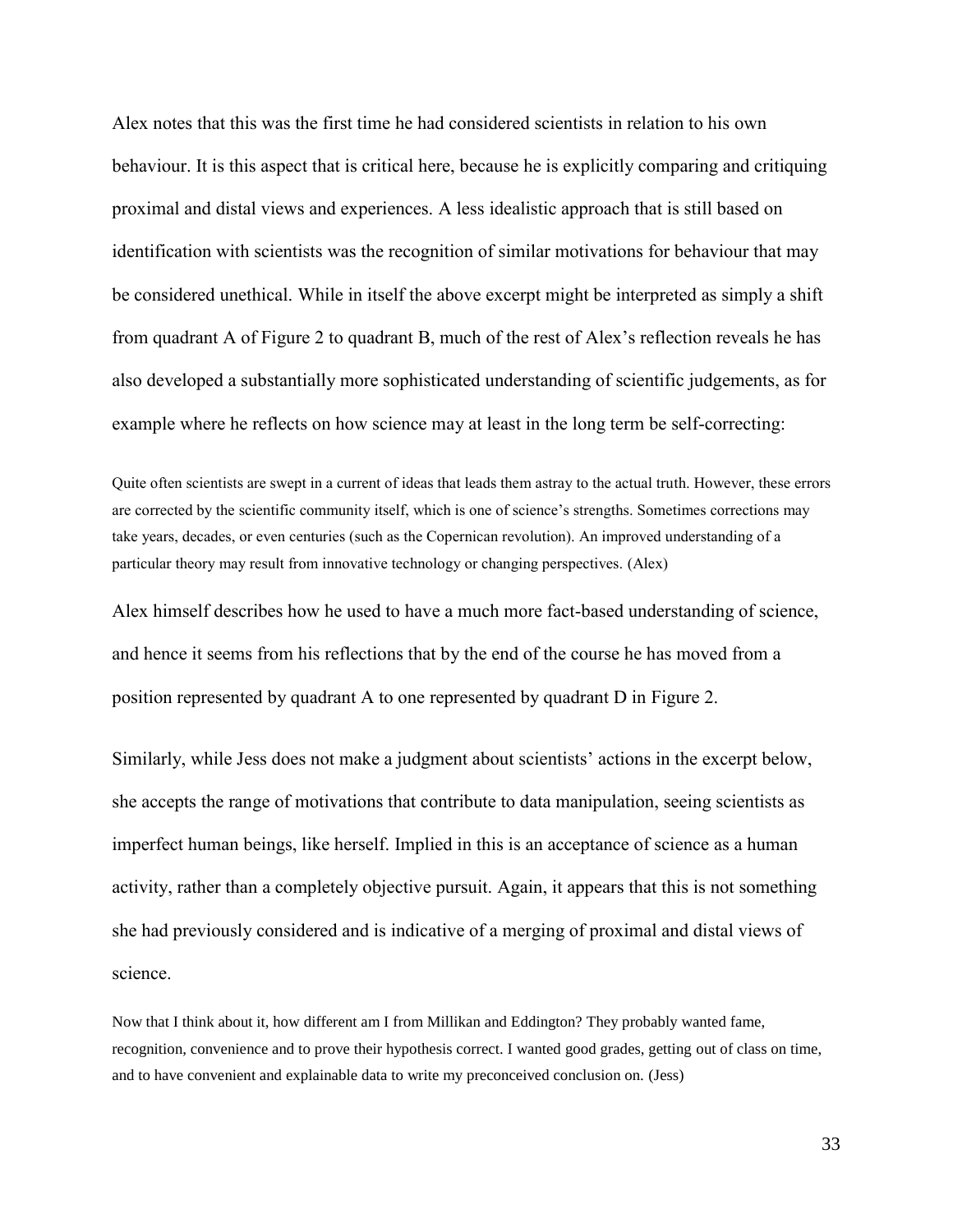Alex notes that this was the first time he had considered scientists in relation to his own behaviour. It is this aspect that is critical here, because he is explicitly comparing and critiquing proximal and distal views and experiences. A less idealistic approach that is still based on identification with scientists was the recognition of similar motivations for behaviour that may be considered unethical. While in itself the above excerpt might be interpreted as simply a shift from quadrant A of Figure 2 to quadrant B, much of the rest of Alex's reflection reveals he has also developed a substantially more sophisticated understanding of scientific judgements, as for example where he reflects on how science may at least in the long term be self-correcting:

Quite often scientists are swept in a current of ideas that leads them astray to the actual truth. However, these errors are corrected by the scientific community itself, which is one of science's strengths. Sometimes corrections may take years, decades, or even centuries (such as the Copernican revolution). An improved understanding of a particular theory may result from innovative technology or changing perspectives. (Alex)

Alex himself describes how he used to have a much more fact-based understanding of science, and hence it seems from his reflections that by the end of the course he has moved from a position represented by quadrant A to one represented by quadrant D in Figure 2.

Similarly, while Jess does not make a judgment about scientists' actions in the excerpt below, she accepts the range of motivations that contribute to data manipulation, seeing scientists as imperfect human beings, like herself. Implied in this is an acceptance of science as a human activity, rather than a completely objective pursuit. Again, it appears that this is not something she had previously considered and is indicative of a merging of proximal and distal views of science.

Now that I think about it, how different am I from Millikan and Eddington? They probably wanted fame, recognition, convenience and to prove their hypothesis correct. I wanted good grades, getting out of class on time, and to have convenient and explainable data to write my preconceived conclusion on. (Jess)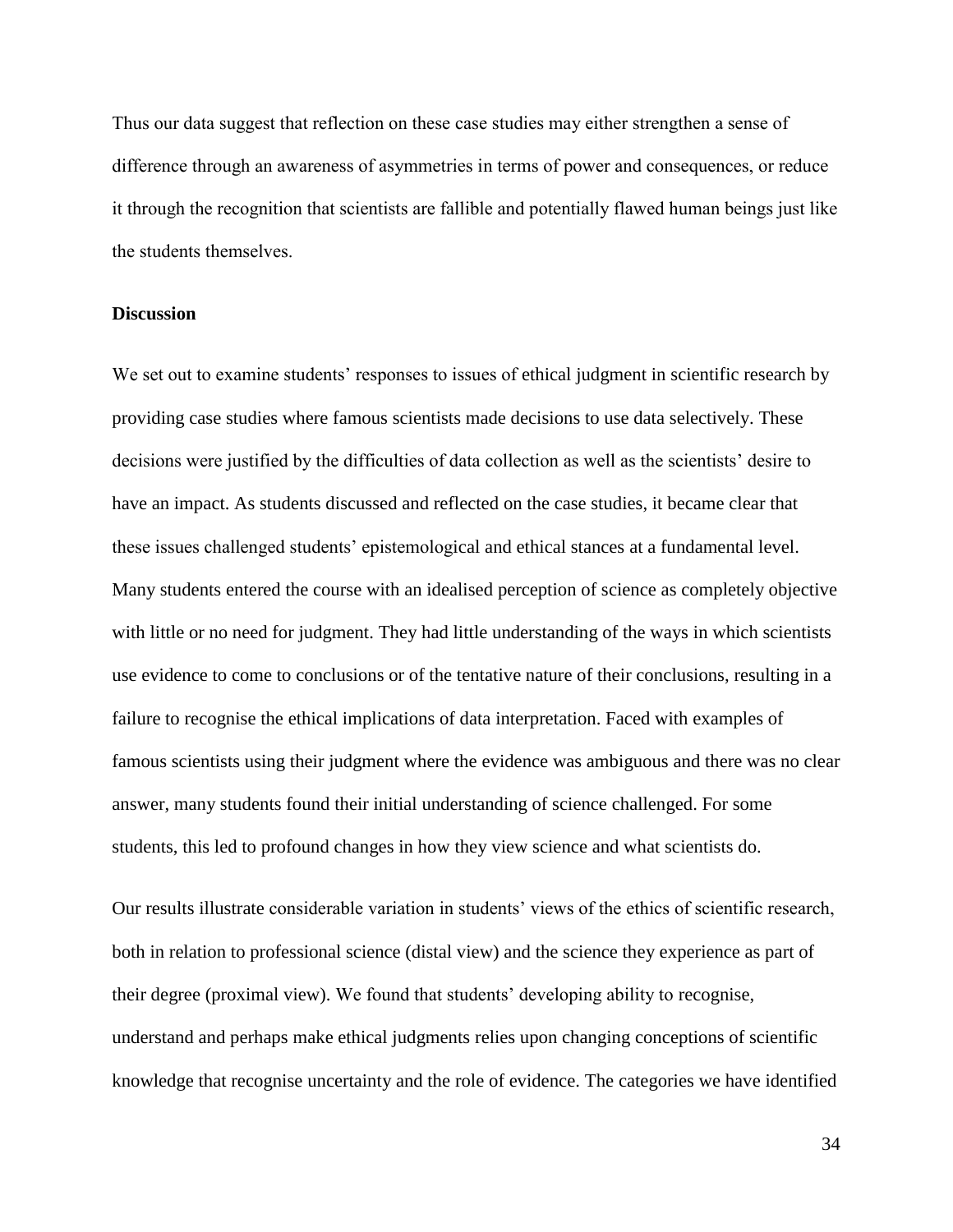Thus our data suggest that reflection on these case studies may either strengthen a sense of difference through an awareness of asymmetries in terms of power and consequences, or reduce it through the recognition that scientists are fallible and potentially flawed human beings just like the students themselves.

### **Discussion**

We set out to examine students' responses to issues of ethical judgment in scientific research by providing case studies where famous scientists made decisions to use data selectively. These decisions were justified by the difficulties of data collection as well as the scientists' desire to have an impact. As students discussed and reflected on the case studies, it became clear that these issues challenged students' epistemological and ethical stances at a fundamental level. Many students entered the course with an idealised perception of science as completely objective with little or no need for judgment. They had little understanding of the ways in which scientists use evidence to come to conclusions or of the tentative nature of their conclusions, resulting in a failure to recognise the ethical implications of data interpretation. Faced with examples of famous scientists using their judgment where the evidence was ambiguous and there was no clear answer, many students found their initial understanding of science challenged. For some students, this led to profound changes in how they view science and what scientists do.

Our results illustrate considerable variation in students' views of the ethics of scientific research, both in relation to professional science (distal view) and the science they experience as part of their degree (proximal view). We found that students' developing ability to recognise, understand and perhaps make ethical judgments relies upon changing conceptions of scientific knowledge that recognise uncertainty and the role of evidence. The categories we have identified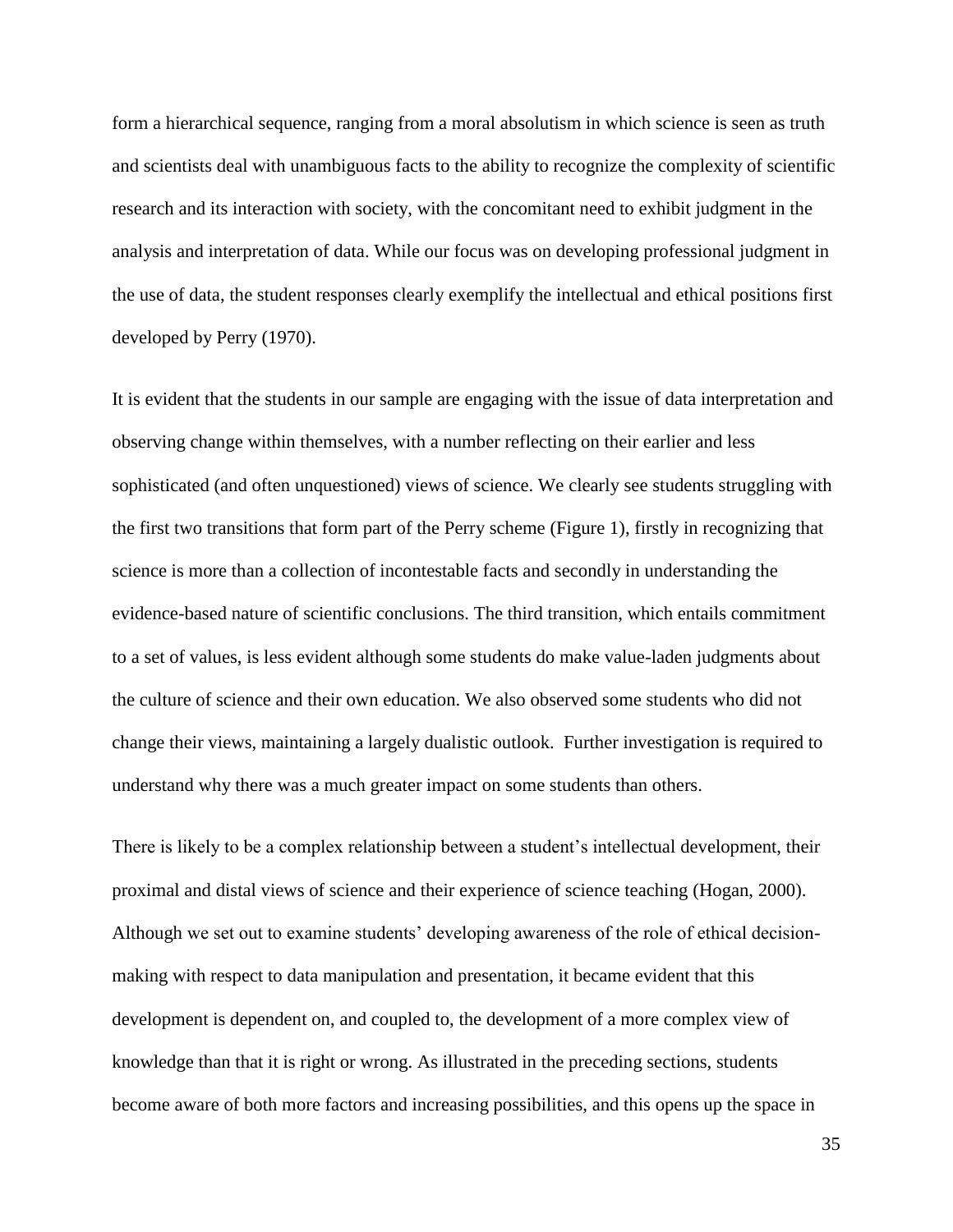form a hierarchical sequence, ranging from a moral absolutism in which science is seen as truth and scientists deal with unambiguous facts to the ability to recognize the complexity of scientific research and its interaction with society, with the concomitant need to exhibit judgment in the analysis and interpretation of data. While our focus was on developing professional judgment in the use of data, the student responses clearly exemplify the intellectual and ethical positions first developed by Perry (1970).

It is evident that the students in our sample are engaging with the issue of data interpretation and observing change within themselves, with a number reflecting on their earlier and less sophisticated (and often unquestioned) views of science. We clearly see students struggling with the first two transitions that form part of the Perry scheme (Figure 1), firstly in recognizing that science is more than a collection of incontestable facts and secondly in understanding the evidence-based nature of scientific conclusions. The third transition, which entails commitment to a set of values, is less evident although some students do make value-laden judgments about the culture of science and their own education. We also observed some students who did not change their views, maintaining a largely dualistic outlook. Further investigation is required to understand why there was a much greater impact on some students than others.

There is likely to be a complex relationship between a student's intellectual development, their proximal and distal views of science and their experience of science teaching (Hogan, 2000). Although we set out to examine students' developing awareness of the role of ethical decisionmaking with respect to data manipulation and presentation, it became evident that this development is dependent on, and coupled to, the development of a more complex view of knowledge than that it is right or wrong. As illustrated in the preceding sections, students become aware of both more factors and increasing possibilities, and this opens up the space in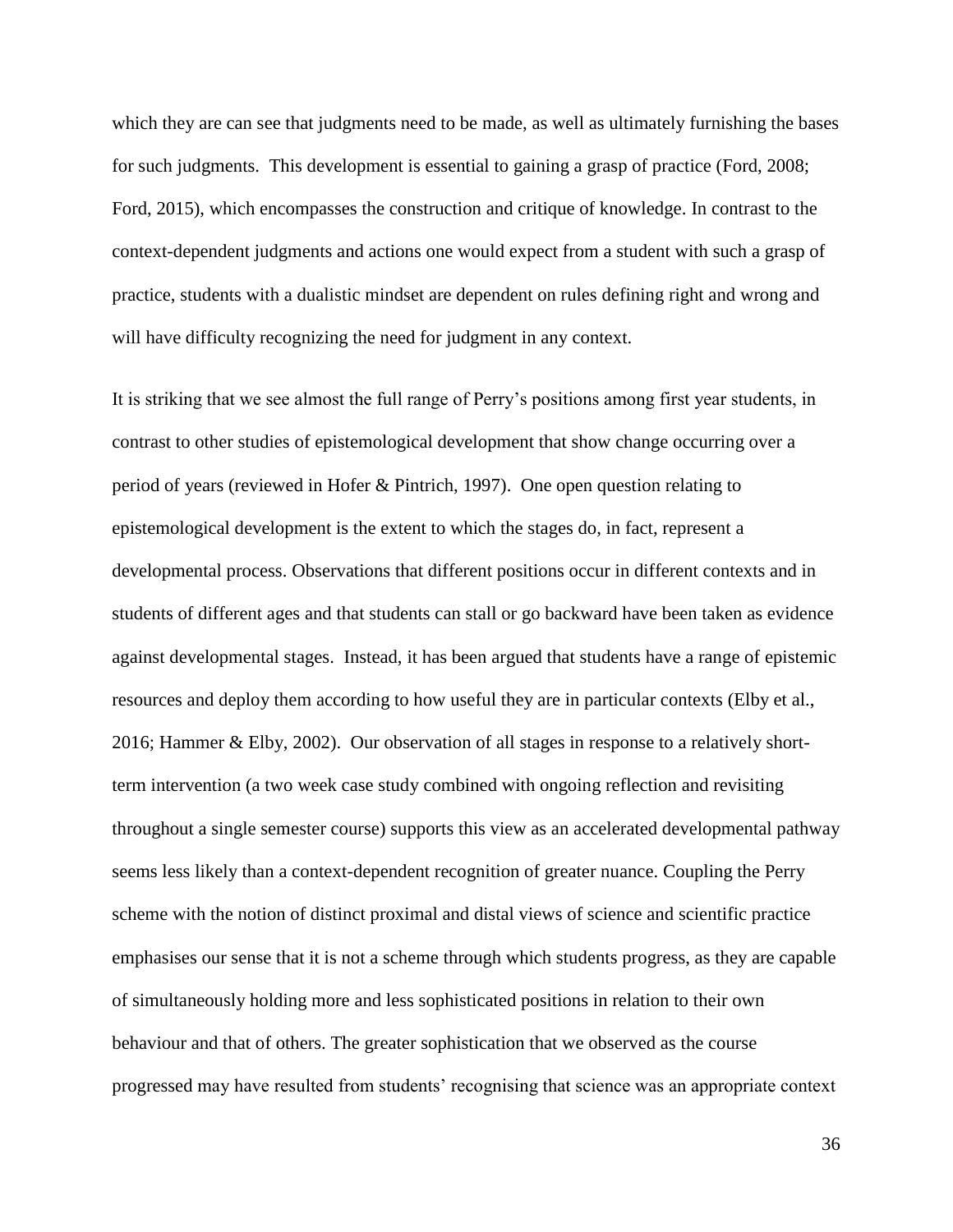which they are can see that judgments need to be made, as well as ultimately furnishing the bases for such judgments. This development is essential to gaining a grasp of practice (Ford, 2008; Ford, 2015), which encompasses the construction and critique of knowledge. In contrast to the context-dependent judgments and actions one would expect from a student with such a grasp of practice, students with a dualistic mindset are dependent on rules defining right and wrong and will have difficulty recognizing the need for judgment in any context.

It is striking that we see almost the full range of Perry's positions among first year students, in contrast to other studies of epistemological development that show change occurring over a period of years (reviewed in Hofer & Pintrich, 1997). One open question relating to epistemological development is the extent to which the stages do, in fact, represent a developmental process. Observations that different positions occur in different contexts and in students of different ages and that students can stall or go backward have been taken as evidence against developmental stages. Instead, it has been argued that students have a range of epistemic resources and deploy them according to how useful they are in particular contexts (Elby et al., 2016; Hammer & Elby, 2002). Our observation of all stages in response to a relatively shortterm intervention (a two week case study combined with ongoing reflection and revisiting throughout a single semester course) supports this view as an accelerated developmental pathway seems less likely than a context-dependent recognition of greater nuance. Coupling the Perry scheme with the notion of distinct proximal and distal views of science and scientific practice emphasises our sense that it is not a scheme through which students progress, as they are capable of simultaneously holding more and less sophisticated positions in relation to their own behaviour and that of others. The greater sophistication that we observed as the course progressed may have resulted from students' recognising that science was an appropriate context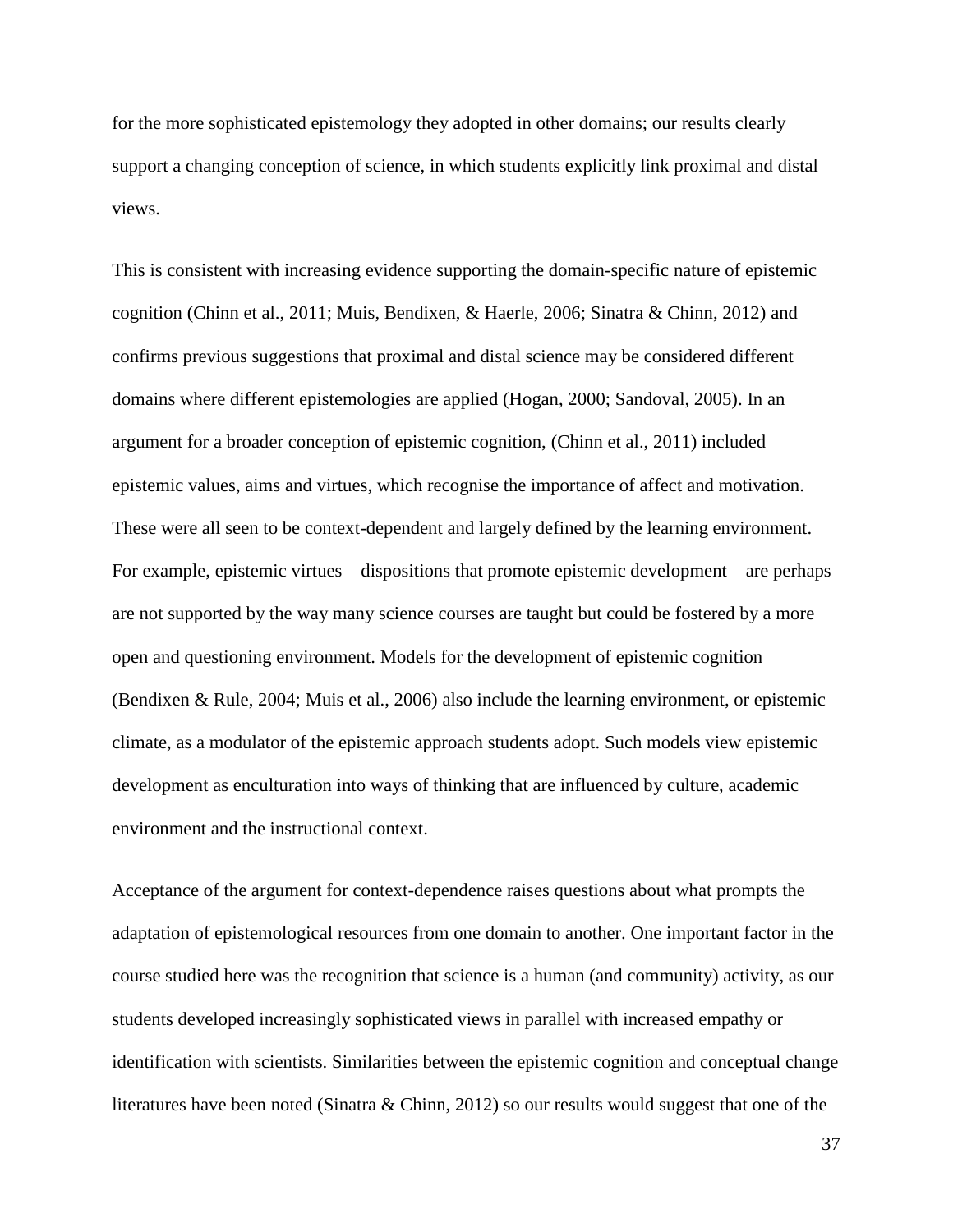for the more sophisticated epistemology they adopted in other domains; our results clearly support a changing conception of science, in which students explicitly link proximal and distal views.

This is consistent with increasing evidence supporting the domain-specific nature of epistemic cognition (Chinn et al., 2011; Muis, Bendixen, & Haerle, 2006; Sinatra & Chinn, 2012) and confirms previous suggestions that proximal and distal science may be considered different domains where different epistemologies are applied (Hogan, 2000; Sandoval, 2005). In an argument for a broader conception of epistemic cognition, (Chinn et al., 2011) included epistemic values, aims and virtues, which recognise the importance of affect and motivation. These were all seen to be context-dependent and largely defined by the learning environment. For example, epistemic virtues – dispositions that promote epistemic development – are perhaps are not supported by the way many science courses are taught but could be fostered by a more open and questioning environment. Models for the development of epistemic cognition (Bendixen & Rule, 2004; Muis et al., 2006) also include the learning environment, or epistemic climate, as a modulator of the epistemic approach students adopt. Such models view epistemic development as enculturation into ways of thinking that are influenced by culture, academic environment and the instructional context.

Acceptance of the argument for context-dependence raises questions about what prompts the adaptation of epistemological resources from one domain to another. One important factor in the course studied here was the recognition that science is a human (and community) activity, as our students developed increasingly sophisticated views in parallel with increased empathy or identification with scientists. Similarities between the epistemic cognition and conceptual change literatures have been noted (Sinatra & Chinn, 2012) so our results would suggest that one of the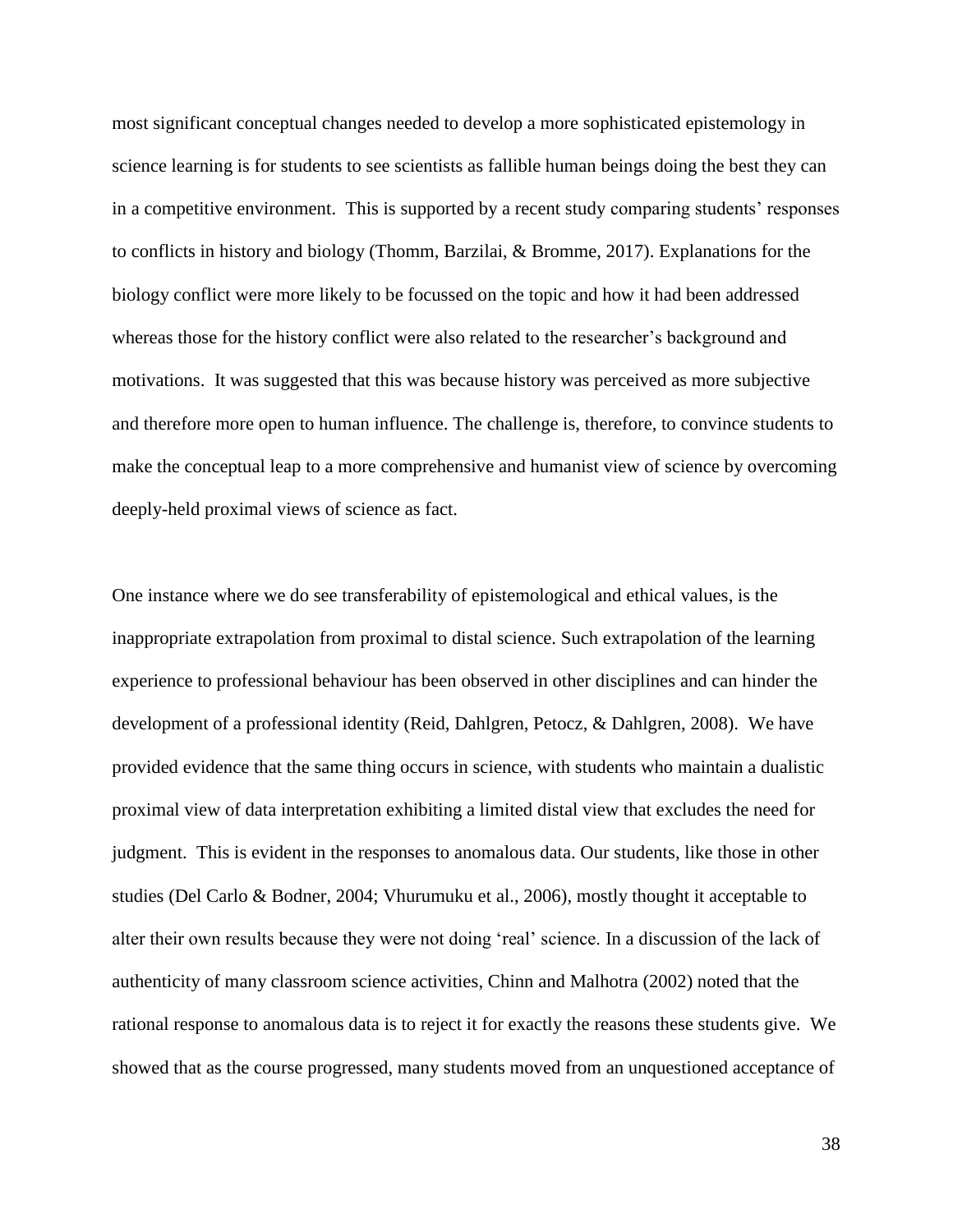most significant conceptual changes needed to develop a more sophisticated epistemology in science learning is for students to see scientists as fallible human beings doing the best they can in a competitive environment. This is supported by a recent study comparing students' responses to conflicts in history and biology (Thomm, Barzilai, & Bromme, 2017). Explanations for the biology conflict were more likely to be focussed on the topic and how it had been addressed whereas those for the history conflict were also related to the researcher's background and motivations. It was suggested that this was because history was perceived as more subjective and therefore more open to human influence. The challenge is, therefore, to convince students to make the conceptual leap to a more comprehensive and humanist view of science by overcoming deeply-held proximal views of science as fact.

One instance where we do see transferability of epistemological and ethical values, is the inappropriate extrapolation from proximal to distal science. Such extrapolation of the learning experience to professional behaviour has been observed in other disciplines and can hinder the development of a professional identity (Reid, Dahlgren, Petocz, & Dahlgren, 2008). We have provided evidence that the same thing occurs in science, with students who maintain a dualistic proximal view of data interpretation exhibiting a limited distal view that excludes the need for judgment. This is evident in the responses to anomalous data. Our students, like those in other studies (Del Carlo & Bodner, 2004; Vhurumuku et al., 2006), mostly thought it acceptable to alter their own results because they were not doing 'real' science. In a discussion of the lack of authenticity of many classroom science activities, Chinn and Malhotra (2002) noted that the rational response to anomalous data is to reject it for exactly the reasons these students give. We showed that as the course progressed, many students moved from an unquestioned acceptance of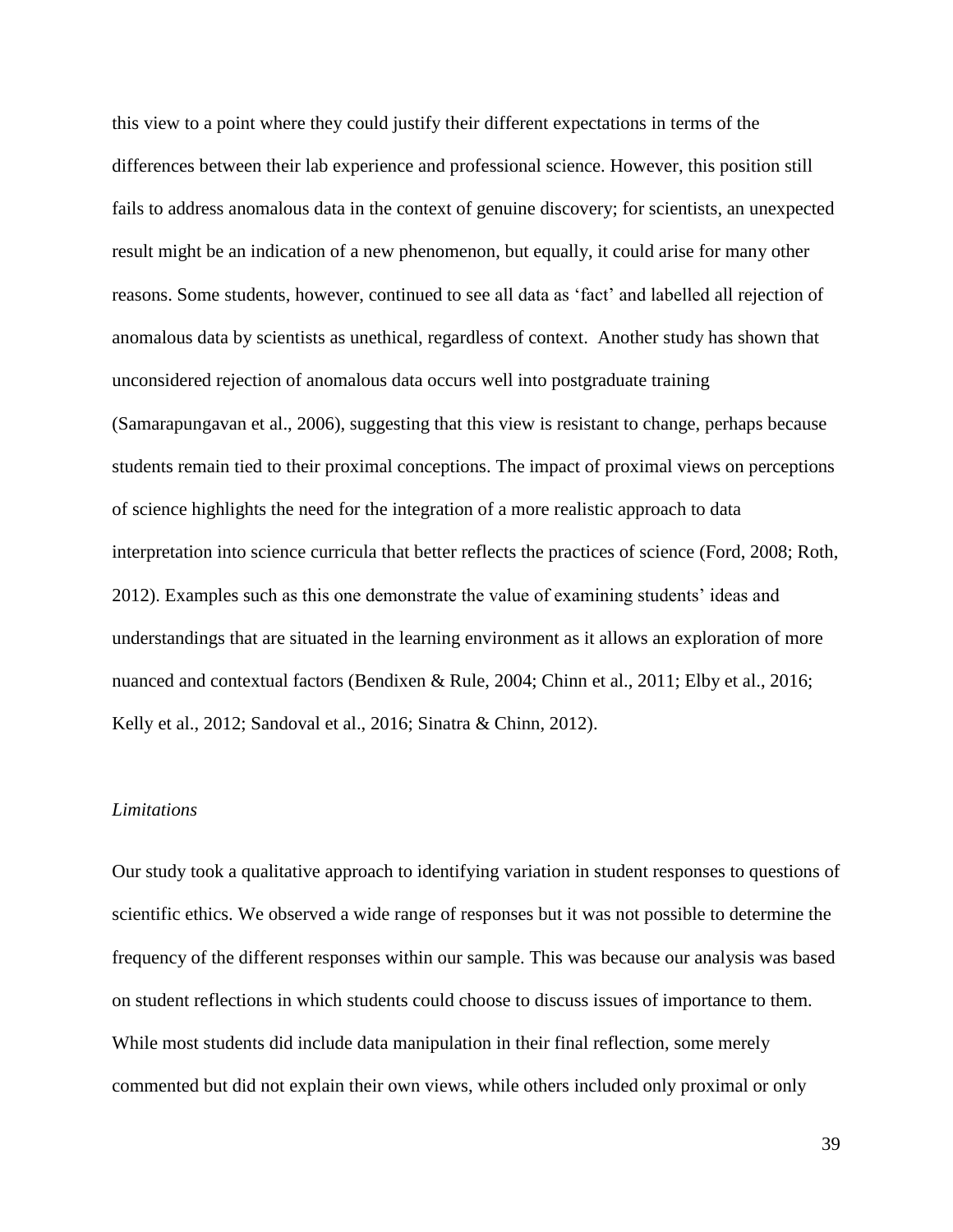this view to a point where they could justify their different expectations in terms of the differences between their lab experience and professional science. However, this position still fails to address anomalous data in the context of genuine discovery; for scientists, an unexpected result might be an indication of a new phenomenon, but equally, it could arise for many other reasons. Some students, however, continued to see all data as 'fact' and labelled all rejection of anomalous data by scientists as unethical, regardless of context. Another study has shown that unconsidered rejection of anomalous data occurs well into postgraduate training (Samarapungavan et al., 2006), suggesting that this view is resistant to change, perhaps because students remain tied to their proximal conceptions. The impact of proximal views on perceptions of science highlights the need for the integration of a more realistic approach to data interpretation into science curricula that better reflects the practices of science (Ford, 2008; Roth, 2012). Examples such as this one demonstrate the value of examining students' ideas and understandings that are situated in the learning environment as it allows an exploration of more nuanced and contextual factors (Bendixen & Rule, 2004; Chinn et al., 2011; Elby et al., 2016; Kelly et al., 2012; Sandoval et al., 2016; Sinatra & Chinn, 2012).

#### *Limitations*

Our study took a qualitative approach to identifying variation in student responses to questions of scientific ethics. We observed a wide range of responses but it was not possible to determine the frequency of the different responses within our sample. This was because our analysis was based on student reflections in which students could choose to discuss issues of importance to them. While most students did include data manipulation in their final reflection, some merely commented but did not explain their own views, while others included only proximal or only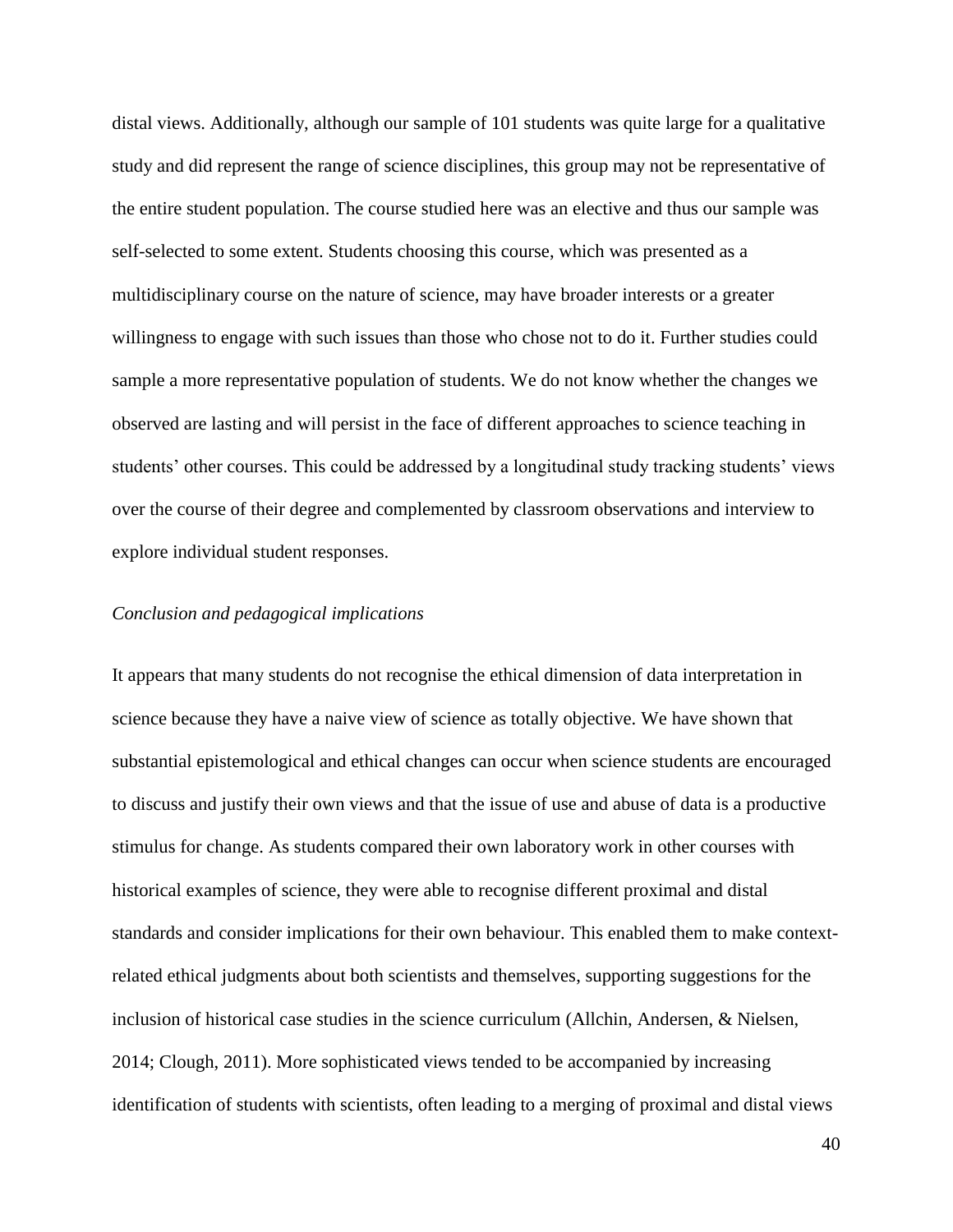distal views. Additionally, although our sample of 101 students was quite large for a qualitative study and did represent the range of science disciplines, this group may not be representative of the entire student population. The course studied here was an elective and thus our sample was self-selected to some extent. Students choosing this course, which was presented as a multidisciplinary course on the nature of science, may have broader interests or a greater willingness to engage with such issues than those who chose not to do it. Further studies could sample a more representative population of students. We do not know whether the changes we observed are lasting and will persist in the face of different approaches to science teaching in students' other courses. This could be addressed by a longitudinal study tracking students' views over the course of their degree and complemented by classroom observations and interview to explore individual student responses.

## *Conclusion and pedagogical implications*

It appears that many students do not recognise the ethical dimension of data interpretation in science because they have a naive view of science as totally objective. We have shown that substantial epistemological and ethical changes can occur when science students are encouraged to discuss and justify their own views and that the issue of use and abuse of data is a productive stimulus for change. As students compared their own laboratory work in other courses with historical examples of science, they were able to recognise different proximal and distal standards and consider implications for their own behaviour. This enabled them to make contextrelated ethical judgments about both scientists and themselves, supporting suggestions for the inclusion of historical case studies in the science curriculum (Allchin, Andersen, & Nielsen, 2014; Clough, 2011). More sophisticated views tended to be accompanied by increasing identification of students with scientists, often leading to a merging of proximal and distal views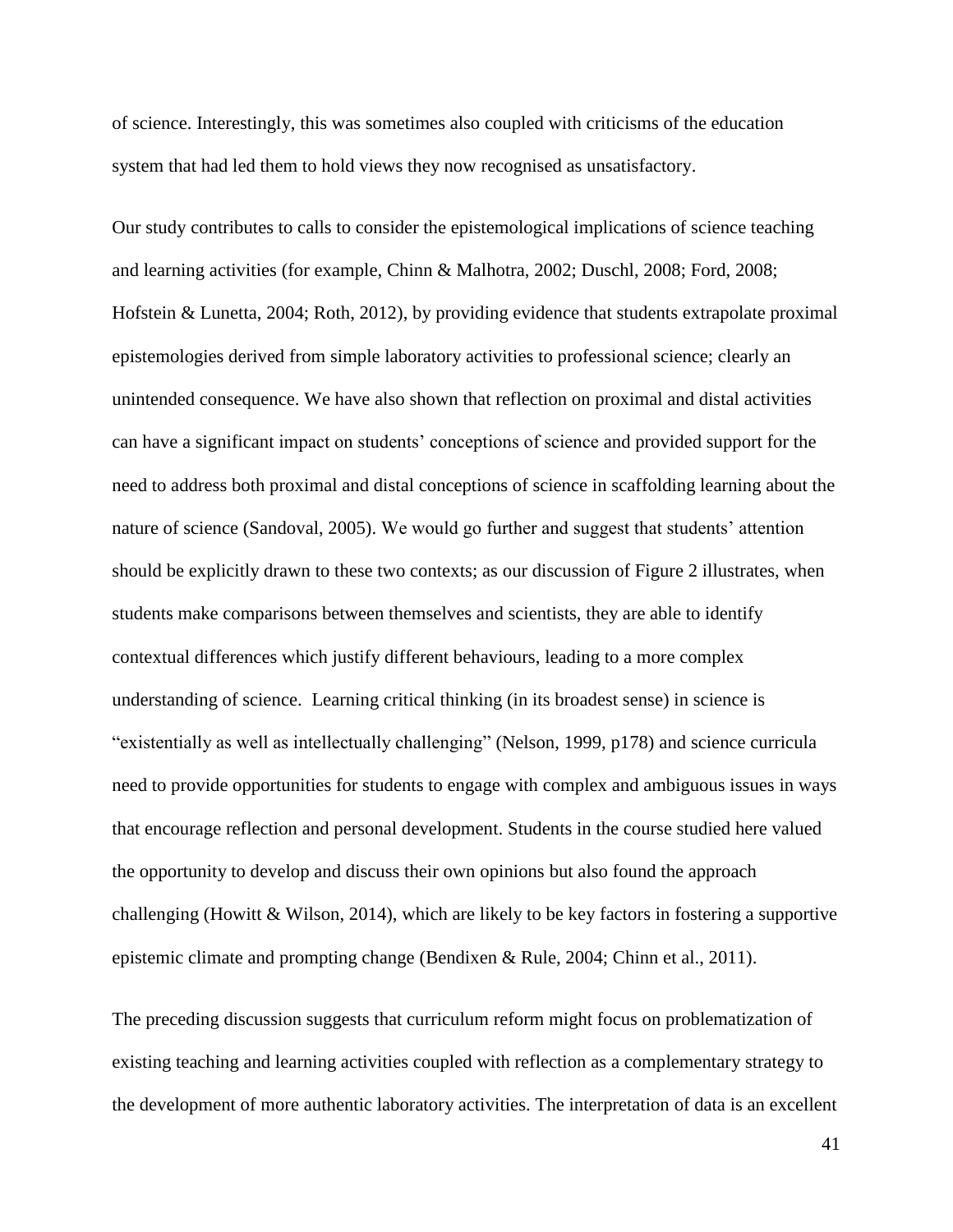of science. Interestingly, this was sometimes also coupled with criticisms of the education system that had led them to hold views they now recognised as unsatisfactory.

Our study contributes to calls to consider the epistemological implications of science teaching and learning activities (for example, Chinn & Malhotra, 2002; Duschl, 2008; Ford, 2008; Hofstein & Lunetta, 2004; Roth, 2012), by providing evidence that students extrapolate proximal epistemologies derived from simple laboratory activities to professional science; clearly an unintended consequence. We have also shown that reflection on proximal and distal activities can have a significant impact on students' conceptions of science and provided support for the need to address both proximal and distal conceptions of science in scaffolding learning about the nature of science (Sandoval, 2005). We would go further and suggest that students' attention should be explicitly drawn to these two contexts; as our discussion of Figure 2 illustrates, when students make comparisons between themselves and scientists, they are able to identify contextual differences which justify different behaviours, leading to a more complex understanding of science. Learning critical thinking (in its broadest sense) in science is "existentially as well as intellectually challenging" (Nelson, 1999, p178) and science curricula need to provide opportunities for students to engage with complex and ambiguous issues in ways that encourage reflection and personal development. Students in the course studied here valued the opportunity to develop and discuss their own opinions but also found the approach challenging (Howitt & Wilson, 2014), which are likely to be key factors in fostering a supportive epistemic climate and prompting change (Bendixen & Rule, 2004; Chinn et al., 2011).

The preceding discussion suggests that curriculum reform might focus on problematization of existing teaching and learning activities coupled with reflection as a complementary strategy to the development of more authentic laboratory activities. The interpretation of data is an excellent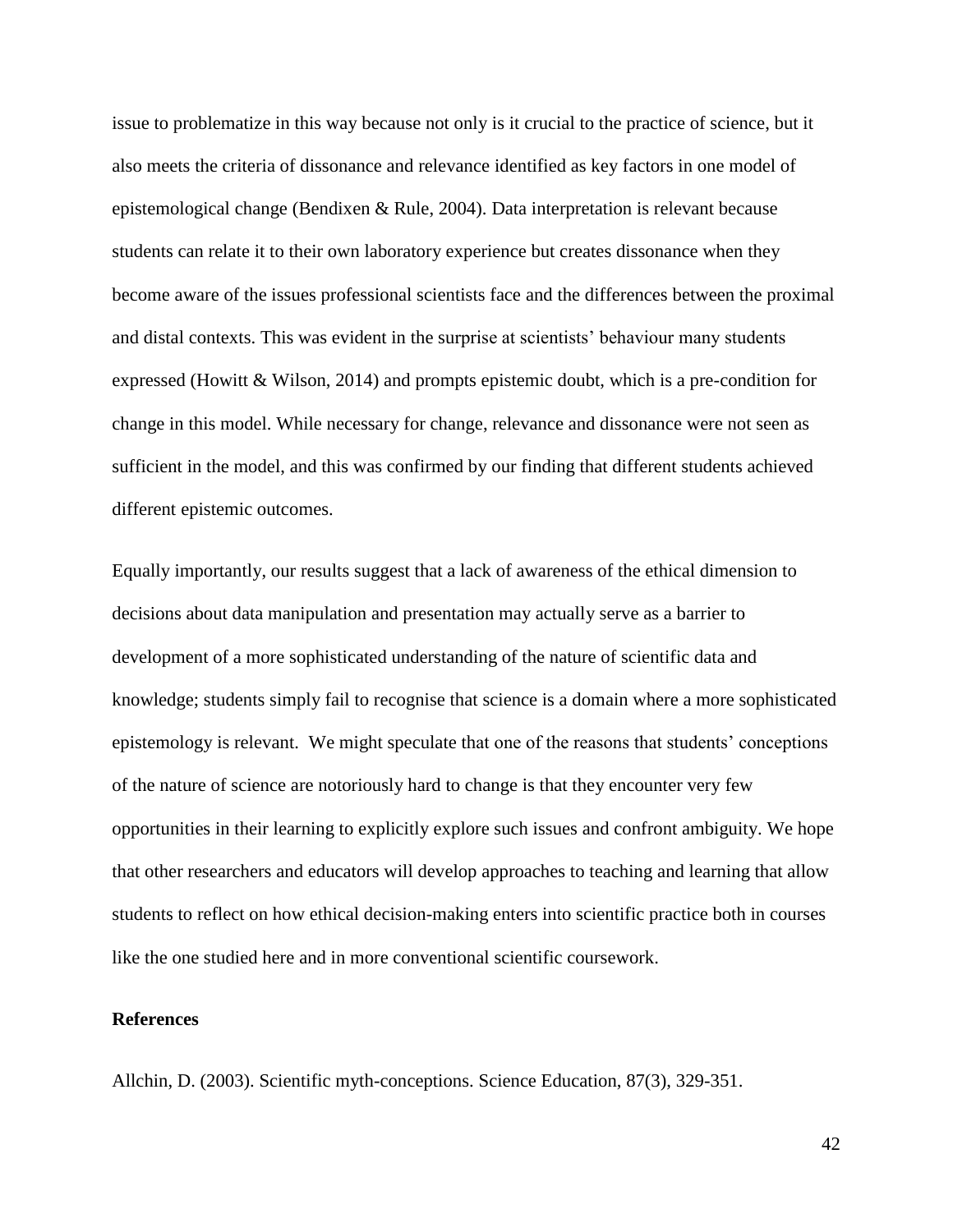issue to problematize in this way because not only is it crucial to the practice of science, but it also meets the criteria of dissonance and relevance identified as key factors in one model of epistemological change (Bendixen & Rule, 2004). Data interpretation is relevant because students can relate it to their own laboratory experience but creates dissonance when they become aware of the issues professional scientists face and the differences between the proximal and distal contexts. This was evident in the surprise at scientists' behaviour many students expressed (Howitt & Wilson, 2014) and prompts epistemic doubt, which is a pre-condition for change in this model. While necessary for change, relevance and dissonance were not seen as sufficient in the model, and this was confirmed by our finding that different students achieved different epistemic outcomes.

Equally importantly, our results suggest that a lack of awareness of the ethical dimension to decisions about data manipulation and presentation may actually serve as a barrier to development of a more sophisticated understanding of the nature of scientific data and knowledge; students simply fail to recognise that science is a domain where a more sophisticated epistemology is relevant. We might speculate that one of the reasons that students' conceptions of the nature of science are notoriously hard to change is that they encounter very few opportunities in their learning to explicitly explore such issues and confront ambiguity. We hope that other researchers and educators will develop approaches to teaching and learning that allow students to reflect on how ethical decision-making enters into scientific practice both in courses like the one studied here and in more conventional scientific coursework.

## **References**

Allchin, D. (2003). Scientific myth-conceptions. Science Education, 87(3), 329-351.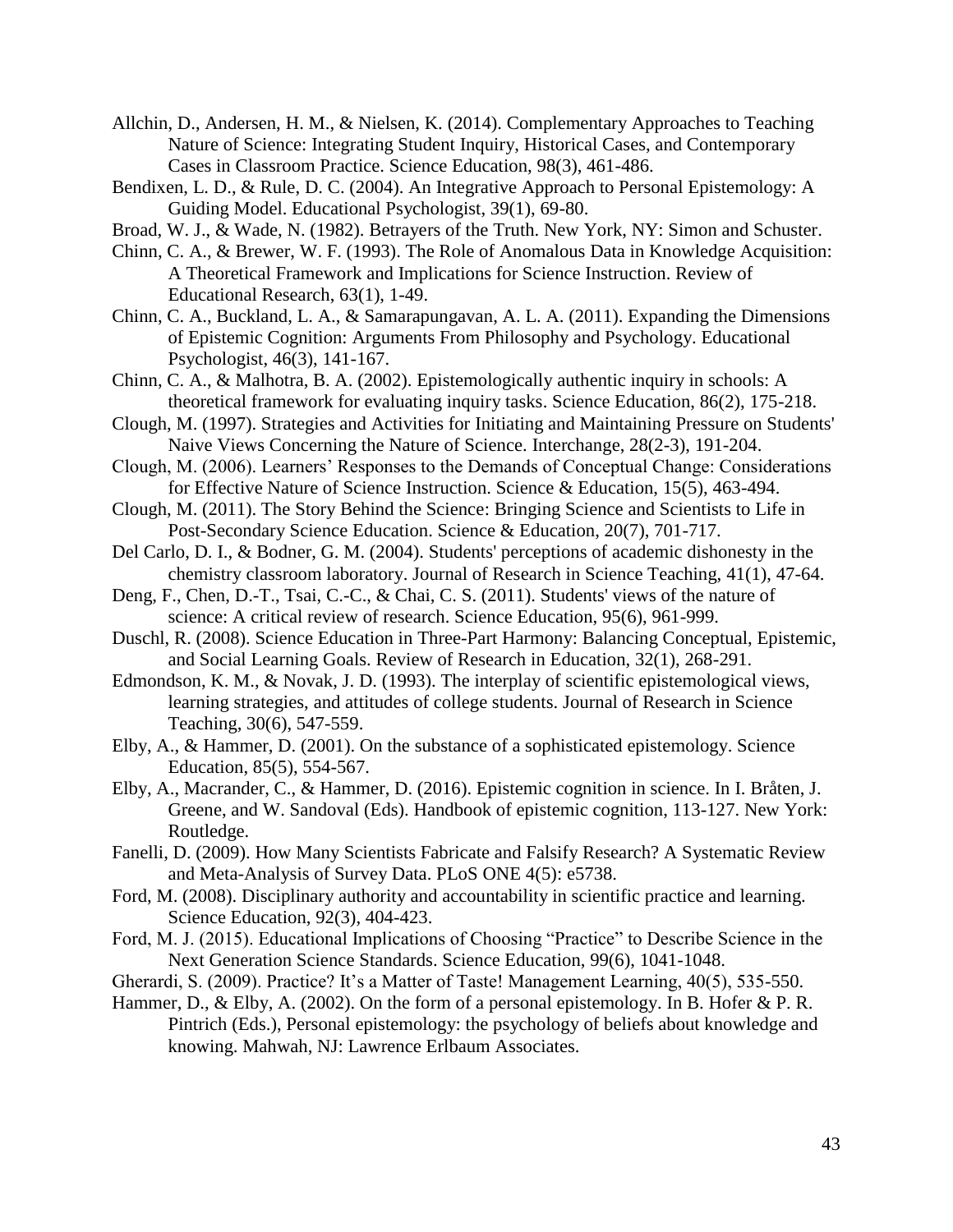- Allchin, D., Andersen, H. M., & Nielsen, K. (2014). Complementary Approaches to Teaching Nature of Science: Integrating Student Inquiry, Historical Cases, and Contemporary Cases in Classroom Practice. Science Education, 98(3), 461-486.
- Bendixen, L. D., & Rule, D. C. (2004). An Integrative Approach to Personal Epistemology: A Guiding Model. Educational Psychologist, 39(1), 69-80.
- Broad, W. J., & Wade, N. (1982). Betrayers of the Truth. New York, NY: Simon and Schuster.
- Chinn, C. A., & Brewer, W. F. (1993). The Role of Anomalous Data in Knowledge Acquisition: A Theoretical Framework and Implications for Science Instruction. Review of Educational Research, 63(1), 1-49.
- Chinn, C. A., Buckland, L. A., & Samarapungavan, A. L. A. (2011). Expanding the Dimensions of Epistemic Cognition: Arguments From Philosophy and Psychology. Educational Psychologist, 46(3), 141-167.
- Chinn, C. A., & Malhotra, B. A. (2002). Epistemologically authentic inquiry in schools: A theoretical framework for evaluating inquiry tasks. Science Education, 86(2), 175-218.
- Clough, M. (1997). Strategies and Activities for Initiating and Maintaining Pressure on Students' Naive Views Concerning the Nature of Science. Interchange, 28(2-3), 191-204.
- Clough, M. (2006). Learners' Responses to the Demands of Conceptual Change: Considerations for Effective Nature of Science Instruction. Science & Education, 15(5), 463-494.
- Clough, M. (2011). The Story Behind the Science: Bringing Science and Scientists to Life in Post-Secondary Science Education. Science & Education, 20(7), 701-717.
- Del Carlo, D. I., & Bodner, G. M. (2004). Students' perceptions of academic dishonesty in the chemistry classroom laboratory. Journal of Research in Science Teaching, 41(1), 47-64.
- Deng, F., Chen, D.-T., Tsai, C.-C., & Chai, C. S. (2011). Students' views of the nature of science: A critical review of research. Science Education, 95(6), 961-999.
- Duschl, R. (2008). Science Education in Three-Part Harmony: Balancing Conceptual, Epistemic, and Social Learning Goals. Review of Research in Education, 32(1), 268-291.
- Edmondson, K. M., & Novak, J. D. (1993). The interplay of scientific epistemological views, learning strategies, and attitudes of college students. Journal of Research in Science Teaching, 30(6), 547-559.
- Elby, A., & Hammer, D. (2001). On the substance of a sophisticated epistemology. Science Education, 85(5), 554-567.
- Elby, A., Macrander, C., & Hammer, D. (2016). Epistemic cognition in science. In I. Bråten, J. Greene, and W. Sandoval (Eds). Handbook of epistemic cognition, 113-127. New York: Routledge.
- Fanelli, D. (2009). How Many Scientists Fabricate and Falsify Research? A Systematic Review and Meta-Analysis of Survey Data. PLoS ONE 4(5): e5738.
- Ford, M. (2008). Disciplinary authority and accountability in scientific practice and learning. Science Education, 92(3), 404-423.
- Ford, M. J. (2015). Educational Implications of Choosing "Practice" to Describe Science in the Next Generation Science Standards. Science Education, 99(6), 1041-1048.
- Gherardi, S. (2009). Practice? It's a Matter of Taste! Management Learning, 40(5), 535-550.
- Hammer, D., & Elby, A. (2002). On the form of a personal epistemology. In B. Hofer & P. R. Pintrich (Eds.), Personal epistemology: the psychology of beliefs about knowledge and knowing. Mahwah, NJ: Lawrence Erlbaum Associates.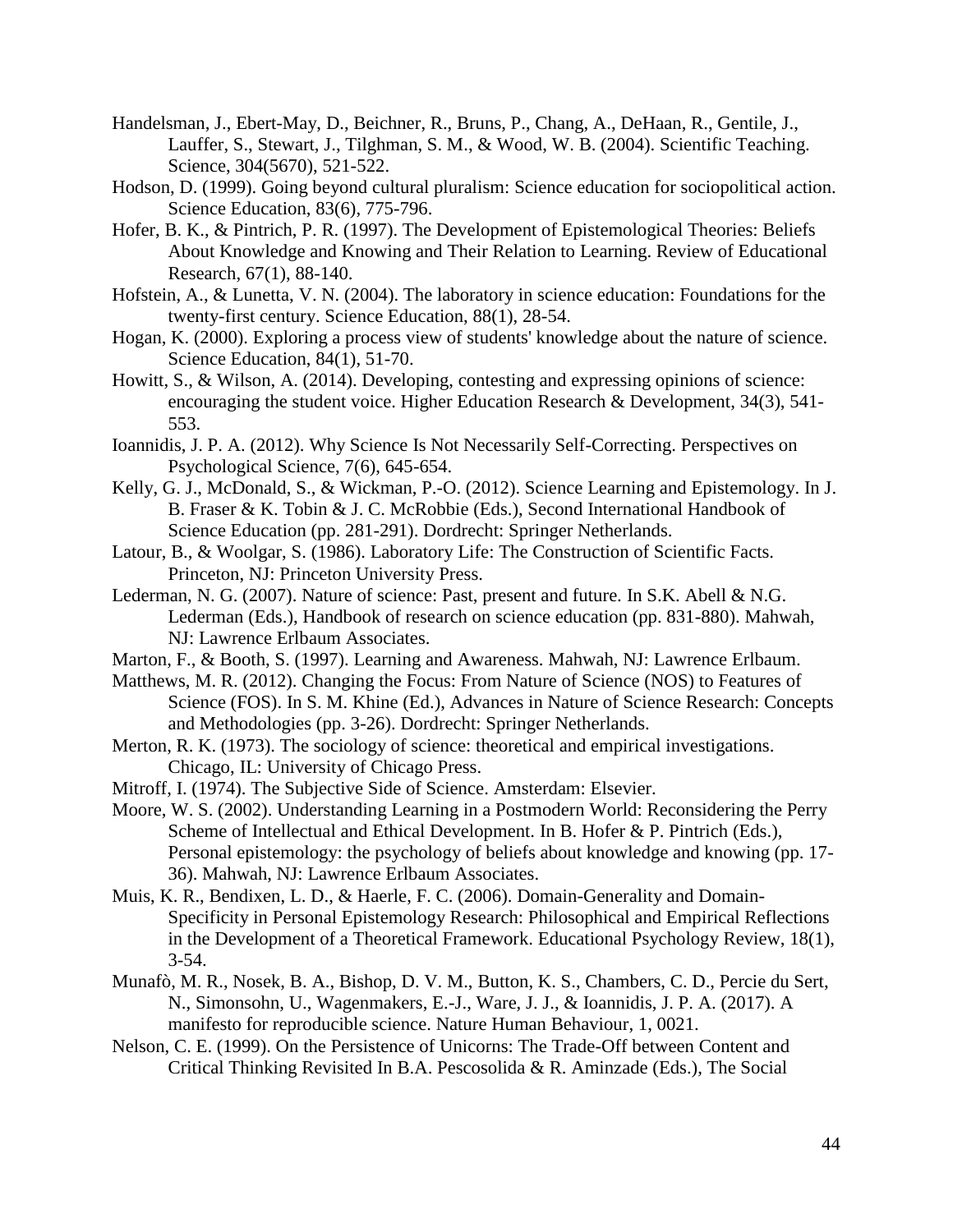- Handelsman, J., Ebert-May, D., Beichner, R., Bruns, P., Chang, A., DeHaan, R., Gentile, J., Lauffer, S., Stewart, J., Tilghman, S. M., & Wood, W. B. (2004). Scientific Teaching. Science, 304(5670), 521-522.
- Hodson, D. (1999). Going beyond cultural pluralism: Science education for sociopolitical action. Science Education, 83(6), 775-796.
- Hofer, B. K., & Pintrich, P. R. (1997). The Development of Epistemological Theories: Beliefs About Knowledge and Knowing and Their Relation to Learning. Review of Educational Research, 67(1), 88-140.
- Hofstein, A., & Lunetta, V. N. (2004). The laboratory in science education: Foundations for the twenty-first century. Science Education, 88(1), 28-54.
- Hogan, K. (2000). Exploring a process view of students' knowledge about the nature of science. Science Education, 84(1), 51-70.
- Howitt, S., & Wilson, A. (2014). Developing, contesting and expressing opinions of science: encouraging the student voice. Higher Education Research & Development, 34(3), 541- 553.
- Ioannidis, J. P. A. (2012). Why Science Is Not Necessarily Self-Correcting. Perspectives on Psychological Science, 7(6), 645-654.
- Kelly, G. J., McDonald, S., & Wickman, P.-O. (2012). Science Learning and Epistemology. In J. B. Fraser & K. Tobin & J. C. McRobbie (Eds.), Second International Handbook of Science Education (pp. 281-291). Dordrecht: Springer Netherlands.
- Latour, B., & Woolgar, S. (1986). Laboratory Life: The Construction of Scientific Facts. Princeton, NJ: Princeton University Press.
- Lederman, N. G. (2007). Nature of science: Past, present and future. In S.K. Abell & N.G. Lederman (Eds.), Handbook of research on science education (pp. 831-880). Mahwah, NJ: Lawrence Erlbaum Associates.
- Marton, F., & Booth, S. (1997). Learning and Awareness. Mahwah, NJ: Lawrence Erlbaum.
- Matthews, M. R. (2012). Changing the Focus: From Nature of Science (NOS) to Features of Science (FOS). In S. M. Khine (Ed.), Advances in Nature of Science Research: Concepts and Methodologies (pp. 3-26). Dordrecht: Springer Netherlands.
- Merton, R. K. (1973). The sociology of science: theoretical and empirical investigations. Chicago, IL: University of Chicago Press.
- Mitroff, I. (1974). The Subjective Side of Science. Amsterdam: Elsevier.
- Moore, W. S. (2002). Understanding Learning in a Postmodern World: Reconsidering the Perry Scheme of Intellectual and Ethical Development. In B. Hofer & P. Pintrich (Eds.), Personal epistemology: the psychology of beliefs about knowledge and knowing (pp. 17- 36). Mahwah, NJ: Lawrence Erlbaum Associates.
- Muis, K. R., Bendixen, L. D., & Haerle, F. C. (2006). Domain-Generality and Domain-Specificity in Personal Epistemology Research: Philosophical and Empirical Reflections in the Development of a Theoretical Framework. Educational Psychology Review, 18(1),  $3 - 54.$
- Munafò, M. R., Nosek, B. A., Bishop, D. V. M., Button, K. S., Chambers, C. D., Percie du Sert, N., Simonsohn, U., Wagenmakers, E.-J., Ware, J. J., & Ioannidis, J. P. A. (2017). A manifesto for reproducible science. Nature Human Behaviour, 1, 0021.
- Nelson, C. E. (1999). On the Persistence of Unicorns: The Trade-Off between Content and Critical Thinking Revisited In B.A. Pescosolida & R. Aminzade (Eds.), The Social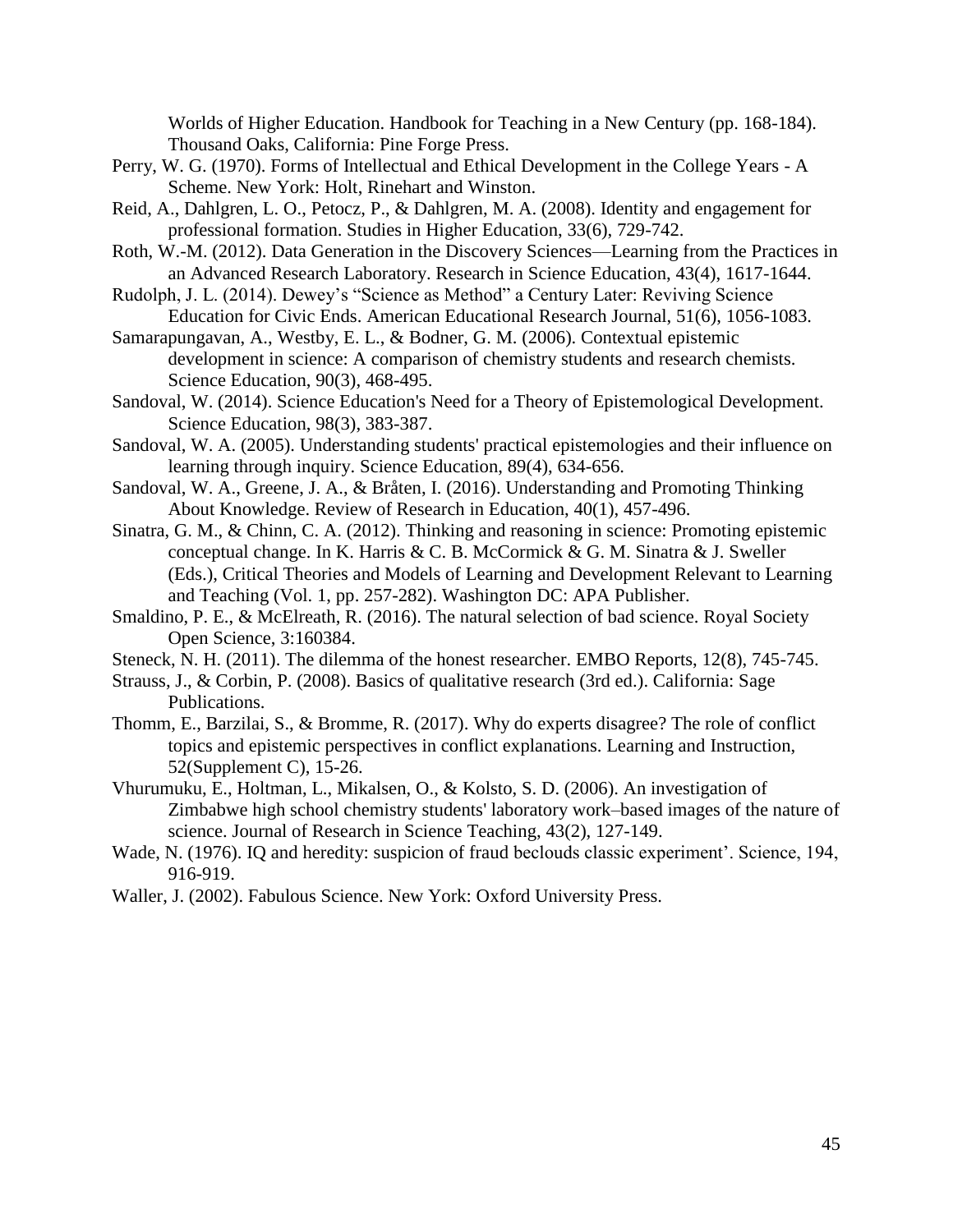Worlds of Higher Education. Handbook for Teaching in a New Century (pp. 168-184). Thousand Oaks, California: Pine Forge Press.

- Perry, W. G. (1970). Forms of Intellectual and Ethical Development in the College Years A Scheme. New York: Holt, Rinehart and Winston.
- Reid, A., Dahlgren, L. O., Petocz, P., & Dahlgren, M. A. (2008). Identity and engagement for professional formation. Studies in Higher Education, 33(6), 729-742.
- Roth, W.-M. (2012). Data Generation in the Discovery Sciences—Learning from the Practices in an Advanced Research Laboratory. Research in Science Education, 43(4), 1617-1644.
- Rudolph, J. L. (2014). Dewey's "Science as Method" a Century Later: Reviving Science Education for Civic Ends. American Educational Research Journal, 51(6), 1056-1083.
- Samarapungavan, A., Westby, E. L., & Bodner, G. M. (2006). Contextual epistemic development in science: A comparison of chemistry students and research chemists. Science Education, 90(3), 468-495.
- Sandoval, W. (2014). Science Education's Need for a Theory of Epistemological Development. Science Education, 98(3), 383-387.
- Sandoval, W. A. (2005). Understanding students' practical epistemologies and their influence on learning through inquiry. Science Education, 89(4), 634-656.
- Sandoval, W. A., Greene, J. A., & Bråten, I. (2016). Understanding and Promoting Thinking About Knowledge. Review of Research in Education, 40(1), 457-496.
- Sinatra, G. M., & Chinn, C. A. (2012). Thinking and reasoning in science: Promoting epistemic conceptual change. In K. Harris & C. B. McCormick & G. M. Sinatra & J. Sweller (Eds.), Critical Theories and Models of Learning and Development Relevant to Learning and Teaching (Vol. 1, pp. 257-282). Washington DC: APA Publisher.
- Smaldino, P. E., & McElreath, R. (2016). The natural selection of bad science. Royal Society Open Science, 3:160384.
- Steneck, N. H. (2011). The dilemma of the honest researcher. EMBO Reports, 12(8), 745-745.
- Strauss, J., & Corbin, P. (2008). Basics of qualitative research (3rd ed.). California: Sage Publications.
- Thomm, E., Barzilai, S., & Bromme, R. (2017). Why do experts disagree? The role of conflict topics and epistemic perspectives in conflict explanations. Learning and Instruction, 52(Supplement C), 15-26.
- Vhurumuku, E., Holtman, L., Mikalsen, O., & Kolsto, S. D. (2006). An investigation of Zimbabwe high school chemistry students' laboratory work–based images of the nature of science. Journal of Research in Science Teaching, 43(2), 127-149.
- Wade, N. (1976). IQ and heredity: suspicion of fraud beclouds classic experiment'. Science, 194, 916-919.
- Waller, J. (2002). Fabulous Science. New York: Oxford University Press.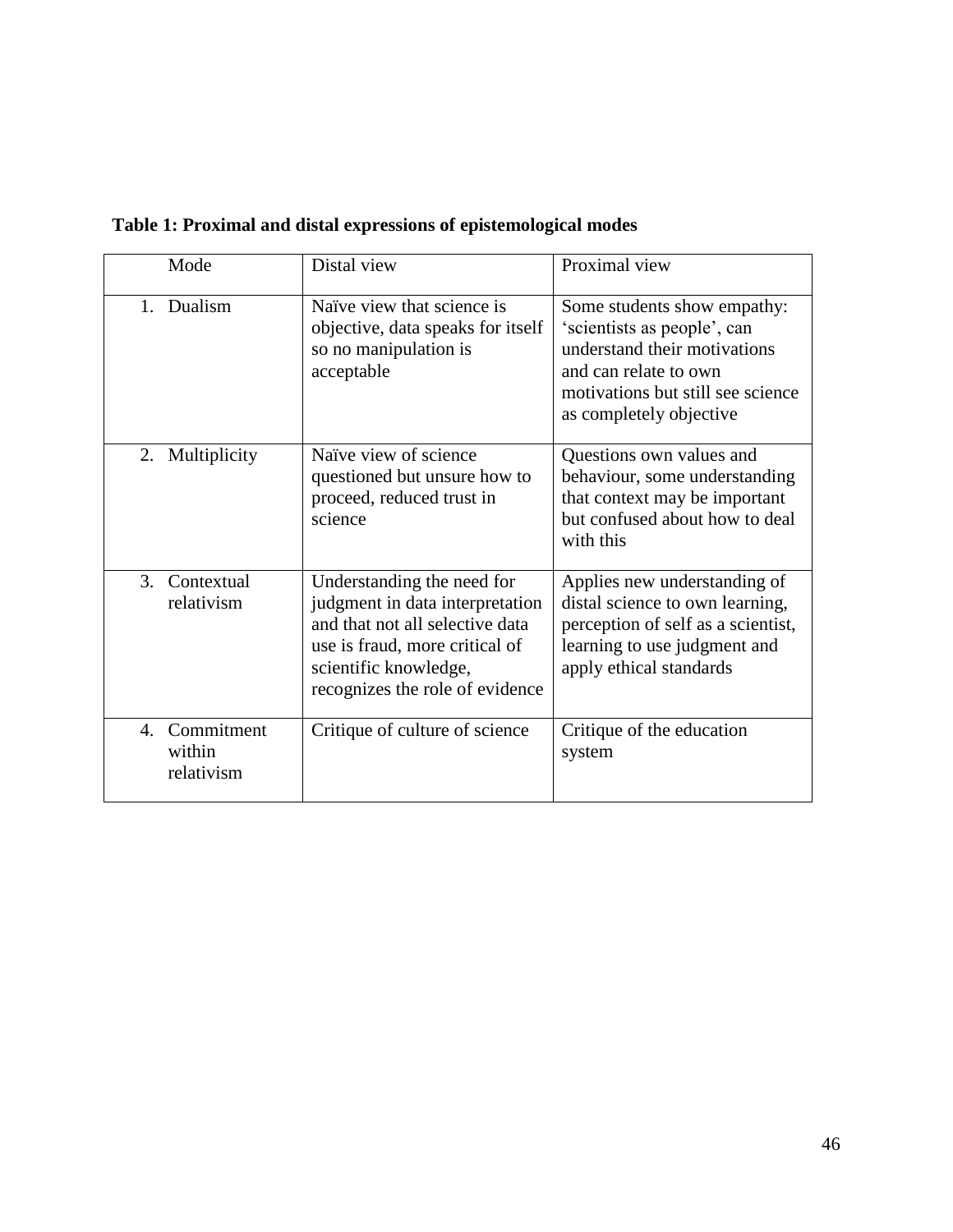| Mode                                     | Distal view                                                                                                                                                                                    | Proximal view                                                                                                                                                                       |
|------------------------------------------|------------------------------------------------------------------------------------------------------------------------------------------------------------------------------------------------|-------------------------------------------------------------------------------------------------------------------------------------------------------------------------------------|
| 1. Dualism                               | Naïve view that science is<br>objective, data speaks for itself<br>so no manipulation is<br>acceptable                                                                                         | Some students show empathy:<br>'scientists as people', can<br>understand their motivations<br>and can relate to own<br>motivations but still see science<br>as completely objective |
| 2. Multiplicity                          | Naïve view of science<br>questioned but unsure how to<br>proceed, reduced trust in<br>science                                                                                                  | Questions own values and<br>behaviour, some understanding<br>that context may be important<br>but confused about how to deal<br>with this                                           |
| 3.<br>Contextual<br>relativism           | Understanding the need for<br>judgment in data interpretation<br>and that not all selective data<br>use is fraud, more critical of<br>scientific knowledge,<br>recognizes the role of evidence | Applies new understanding of<br>distal science to own learning,<br>perception of self as a scientist,<br>learning to use judgment and<br>apply ethical standards                    |
| Commitment<br>4.<br>within<br>relativism | Critique of culture of science                                                                                                                                                                 | Critique of the education<br>system                                                                                                                                                 |

## **Table 1: Proximal and distal expressions of epistemological modes**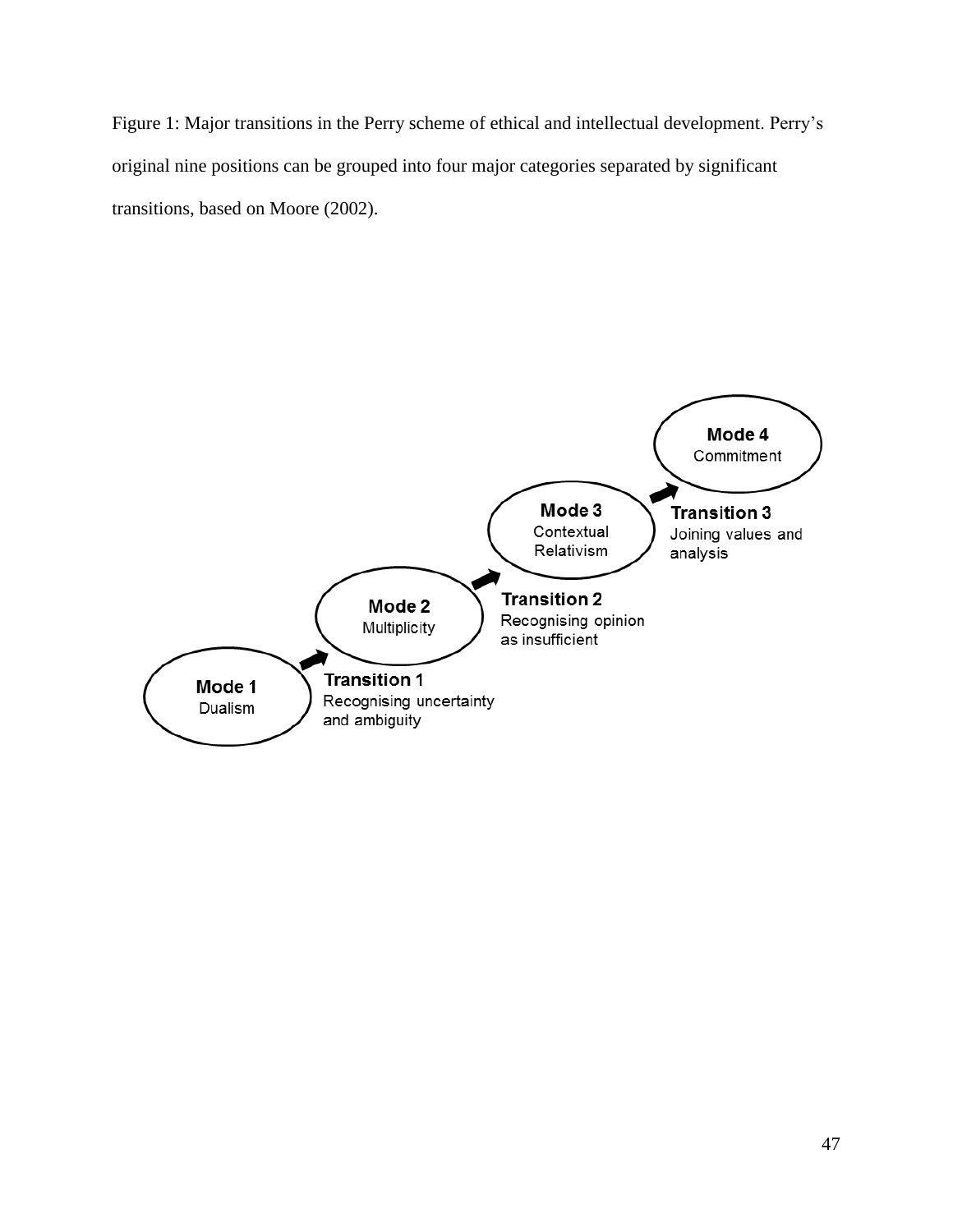Figure 1: Major transitions in the Perry scheme of ethical and intellectual development. Perry's original nine positions can be grouped into four major categories separated by significant transitions, based on Moore (2002).